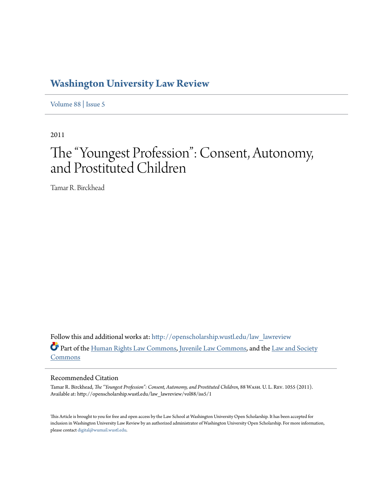## **[Washington University Law Review](http://openscholarship.wustl.edu/law_lawreview?utm_source=openscholarship.wustl.edu%2Flaw_lawreview%2Fvol88%2Fiss5%2F1&utm_medium=PDF&utm_campaign=PDFCoverPages)**

[Volume 88](http://openscholarship.wustl.edu/law_lawreview/vol88?utm_source=openscholarship.wustl.edu%2Flaw_lawreview%2Fvol88%2Fiss5%2F1&utm_medium=PDF&utm_campaign=PDFCoverPages) | [Issue 5](http://openscholarship.wustl.edu/law_lawreview/vol88/iss5?utm_source=openscholarship.wustl.edu%2Flaw_lawreview%2Fvol88%2Fiss5%2F1&utm_medium=PDF&utm_campaign=PDFCoverPages)

2011

# The "Youngest Profession": Consent, Autonomy, and Prostituted Children

Tamar R. Birckhead

Follow this and additional works at: [http://openscholarship.wustl.edu/law\\_lawreview](http://openscholarship.wustl.edu/law_lawreview?utm_source=openscholarship.wustl.edu%2Flaw_lawreview%2Fvol88%2Fiss5%2F1&utm_medium=PDF&utm_campaign=PDFCoverPages) Part of the [Human Rights Law Commons,](http://network.bepress.com/hgg/discipline/847?utm_source=openscholarship.wustl.edu%2Flaw_lawreview%2Fvol88%2Fiss5%2F1&utm_medium=PDF&utm_campaign=PDFCoverPages) [Juvenile Law Commons](http://network.bepress.com/hgg/discipline/851?utm_source=openscholarship.wustl.edu%2Flaw_lawreview%2Fvol88%2Fiss5%2F1&utm_medium=PDF&utm_campaign=PDFCoverPages), and the [Law and Society](http://network.bepress.com/hgg/discipline/853?utm_source=openscholarship.wustl.edu%2Flaw_lawreview%2Fvol88%2Fiss5%2F1&utm_medium=PDF&utm_campaign=PDFCoverPages) [Commons](http://network.bepress.com/hgg/discipline/853?utm_source=openscholarship.wustl.edu%2Flaw_lawreview%2Fvol88%2Fiss5%2F1&utm_medium=PDF&utm_campaign=PDFCoverPages)

### Recommended Citation

Tamar R. Birckhead, *The "Youngest Profession": Consent, Autonomy, and Prostituted Children*, 88 Wash. U. L. Rev. 1055 (2011). Available at: http://openscholarship.wustl.edu/law\_lawreview/vol88/iss5/1

This Article is brought to you for free and open access by the Law School at Washington University Open Scholarship. It has been accepted for inclusion in Washington University Law Review by an authorized administrator of Washington University Open Scholarship. For more information, please contact [digital@wumail.wustl.edu.](mailto:digital@wumail.wustl.edu)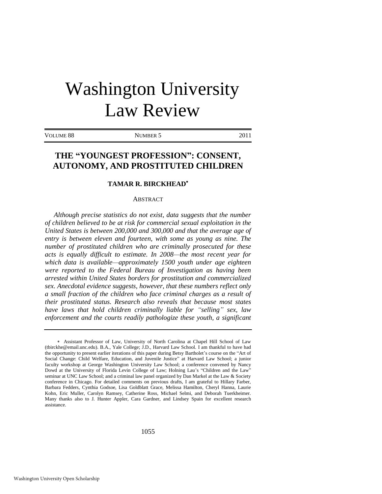# Washington University Law Review

VOLUME 88 NUMBER 5 2011

### **THE "YOUNGEST PROFESSION": CONSENT, AUTONOMY, AND PROSTITUTED CHILDREN**

#### **TAMAR R. BIRCKHEAD**

#### ABSTRACT

*Although precise statistics do not exist, data suggests that the number of children believed to be at risk for commercial sexual exploitation in the United States is between 200,000 and 300,000 and that the average age of entry is between eleven and fourteen, with some as young as nine. The number of prostituted children who are criminally prosecuted for these acts is equally difficult to estimate. In 2008—the most recent year for which data is available—approximately 1500 youth under age eighteen were reported to the Federal Bureau of Investigation as having been arrested within United States borders for prostitution and commercialized sex. Anecdotal evidence suggests, however, that these numbers reflect only a small fraction of the children who face criminal charges as a result of their prostituted status. Research also reveals that because most states*  have laws that hold children criminally liable for "selling" sex, law *enforcement and the courts readily pathologize these youth, a significant* 

Assistant Professor of Law, University of North Carolina at Chapel Hill School of Law (tbirckhe@email.unc.edu). B.A., Yale College; J.D., Harvard Law School. I am thankful to have had the opportunity to present earlier iterations of this paper during Betsy Bartholet's course on the "Art of Social Change: Child Welfare, Education, and Juvenile Justice" at Harvard Law School; a junior faculty workshop at George Washington University Law School; a conference convened by Nancy Dowd at the University of Florida Levin College of Law; Holning Lau's "Children and the Law" seminar at UNC Law School; and a criminal law panel organized by Dan Markel at the Law & Society conference in Chicago. For detailed comments on previous drafts, I am grateful to Hillary Farber, Barbara Fedders, Cynthia Godsoe, Lisa Goldblatt Grace, Melissa Hamilton, Cheryl Hanna, Laurie Kohn, Eric Muller, Carolyn Ramsey, Catherine Ross, Michael Selmi, and Deborah Tuerkheimer. Many thanks also to J. Hunter Appler, Cara Gardner, and Lindsey Spain for excellent research assistance.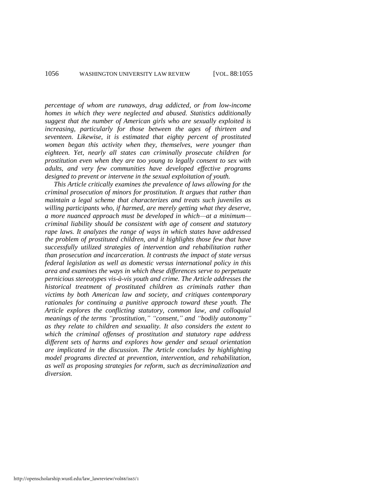*percentage of whom are runaways, drug addicted, or from low-income homes in which they were neglected and abused. Statistics additionally suggest that the number of American girls who are sexually exploited is increasing, particularly for those between the ages of thirteen and seventeen. Likewise, it is estimated that eighty percent of prostituted women began this activity when they, themselves, were younger than eighteen. Yet, nearly all states can criminally prosecute children for prostitution even when they are too young to legally consent to sex with adults, and very few communities have developed effective programs designed to prevent or intervene in the sexual exploitation of youth.* 

*This Article critically examines the prevalence of laws allowing for the criminal prosecution of minors for prostitution. It argues that rather than maintain a legal scheme that characterizes and treats such juveniles as willing participants who, if harmed, are merely getting what they deserve, a more nuanced approach must be developed in which—at a minimum criminal liability should be consistent with age of consent and statutory rape laws. It analyzes the range of ways in which states have addressed the problem of prostituted children, and it highlights those few that have successfully utilized strategies of intervention and rehabilitation rather than prosecution and incarceration. It contrasts the impact of state versus federal legislation as well as domestic versus international policy in this area and examines the ways in which these differences serve to perpetuate pernicious stereotypes vis-à-vis youth and crime. The Article addresses the historical treatment of prostituted children as criminals rather than victims by both American law and society, and critiques contemporary rationales for continuing a punitive approach toward these youth. The Article explores the conflicting statutory, common law, and colloquial*  meanings of the terms "prostitution," "consent," and "bodily autonomy" *as they relate to children and sexuality. It also considers the extent to which the criminal offenses of prostitution and statutory rape address different sets of harms and explores how gender and sexual orientation are implicated in the discussion. The Article concludes by highlighting model programs directed at prevention, intervention, and rehabilitation, as well as proposing strategies for reform, such as decriminalization and diversion.*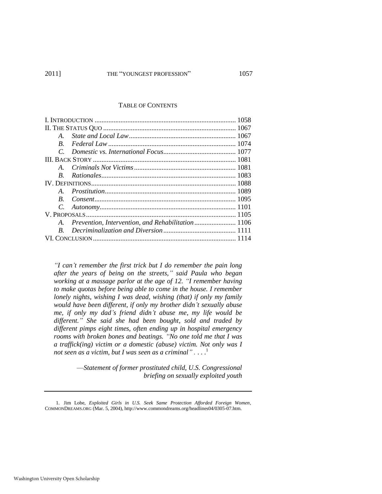#### TABLE OF CONTENTS

| $\bm{A}$ |                                                      |  |
|----------|------------------------------------------------------|--|
| $\bm{B}$ |                                                      |  |
|          |                                                      |  |
|          |                                                      |  |
|          |                                                      |  |
| R.       |                                                      |  |
|          |                                                      |  |
| $\bm{A}$ |                                                      |  |
|          |                                                      |  |
|          |                                                      |  |
|          |                                                      |  |
|          | A. Prevention, Intervention, and Rehabilitation 1106 |  |
|          |                                                      |  |
|          |                                                      |  |

*―I can't remember the first trick but I do remember the pain long after the years of being on the streets,‖ said Paula who began*  working at a massage parlor at the age of 12. "I remember having *to make quotas before being able to come in the house. I remember lonely nights, wishing I was dead, wishing (that) if only my family would have been different, if only my brother didn't sexually abuse me, if only my dad's friend didn't abuse me, my life would be different.‖ She said she had been bought, sold and traded by different pimps eight times, often ending up in hospital emergency*  rooms with broken bones and beatings. "No one told me that I was *a traffick(ing) victim or a domestic (abuse) victim. Not only was I*  not seen as a victim, but I was seen as a criminal"....<sup>1</sup>

> <span id="page-3-0"></span>—*Statement of former prostituted child, U.S. Congressional briefing on sexually exploited youth*

<sup>1.</sup> Jim Lobe, *Exploited Girls in U.S. Seek Same Protection Afforded Foreign Women*, COMMONDREAMS.ORG (Mar. 5, 2004), http://www.commondreams.org/headlines04/0305-07.htm.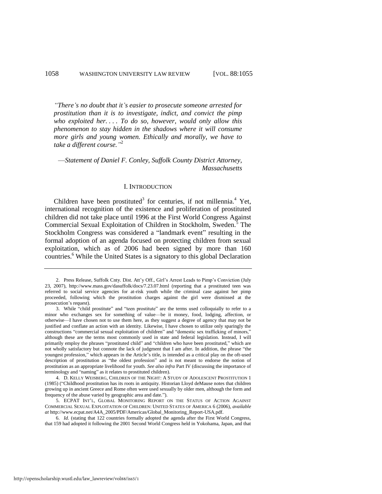*―There's no doubt that it's easier to prosecute someone arrested for prostitution than it is to investigate, indict, and convict the pimp who exploited her. . . . To do so, however, would only allow this phenomenon to stay hidden in the shadows where it will consume more girls and young women. Ethically and morally, we have to*  take a different course.<sup>"2</sup>

—*Statement of Daniel F. Conley, Suffolk County District Attorney, Massachusetts* 

#### <span id="page-4-1"></span><span id="page-4-0"></span>I. INTRODUCTION

Children have been prostituted<sup>3</sup> for centuries, if not millennia.<sup>4</sup> Yet, international recognition of the existence and proliferation of prostituted children did not take place until 1996 at the First World Congress Against Commercial Sexual Exploitation of Children in Stockholm, Sweden.<sup>5</sup> The Stockholm Congress was considered a "landmark event" resulting in the formal adoption of an agenda focused on protecting children from sexual exploitation, which as of 2006 had been signed by more than 160 countries.<sup>6</sup> While the United States is a signatory to this global Declaration

<sup>2.</sup> Press Release, Suffolk Cnty. Dist. Att'y Off., Girl's Arrest Leads to Pimp's Conviction (July 23, 2007), http://www.mass.gov/dasuffolk/docs/7.23.07.html (reporting that a prostituted teen was referred to social service agencies for at-risk youth while the criminal case against her pimp proceeded, following which the prostitution charges against the girl were dismissed at the prosecution's request).

<sup>3.</sup> While "child prostitute" and "teen prostitute" are the terms used colloquially to refer to a minor who exchanges sex for something of value—be it money, food, lodging, affection, or otherwise—I have chosen not to use them here, as they suggest a degree of agency that may not be justified and conflate an action with an identity. Likewise, I have chosen to utilize only sparingly the constructions "commercial sexual exploitation of children" and "domestic sex trafficking of minors," although these are the terms most commonly used in state and federal legislation. Instead, I will primarily employ the phrases "prostituted child" and "children who have been prostituted," which are not wholly satisfactory but connote the lack of judgment that I am after. In addition, the phrase "the youngest profession," which appears in the Article's title, is intended as a critical play on the oft-used description of prostitution as "the oldest profession" and is not meant to endorse the notion of prostitution as an appropriate livelihood for youth. *See also infra* Part IV (discussing the importance of terminology and "naming" as it relates to prostituted children).

<sup>4.</sup> D. KELLY WEISBERG, CHILDREN OF THE NIGHT: A STUDY OF ADOLESCENT PROSTITUTION 1 (1985) ("Childhood prostitution has its roots in antiquity. Historian Lloyd deMause notes that children growing up in ancient Greece and Rome often were used sexually by older men, although the form and frequency of the abuse varied by geographic area and date.").

<sup>5.</sup> ECPAT INT'L, GLOBAL MONITORING REPORT ON THE STATUS OF ACTION AGAINST COMMERCIAL SEXUAL EXPLOITATION OF CHILDREN: UNITED STATES OF AMERICA 6 (2006), *available at* http://www.ecpat.net/A4A\_2005/PDF/Americas/Global\_Monitoring\_Report-USA.pdf.

<sup>6.</sup> *Id.* (stating that 122 countries formally adopted the agenda after the First World Congress, that 159 had adopted it following the 2001 Second World Congress held in Yokohama, Japan, and that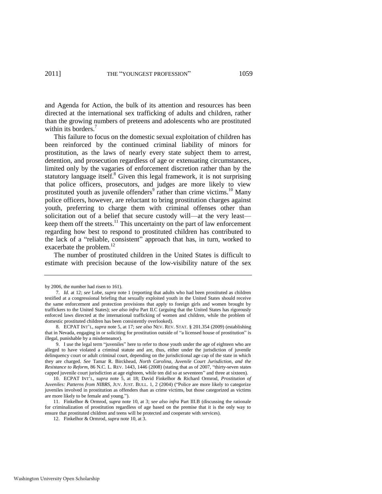and Agenda for Action, the bulk of its attention and resources has been directed at the international sex trafficking of adults and children, rather than the growing numbers of preteens and adolescents who are prostituted within its borders.<sup>7</sup>

<span id="page-5-1"></span><span id="page-5-0"></span>This failure to focus on the domestic sexual exploitation of children has been reinforced by the continued criminal liability of minors for prostitution, as the laws of nearly every state subject them to arrest, detention, and prosecution regardless of age or extenuating circumstances, limited only by the vagaries of enforcement discretion rather than by the statutory language itself. $8$  Given this legal framework, it is not surprising that police officers, prosecutors, and judges are more likely to view prostituted youth as juvenile offenders<sup>9</sup> rather than crime victims.<sup>10</sup> Many police officers, however, are reluctant to bring prostitution charges against youth, preferring to charge them with criminal offenses other than solicitation out of a belief that secure custody will—at the very least keep them off the streets. $^{11}$  This uncertainty on the part of law enforcement regarding how best to respond to prostituted children has contributed to the lack of a "reliable, consistent" approach that has, in turn, worked to exacerbate the problem.<sup>12</sup>

The number of prostituted children in the United States is difficult to estimate with precision because of the low-visibility nature of the sex

by 2006, the number had risen to 161).

<sup>7.</sup> *Id.* at 12; *see* Lobe, *supra* note [1](#page-3-0) (reporting that adults who had been prostituted as children testified at a congressional briefing that sexually exploited youth in the United States should receive the same enforcement and protection provisions that apply to foreign girls and women brought by traffickers to the United States); *see also infra* Part II.C (arguing that the United States has rigorously enforced laws directed at the international trafficking of women and children, while the problem of domestic prostituted children has been consistently overlooked).

<sup>8.</sup> ECPAT INT'L, *supra* not[e 5,](#page-4-0) at 17; *see also* NEV. REV. STAT. § 201.354 (2009) (establishing that in Nevada, engaging in or soliciting for prostitution outside of "a licensed house of prostitution" is illegal, punishable by a misdemeanor).

<sup>9.</sup> I use the legal term "juveniles" here to refer to those youth under the age of eighteen who are alleged to have violated a criminal statute and are, thus, either under the jurisdiction of juvenile delinquency court or adult criminal court, depending on the jurisdictional age cap of the state in which they are charged. *See* Tamar R. Birckhead, *North Carolina, Juvenile Court Jurisdiction, and the Resistance to Reform*, 86 N.C. L. REV. 1443, 1446 (2008) (stating that as of 2007, "thirty-seven states capped juvenile court jurisdiction at age eighteen, while ten did so at seventeen" and three at sixteen).

<sup>10.</sup> ECPAT INT'L, *supra* note [5,](#page-4-0) at 18; David Finkelhor & Richard Ormrod, *Prostitution of Juveniles: Patterns from NIBRS*, JUV. JUST. BULL. 1, 2 (2004) ("Police are more likely to categorize juveniles involved in prostitution as offenders than as crime victims, but those categorized as victims are more likely to be female and young.").

<sup>11.</sup> Finkelhor & Ormrod, *supra* note [10,](#page-5-0) at 3; *see also infra* Part III.B (discussing the rationale for criminalization of prostitution regardless of age based on the premise that it is the only way to ensure that prostituted children and teens will be protected and cooperate with services).

<sup>12.</sup> Finkelhor & Ormrod, *supra* not[e 10,](#page-5-0) at 3.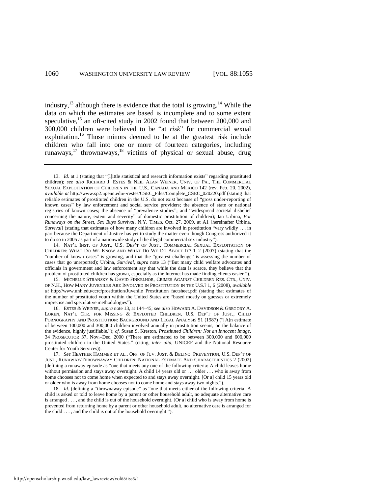<span id="page-6-1"></span><span id="page-6-0"></span>industry, $^{13}$  although there is evidence that the total is growing.<sup>14</sup> While the data on which the estimates are based is incomplete and to some extent speculative, $15$  an oft-cited study in 2002 found that between 200,000 and 300,000 children were believed to be "at *risk*" for commercial sexual exploitation.<sup>16</sup> Those minors deemed to be at the greatest risk include children who fall into one or more of fourteen categories, including runaways, $17$  thrownaways,  $18$  victims of physical or sexual abuse, drug

15. MICHELLE STRANSKY & DAVID FINKELHOR, CRIMES AGAINST CHILDREN RES. CTR., UNIV. OF N.H., HOW MANY JUVENILES ARE INVOLVED IN PROSTITUTION IN THE U.S.? 1, 6 (2008), *available at* http://www.unh.edu/ccrc/prostitution/Juvenile\_Prostitution\_factsheet.pdf (stating that estimates of the number of prostituted youth within the United States are "based mostly on guesses or extremely imprecise and speculative methodologies").

16. ESTES & WEINER, *supra* not[e 13,](#page-6-0) at 144–45; *see also* HOWARD A. DAVIDSON & GREGORY A. LOKEN, NAT'L CTR. FOR MISSING & EXPLOITED CHILDREN, U.S. DEP'T OF JUST., CHILD PORNOGRAPHY AND PROSTITUTION: BACKGROUND AND LEGAL ANALYSIS 51 (1987) ("[A]n estimate of between 100,000 and 300,000 children involved annually in prostitution seems, on the balance of the evidence, highly justifiable.‖); *cf.* Susan S. Kreston, *Prostituted Children: Not an Innocent Image*, 34 PROSECUTOR 37, Nov.–Dec. 2000 ("There are estimated to be between 300,000 and 600,000 prostituted children in the United States.‖ (citing, *inter alia*, UNICEF and the National Resource Center for Youth Services)).

17. *See* HEATHER HAMMER ET AL., OFF. OF JUV. JUST. & DELINQ. PREVENTION, U.S. DEP'T OF JUST., RUNAWAY/THROWNAWAY CHILDREN: NATIONAL ESTIMATE AND CHARACTERISTICS 2 (2002) (defining a runaway episode as "one that meets any one of the following criteria: A child leaves home without permission and stays away overnight. A child 14 years old or . . . older . . . who is away from home chooses not to come home when expected to and stays away overnight. [Or a] child 15 years old or older who is away from home chooses not to come home and stays away two nights.").

18. *Id.* (defining a "thrownaway episode" as "one that meets either of the following criteria: A child is asked or told to leave home by a parent or other household adult, no adequate alternative care is arranged . . . , and the child is out of the household overnight. [Or a] child who is away from home is prevented from returning home by a parent or other household adult, no alternative care is arranged for the child  $\dots$ , and the child is out of the household overnight.").

<sup>13.</sup> *Id.* at 1 (stating that "[l]ittle statistical and research information exists" regarding prostituted children); *see also* RICHARD J. ESTES & NEIL ALAN WEINER, UNIV. OF PA., THE COMMERCIAL SEXUAL EXPLOITATION OF CHILDREN IN THE U.S., CANADA AND MEXICO 142 (rev. Feb. 20, 2002), *available at* http://www.sp2.upenn.edu/~restes/CSEC\_Files/Complete\_CSEC\_020220.pdf (stating that reliable estimates of prostituted children in the U.S. do not exist because of "gross under-reporting of known cases‖ by law enforcement and social service providers; the absence of state or national registries of known cases; the absence of "prevalence studies"; and "widespread societal disbelief concerning the nature, extent and severity" of domestic prostitution of children); Ian Urbina, *For Runaways on the Street, Sex Buys Survival*, N.Y. TIMES, Oct. 27, 2009, at A1 [hereinafter Urbina, *Survival*] (stating that estimates of how many children are involved in prostitution "vary wildly . . . in part because the Department of Justice has yet to study the matter even though Congress authorized it to do so in 2005 as part of a nationwide study of the illegal commercial sex industry").

<sup>14.</sup> NAT'L INST. OF JUST., U.S. DEP'T OF JUST., COMMERCIAL SEXUAL EXPLOITATION OF CHILDREN: WHAT DO WE KNOW AND WHAT DO WE DO ABOUT IT?  $1-2$  (2007) (stating that the "number of known cases" is growing, and that the "greatest challenge" is assessing the number of cases that go unreported); Urbina, *Survival*, *supra* note [13](#page-6-0) ("But many child welfare advocates and officials in government and law enforcement say that while the data is scarce, they believe that the problem of prostituted children has grown, especially as the Internet has made finding clients easier.").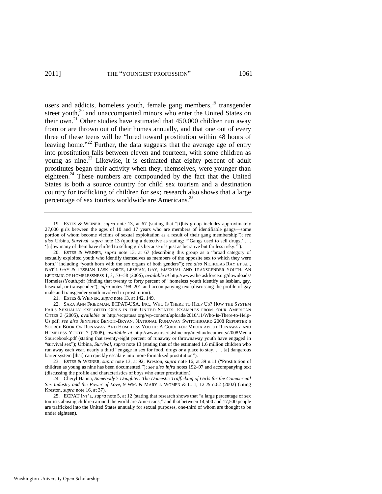<span id="page-7-2"></span><span id="page-7-1"></span>users and addicts, homeless youth, female gang members,<sup>19</sup> transgender street youth,<sup>20</sup> and unaccompanied minors who enter the United States on their own.<sup>21</sup> Other studies have estimated that  $450,000$  children run away from or are thrown out of their homes annually, and that one out of every three of these teens will be "lured toward prostitution within 48 hours of leaving home."<sup>22</sup> Further, the data suggests that the average age of entry into prostitution falls between eleven and fourteen, with some children as young as nine.<sup>23</sup> Likewise, it is estimated that eighty percent of adult prostitutes began their activity when they, themselves, were younger than eighteen.<sup>24</sup> These numbers are compounded by the fact that the United States is both a source country for child sex tourism and a destination country for trafficking of children for sex; research also shows that a large percentage of sex tourists worldwide are Americans.<sup>25</sup>

<span id="page-7-0"></span>19. ESTES & WEINER, *supra* note [13,](#page-6-0) at 67 (stating that "[t]his group includes approximately 27,000 girls between the ages of 10 and 17 years who are members of identifiable gangs—some portion of whom become victims of sexual exploitation as a result of their gang membership"); see *also* Urbina, *Survival*, *supra* note [13](#page-6-0) (quoting a detective as stating: "Gangs used to sell drugs,' ... '[n]ow many of them have shifted to selling girls because it's just as lucrative but far less risky.'

20. ESTES & WEINER, *supra* note [13,](#page-6-0) at 67 (describing this group as a "broad category of sexually exploited youth who identify themselves as members of the opposite sex to which they were born," including "youth born with the sex organs of both genders"); *see also* NICHOLAS RAY ET AL., NAT'L GAY & LESBIAN TASK FORCE, LESBIAN, GAY, BISEXUAL AND TRANSGENDER YOUTH: AN EPIDEMIC OF HOMELESSNESS 1, 3, 53−58 (2006), *available at* http://www.thetaskforce.org/downloads/ HomelessYouth.pdf (finding that twenty to forty percent of "homeless youth identify as lesbian, gay, bisexual, or transgender"); *infra* notes [198](#page-39-0)[–201](#page-39-1) and accompanying text (discussing the profile of gay male and transgender youth involved in prostitution).

21. ESTES & WEINER, *supra* not[e 13,](#page-6-0) at 142, 149.

22. SARA ANN FRIEDMAN, ECPAT-USA, INC., WHO IS THERE TO HELP US? HOW THE SYSTEM FAILS SEXUALLY EXPLOITED GIRLS IN THE UNITED STATES: EXAMPLES FROM FOUR AMERICAN CITIES 3 (2005), *available at* http://ecpatusa.org/wp-content/uploads/2010/11/Who-Is-There-to-Help-Us.pdf; *see also* JENNIFER BENOIT-BRYAN, NATIONAL RUNAWAY SWITCHBOARD 2008 REPORTER'S SOURCE BOOK ON RUNAWAY AND HOMELESS YOUTH: A GUIDE FOR MEDIA ABOUT RUNAWAY AND HOMELESS YOUTH 7 (2008), *available at* http://www.nrscrisisline.org/media/documents/2008Media Sourcebook.pdf (stating that twenty-eight percent of runaway or thrownaway youth have engaged in ―survival sex‖); Urbina, *Survival*, *supra* not[e 13 \(](#page-6-0)stating that of the estimated 1.6 million children who run away each year, nearly a third "engage in sex for food, drugs or a place to stay, . . . [a] dangerous barter system [that] can quickly escalate into more formalized prostitution").

23. ESTES & WEINER, *supra* note [13,](#page-6-0) at 92; Kreston, *supra* note [16,](#page-6-1) at 39 n.11 ("Prostitution of children as young as nine has been documented."); *see also infra* note[s 192–](#page-38-0)97 and accompanying text (discussing the profile and characteristics of boys who enter prostitution).

24. Cheryl Hanna, *Somebody's Daughter: The Domestic Trafficking of Girls for the Commercial Sex Industry and the Power of Love*, 9 WM. & MARY J. WOMEN & L. 1, 12 & n.62 (2002) (citing Kreston, *supra* not[e 16,](#page-6-1) at 37).

25. ECPAT INT'L, *supra* note [5,](#page-4-0) at 12 (stating that research shows that "a large percentage of sex tourists abusing children around the world are Americans," and that between 14,500 and 17,500 people are trafficked into the United States annually for sexual purposes, one-third of whom are thought to be under eighteen).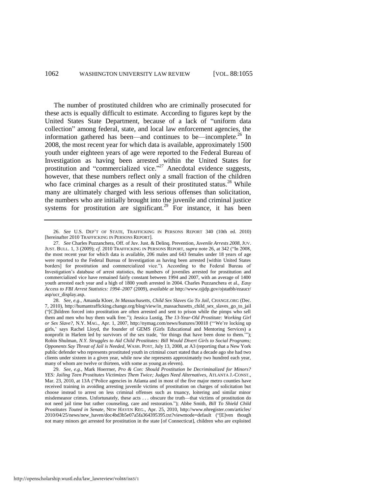<span id="page-8-0"></span>The number of prostituted children who are criminally prosecuted for these acts is equally difficult to estimate. According to figures kept by the United States State Department, because of a lack of "uniform data" collection" among federal, state, and local law enforcement agencies, the information gathered has been—and continues to be—incomplete.<sup>26</sup> In 2008, the most recent year for which data is available, approximately 1500 youth under eighteen years of age were reported to the Federal Bureau of Investigation as having been arrested within the United States for prostitution and "commercialized vice."<sup>27</sup> Anecdotal evidence suggests, however, that these numbers reflect only a small fraction of the children who face criminal charges as a result of their prostituted status.<sup>28</sup> While many are ultimately charged with less serious offenses than solicitation, the numbers who are initially brought into the juvenile and criminal justice systems for prostitution are significant.<sup>29</sup> For instance, it has been

<span id="page-8-1"></span><sup>26.</sup> *See* U.S. DEP'T OF STATE, TRAFFICKING IN PERSONS REPORT 340 (10th ed. 2010) [hereinafter 2010 TRAFFICKING IN PERSONS REPORT].

<sup>27.</sup> *See* Charles Puzzanchera, Off. of Juv. Just. & Delinq. Prevention, *Juvenile Arrests 2008*, JUV. JUST. BULL. 1, 3 (2009); *cf.* 2010 TRAFFICKING IN PERSONS REPORT, *supra* not[e 26,](#page-8-0) at 342 ("In 2008, the most recent year for which data is available, 206 males and 643 females under 18 years of age were reported to the Federal Bureau of Investigation as having been arrested [within United States borders] for prostitution and commercialized vice."). According to the Federal Bureau of Investigation's database of arrest statistics, the numbers of juveniles arrested for prostitution and commercialized vice have remained fairly constant between 1994 and 2007, with an average of 1400 youth arrested each year and a high of 1800 youth arrested in 2004. Charles Puzzanchera et al., *Easy Access to FBI Arrest Statistics: 1994–2007* (2009), *available at* http://www.ojjdp.gov/ojstatbb/ezaucr/ asp/ucr\_display.asp.

<sup>28.</sup> *See, e.g.*, Amanda Kloer, *In Massachusetts, Child Sex Slaves Go To Jail*, CHANGE.ORG (Dec. 7, 2010), http://humantrafficking.change.org/blog/view/in\_massachusetts\_child\_sex\_slaves\_go\_to\_jail (―[C]hildren forced into prostitution are often arrested and sent to prison while the pimps who sell them and men who buy them walk free.‖); Jessica Lustig, *The 13-Year-Old Prostitute: Working Girl or Sex Slave?*, N.Y. MAG., Apr. 1, 2007, http://nymag.com/news/features/30018 ("We're locking up girls,' says Rachel Lloyd, the founder of GEMS (Girls Educational and Mentoring Services) a nonprofit in Harlem led by survivors of the sex trade, 'for things that have been done to them.'"); Robin Shulman, *N.Y. Struggles to Aid Child Prostitutes: Bill Would Divert Girls to Social Programs; Opponents Say Threat of Jail is Needed*, WASH. POST, July 13, 2008, at A3 (reporting that a New York public defender who represents prostituted youth in criminal court stated that a decade ago she had two clients under sixteen in a given year, while now she represents approximately two hundred each year, many of whom are twelve or thirteen, with some as young as eleven).

<sup>29.</sup> *See, e.g.*, Mark Hoerrner, *Pro & Con: Should Prostitution be Decriminalized for Minors? YES: Jailing Teen Prostitutes Victimizes Them Twice; Judges Need Alternatives*, ATLANTA J.-CONST., Mar. 23, 2010, at 13A ("Police agencies in Atlanta and in most of the five major metro counties have received training in avoiding arresting juvenile victims of prostitution on charges of solicitation but choose instead to arrest on less criminal offenses such as truancy, loitering and similar minor misdemeanor crimes. Unfortunately, these acts . . . obscure the truth—that victims of prostitution do not need jail time but rather counseling, care and restoration."); Abbe Smith, *Bill To Shield Child Prostitutes Touted in Senate*, NEW HAVEN REG., Apr. 25, 2010, http://www.nhregister.com/articles/ 2010/04/25/news/new\_haven/doc4bd3b5e07a5fa364395395.txt?viewmode=default ("[E]ven though not many minors get arrested for prostitution in the state [of Connecticut], children who are exploited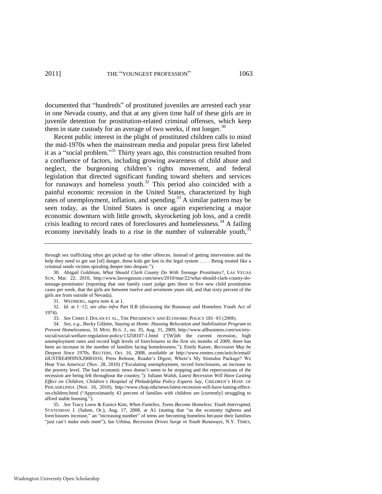documented that "hundreds" of prostituted juveniles are arrested each year in one Nevada county, and that at any given time half of these girls are in juvenile detention for prostitution-related criminal offenses, which keep them in state custody for an average of two weeks, if not longer.<sup>30</sup>

<span id="page-9-1"></span>Recent public interest in the plight of prostituted children calls to mind the mid-1970s when the mainstream media and popular press first labeled it as a "social problem."<sup>31</sup> Thirty years ago, this construction resulted from a confluence of factors, including growing awareness of child abuse and neglect, the burgeoning children's rights movement, and federal legislation that directed significant funding toward shelters and services for runaways and homeless youth.<sup>32</sup> This period also coincided with a painful economic recession in the United States, characterized by high rates of unemployment, inflation, and spending.<sup>33</sup> A similar pattern may be seen today, as the United States is once again experiencing a major economic downturn with little growth, skyrocketing job loss, and a credit crisis leading to record rates of foreclosures and homelessness.<sup>34</sup> A failing economy inevitably leads to a rise in the number of vulnerable youth, $35\%$ 

31. WEISBERG, *supra* not[e 4,](#page-4-1) at 1.

<span id="page-9-0"></span>through sex trafficking often get picked up for other offences. Instead of getting intervention and the help they need to get out [of] danger, these kids get lost in the legal system . . . . Being treated like a criminal sends victims spiraling deeper into despair.").

<sup>30.</sup> Abigail Goldman, *What Should Clark County Do With Teenage Prostitutes?*, LAS VEGAS SUN, Mar. 22, 2010, http://www.lasvegassun.com/news/2010/mar/22/what-should-clark-county-doteenage-prostitutes/ (reporting that one family court judge gets three to five new child prostitution cases per week, that the girls are between twelve and seventeen years old, and that sixty percent of the girls are from outside of Nevada).

<sup>32.</sup> *Id.* at 1−12; *see also infra* Part II.B (discussing the Runaway and Homeless Youth Act of 1974).

<sup>33.</sup> *See* CHRIS J. DOLAN ET AL., THE PRESIDENCY AND ECONOMIC POLICY 181−83 (2008).

<sup>34.</sup> *See, e.g.*, Becky Gillette, *Staying at Home: Housing Relocation and Stabilization Program to Prevent Homelessness*, 31 MISS. BUS. J., no. 35, Aug. 31, 2009, http://www.allbusiness.com/societysocial/social-welfare-regulation-policy/13258107-1.html ("[W]ith the current recession, high unemployment rates and record high levels of foreclosures in the first six months of 2009, there has been an increase in the number of families facing homelessness.‖); Emily Kaiser, *Recession May be Deepest Since 1970s*, REUTERS, Oct. 16, 2008, *available at* <http://www.reuters.com/article/email/> idUSTRE49F8NX20081016; Press Release, Reader's Digest, Where's My Stimulus Package? We Hear You America! (Nov. 28, 2010) ("Escalating unemployment, record foreclosures, an increase in the poverty level. The bad economic news doesn't seem to be stopping and the repercussions of the recession are being felt throughout the country."); Juliann Walsh, *Latest Recession Will Have Lasting Effect on Children, Children's Hospital of Philadelphia Policy Experts Say*, CHILDREN'S HOSP. OF PHILADELPHIA (Nov. 16, 2010), http://www.chop.edu/news/latest-recession-will-have-lasting-effecton-children.html ("Approximately 43 percent of families with children are [currently] struggling to afford stable housing.").

<sup>35.</sup> *See* Tracy Loew & Eunice Kim, *When Families, Teens Become Homeless: Youth Interrupted*, STATESMAN J. (Salem, Or.), Aug. 17, 2008, at A1 (stating that "as the economy tightens and foreclosures increase," an "increasing number" of teens are becoming homeless because their families "just can't make ends meet"); Ian Urbina, *Recession Drives Surge in Youth Runaways*, N.Y. TIMES,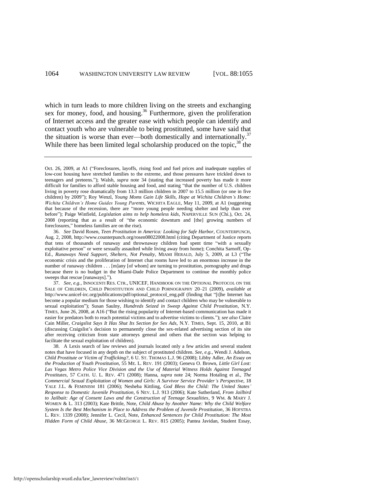<span id="page-10-1"></span>which in turn leads to more children living on the streets and exchanging sex for money, food, and housing.<sup>36</sup> Furthermore, given the proliferation of Internet access and the greater ease with which people can identify and contact youth who are vulnerable to being prostituted, some have said that the situation is worse than ever—both domestically and internationally.<sup>37</sup> While there has been limited legal scholarship produced on the topic,  $38$  the

<span id="page-10-0"></span>Oct. 26, 2009, at A1 ("Foreclosures, layoffs, rising food and fuel prices and inadequate supplies of low-cost housing have stretched families to the extreme, and those pressures have trickled down to teenagers and preteens.‖); Walsh, *supra* note [34](#page-9-0) (stating that increased poverty has made it more difficult for families to afford stable housing and food, and stating "that the number of U.S. children living in poverty rose dramatically from 13.3 million children in 2007 to 15.5 million (or one in five children) by 2009"); Roy Wenzl, *Young Moms Gain Life Skills, Hope at Wichita Children's Home: Wichita Children's Home Guides Young Parents*, WICHITA EAGLE, May 11, 2009, at A1 (suggesting that because of the recession, there are "more young people needing shelter and help than ever before"); Paige Winfield, *Legislation aims to help homeless kids*, NAPERVILLE SUN (Chi.), Oct. 24, 2008 (reporting that as a result of "the economic downturn and [the] growing numbers of foreclosures," homeless families are on the rise).

<sup>36.</sup> *See* David Rosen, *Teen Prostitution in America: Looking for Safe Harbor*, COUNTERPUNCH, Aug. 2, 2008, http://www.counterpunch.org/rosen08022008.html (citing Department of Justice reports that tens of thousands of runaway and thrownaway children had spent time "with a sexually exploitative person" or were sexually assaulted while living away from home); Conchita Sarnoff, Op-Ed., *Runaways Need Support, Shelters, Not Penalty*, MIAMI HERALD, July 5, 2009, at L3 ("The economic crisis and the proliferation of Internet chat rooms have led to an enormous increase in the number of runaway children . . . [m]any [of whom] are turning to prostitution, pornography and drugs because there is no budget in the Miami-Dade Police Department to continue the monthly police sweeps that rescue [runaways].").

<sup>37.</sup> *See, e.g.*, INNOCENTI RES. CTR., UNICEF, HANDBOOK ON THE OPTIONAL PROTOCOL ON THE SALE OF CHILDREN, CHILD PROSTITUTION AND CHILD PORNOGRAPHY 20–21 (2009), *available at* http://www.unicef-irc.org/publications/pdf/optional\_protocol\_eng.pdf (finding that "[t]he Internet has become a popular medium for those wishing to identify and contact children who may be vulnerable to sexual exploitation"); Susan Saulny, *Hundreds Seized in Sweep Against Child Prostitution*, N.Y. TIMES, June 26, 2008, at A16 ("But the rising popularity of Internet-based communication has made it easier for predators both to reach potential victims and to advertise victims to clients."); *see also* Claire Cain Miller, *Craigslist Says It Has Shut Its Section for Sex Ads*, N.Y. TIMES, Sept. 15, 2010, at B1 (discussing Craigslist's decision to permanently close the sex-related advertising section of its site after receiving criticism from state attorneys general and others that the section was helping to facilitate the sexual exploitation of children).

<sup>38.</sup> A Lexis search of law reviews and journals located only a few articles and several student notes that have focused in any depth on the subject of prostituted children. *See, e.g.*, Wendi J. Adelson, *Child Prostitute or Victim of Trafficking?*, 6 U. ST. THOMAS L.J. 96 (2008); Libby Adler, *An Essay on the Production of Youth Prostitution*, 55 ME. L. REV. 191 (2003); Geneva O. Brown, *Little Girl Lost: Las Vegas Metro Police Vice Division and the Use of Material Witness Holds Against Teenaged Prostitutes*, 57 CATH. U. L. REV. 471 (2008); Hanna, *supra* note [24;](#page-7-0) Norma Hotaling et al., *The Commercial Sexual Exploitation of Women and Girls: A Survivor Service Provider's Perspective*, 18 YALE J.L. & FEMINISM 181 (2006); Nesheba Kittling, *God Bless the Child: The United States' Response to Domestic Juvenile Prostitution*, 6 NEV. L.J. 913 (2006); Kate Sutherland, *From Jailbird to Jailbait: Age of Consent Laws and the Construction of Teenage Sexualities*, 9 WM. & MARY J. WOMEN & L. 313 (2003); Kate Brittle, Note, *Child Abuse by Another Name: Why the Child Welfare System Is the Best Mechanism in Place to Address the Problem of Juvenile Prostitution*, 36 HOFSTRA L. REV. 1339 (2008); Jennifer L. Cecil, Note, *Enhanced Sentences for Child Prostitution: The Most Hidden Form of Child Abuse*, 36 MCGEORGE L. REV. 815 (2005); Pantea Javidan, Student Essay,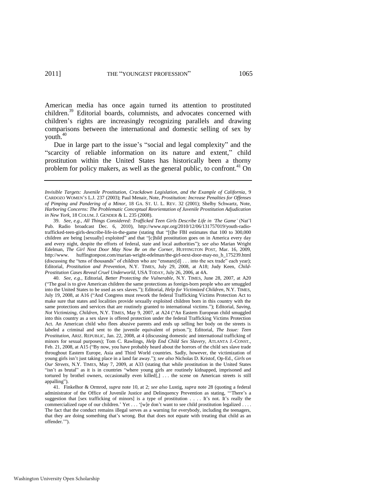American media has once again turned its attention to prostituted children.<sup>39</sup> Editorial boards, columnists, and advocates concerned with children's rights are increasingly recognizing parallels and drawing comparisons between the international and domestic selling of sex by youth. $40$ 

Due in large part to the issue's "social and legal complexity" and the "scarcity of reliable information on its nature and extent," child prostitution within the United States has historically been a thorny problem for policy makers, as well as the general public, to confront.<sup>41</sup> On

39. *See, e.g.*, *All Things Considered: Trafficked Teen Girls Describe Life in ‗The Game'* (Nat'l Pub. Radio broadcast Dec. 6, 2010), http://www.npr.org/2010/12/06/131757019/youth-radiotrafficked-teen-girls-describe-life-in-the-game (stating that "[t]he FBI estimates that 100 to 300,000 children are being [sexually] exploited" and that "[c]hild prostitution goes on in America every day and every night, despite the efforts of federal, state and local authorities"); see also Marian Wright Edelman, *The Girl Next Door May Now Be on the Corner*, HUFFINGTON POST, Mar. 16, 2009, http://www. huffingtonpost.com/marian-wright-edelman/the-girl-next-door-may-no\_b\_175239.html (discussing the "tens of thousands" of children who are "ensnare[d]  $\dots$  into the sex trade" each year); Editorial, *Prostitution and Prevention*, N.Y. TIMES, July 29, 2008, at A18; Judy Keen, *Child-Prostitution Cases Reveal Cruel Underworld*, USA TODAY, July 26, 2006, at 4A.

40. *See, e.g.*, Editorial, *Better Protecting the Vulnerable*, N.Y. TIMES, June 28, 2007, at A20 (―The goal is to give American children the same protections as foreign-born people who are smuggled into the United States to be used as sex slaves.‖); Editorial, *Help for Victimized Children*, N.Y. TIMES, July 19, 2008, at A16 ("And Congress must rework the federal Trafficking Victims Protection Act to make sure that states and localities provide sexually exploited children born in this country with the same protections and services that are routinely granted to international victims."); Editorial, *Saving*, *Not Victimizing, Children, N.Y. TIMES, May 9, 2007, at A24 ("An Eastern European child smuggled* into this country as a sex slave is offered protection under the federal Trafficking Victims Protection Act. An American child who flees abusive parents and ends up selling her body on the streets is labeled a criminal and sent to the juvenile equivalent of prison."); Editorial, *The Issue: Teen Prostitution*, ARIZ. REPUBLIC, Jan. 22, 2008, at 4 (discussing domestic and international trafficking of minors for sexual purposes); Tom C. Rawlings, *Help End Child Sex Slavery*, ATLANTA J.-CONST., Feb. 21, 2008, at A15 ("By now, you have probably heard about the horrors of the child sex slave trade throughout Eastern Europe, Asia and Third World countries. Sadly, however, the victimization of young girls isn't just taking place in a land far away.‖); *see also* Nicholas D. Kristof, Op-Ed., *Girls on Our Streets*, N.Y. TIMES, May 7, 2009, at A33 (stating that while prostitution in the United States "isn't as brutal" as it is in countries "where young girls are routinely kidnapped, imprisoned and tortured by brothel owners, occasionally even killed[,] . . . the scene on American streets is still appalling").

41. Finkelhor & Ormrod, *supra* note [10,](#page-5-0) at 2; *see also* Lustig, *supra* not[e 28](#page-8-1) (quoting a federal administrator of the Office of Juvenile Justice and Delinquency Prevention as stating, "There's a suggestion that [sex trafficking of minors] is a type of prostitution . . . . It's not. It's really the commercialized rape of our children.' Yet . . . '[w]e don't want to see child prostitution legalized . . . . The fact that the conduct remains illegal serves as a warning for everybody, including the teenagers, that they are doing something that's wrong. But that does not equate with treating that child as an offender."").

*Invisible Targets: Juvenile Prostitution, Crackdown Legislation, and the Example of California*, 9 CARDOZO WOMEN'S L.J. 237 (2003); Paul Menair, Note, *Prostitution: Increase Penalties for Offenses of Pimping and Pandering of a Minor*, 18 GA. ST. U. L. REV. 32 (2001); Shelby Schwartz, Note, *Harboring Concerns: The Problematic Conceptual Reorientation of Juvenile Prostitution Adjudication in New York*, 18 COLUM. J. GENDER & L. 235 (2008).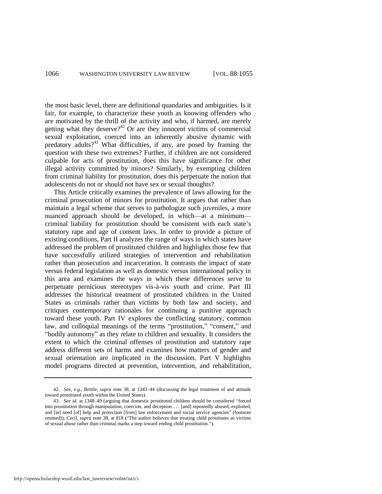the most basic level, there are definitional quandaries and ambiguities. Is it fair, for example, to characterize these youth as knowing offenders who are motivated by the thrill of the activity and who, if harmed, are merely getting what they deserve? $42$  Or are they innocent victims of commercial sexual exploitation, coerced into an inherently abusive dynamic with predatory adults?<sup>43</sup> What difficulties, if any, are posed by framing the question with these two extremes? Further, if children are not considered culpable for acts of prostitution, does this have significance for other illegal activity committed by minors? Similarly, by exempting children from criminal liability for prostitution, does this perpetuate the notion that adolescents do not or should not have sex or sexual thoughts?

This Article critically examines the prevalence of laws allowing for the criminal prosecution of minors for prostitution. It argues that rather than maintain a legal scheme that serves to pathologize such juveniles, a more nuanced approach should be developed, in which—at a minimum criminal liability for prostitution should be consistent with each state's statutory rape and age of consent laws. In order to provide a picture of existing conditions, Part II analyzes the range of ways in which states have addressed the problem of prostituted children and highlights those few that have successfully utilized strategies of intervention and rehabilitation rather than prosecution and incarceration. It contrasts the impact of state versus federal legislation as well as domestic versus international policy in this area and examines the ways in which these differences serve to perpetuate pernicious stereotypes vis-à-vis youth and crime. Part III addresses the historical treatment of prostituted children in the United States as criminals rather than victims by both law and society, and critiques contemporary rationales for continuing a punitive approach toward these youth. Part IV explores the conflicting statutory, common law, and colloquial meanings of the terms "prostitution," "consent," and "bodily autonomy" as they relate to children and sexuality. It considers the extent to which the criminal offenses of prostitution and statutory rape address different sets of harms and examines how matters of gender and sexual orientation are implicated in the discussion. Part V highlights model programs directed at prevention, intervention, and rehabilitation,

<sup>42.</sup> *See, e.g.*, Brittle, *supra* note [38,](#page-10-0) at 1343–44 (discussing the legal treatment of and attitude toward prostituted youth within the United States).

<sup>43.</sup> *See id.* at 1348–49 (arguing that domestic prostituted children should be considered "forced into prostitution through manipulation, coercion, and deception . . . [and] repeatedly abused, exploited, and [in] need [of] help and protection [from] law enforcement and social service agencies" (footnote omitted)); Cecil, *supra* note [38,](#page-10-0) at 818 ("The author believes that treating child prostitutes as victims of sexual abuse rather than criminal marks a step toward ending child prostitution.").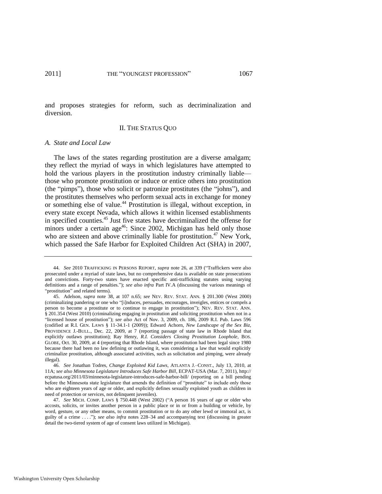and proposes strategies for reform, such as decriminalization and diversion.

#### II. THE STATUS QUO

#### *A. State and Local Law*

The laws of the states regarding prostitution are a diverse amalgam; they reflect the myriad of ways in which legislatures have attempted to hold the various players in the prostitution industry criminally liable those who promote prostitution or induce or entice others into prostitution (the "pimps"), those who solicit or patronize prostitutes (the "johns"), and the prostitutes themselves who perform sexual acts in exchange for money or something else of value.<sup>44</sup> Prostitution is illegal, without exception, in every state except Nevada, which allows it within licensed establishments in specified counties.<sup>45</sup> Just five states have decriminalized the offense for minors under a certain age<sup>46</sup>: Since 2002, Michigan has held only those who are sixteen and above criminally liable for prostitution.<sup>47</sup> New York, which passed the Safe Harbor for Exploited Children Act (SHA) in 2007,

<span id="page-13-0"></span><sup>44.</sup> See 2010 TRAFFICKING IN PERSONS REPORT, *supra* note [26,](#page-8-0) at 339 ("Traffickers were also prosecuted under a myriad of state laws, but no comprehensive data is available on state prosecutions and convictions. Forty-two states have enacted specific anti-trafficking statutes using varying definitions and a range of penalties."); *see also infra Part IV.A* (discussing the various meanings of "prostitution" and related terms).

<sup>45.</sup> Adelson, *supra* note [38,](#page-10-0) at 107 n.65; *see* NEV. REV. STAT. ANN. § 201.300 (West 2000) (criminalizing pandering or one who ―[i]nduces, persuades, encourages, inveigles, entices or compels a person to become a prostitute or to continue to engage in prostitution"); NEV. REV. STAT. ANN. § 201.354 (West 2010) (criminalizing engaging in prostitution and soliciting prostitution when not in a ―licensed house of prostitution‖); *see also* Act of Nov. 3, 2009, ch. 186, 2009 R.I. Pub. Laws 596 (codified at R.I. GEN. LAWS § 11-34.1-1 (2009)); Edward Achorn, *New Landscape of the Sex Biz*, PROVIDENCE J.-BULL., Dec. 22, 2009, at 7 (reporting passage of state law in Rhode Island that explicitly outlaws prostitution); Ray Henry, *R.I. Considers Closing Prostitution Loophole*, BOS. GLOBE, Oct. 30, 2009, at 4 (reporting that Rhode Island, where prostitution had been legal since 1980 because there had been no law defining or outlawing it, was considering a law that would explicitly criminalize prostitution, although associated activities, such as solicitation and pimping, were already illegal).

<sup>46.</sup> *See* Jonathan Todres, *Change Exploited Kid Laws*, ATLANTA J.–CONST., July 13, 2010, at 11A; *see also Minnesota Legislature Introduces Safe Harbor Bill*, ECPAT-USA (Mar. 7, 2011), http:// ecpatusa.org/2011/03/minnesota-legislature-introduces-safe-harbor-bill/ (reporting on a bill pending before the Minnesota state legislature that amends the definition of "prostitute" to include only those who are eighteen years of age or older, and explicitly defines sexually exploited youth as children in need of protection or services, not delinquent juveniles).

<sup>47.</sup> *See* MICH. COMP. LAWS § 750.448 (West 2002) ("A person 16 years of age or older who accosts, solicits, or invites another person in a public place or in or from a building or vehicle, by word, gesture, or any other means, to commit prostitution or to do any other lewd or immoral act, is guilty of a crime ...."); *see also infra* notes [228–](#page-43-0)34 and accompanying text (discussing in greater detail the two-tiered system of age of consent laws utilized in Michigan).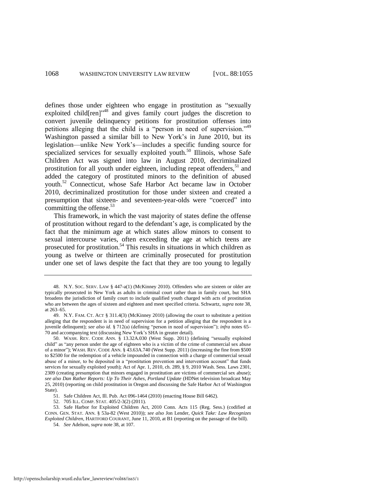<span id="page-14-0"></span>defines those under eighteen who engage in prostitution as "sexually exploited child $[ren]$ <sup>48</sup> and gives family court judges the discretion to convert juvenile delinquency petitions for prostitution offenses into petitions alleging that the child is a "person in need of supervision."<sup>49</sup> Washington passed a similar bill to New York's in June 2010, but its legislation—unlike New York's—includes a specific funding source for specialized services for sexually exploited youth.<sup>50</sup> Illinois, whose Safe Children Act was signed into law in August 2010, decriminalized prostitution for all youth under eighteen, including repeat offenders,<sup>51</sup> and added the category of prostituted minors to the definition of abused youth.<sup>52</sup> Connecticut, whose Safe Harbor Act became law in October 2010, decriminalized prostitution for those under sixteen and created a presumption that sixteen- and seventeen-year-olds were "coerced" into committing the offense.<sup>53</sup>

<span id="page-14-3"></span><span id="page-14-2"></span><span id="page-14-1"></span>This framework, in which the vast majority of states define the offense of prostitution without regard to the defendant's age, is complicated by the fact that the minimum age at which states allow minors to consent to sexual intercourse varies, often exceeding the age at which teens are prosecuted for prostitution.<sup>54</sup> This results in situations in which children as young as twelve or thirteen are criminally prosecuted for prostitution under one set of laws despite the fact that they are too young to legally

52. 705 ILL. COMP. STAT. 405/2-3(2) (2011).

53. Safe Harbor for Exploited Children Act, 2010 Conn. Acts 115 (Reg. Sess.) (codified at CONN. GEN. STAT. ANN. § 53a-82 (West 2010)); *see also* Jon Lender, *Quick Take: Law Recognizes Exploited Children*, HARTFORD COURANT, June 11, 2010, at B1 (reporting on the passage of the bill).

54. *See* Adelson, *supra* not[e 38,](#page-10-0) at 107.

<sup>48.</sup> N.Y. SOC. SERV. LAW § 447-a(1) (McKinney 2010). Offenders who are sixteen or older are typically prosecuted in New York as adults in criminal court rather than in family court, but SHA broadens the jurisdiction of family court to include qualified youth charged with acts of prostitution who are between the ages of sixteen and eighteen and meet specified criteria. Schwartz, *supra* not[e 38,](#page-10-0)  at 263–65.

<sup>49.</sup> N.Y. FAM. CT. ACT § 311.4(3) (McKinney 2010) (allowing the court to substitute a petition alleging that the respondent is in need of supervision for a petition alleging that the respondent is a juvenile delinquent); *see also id.* § 712(a) (defining "person in need of supervision"); *infra* note[s 65–](#page-16-0) [70](#page-17-0) and accompanying text (discussing New York's SHA in greater detail).

<sup>50.</sup> WASH. REV. CODE ANN. § 13.32A.030 (West Supp. 2011) (defining "sexually exploited child" as "any person under the age of eighteen who is a victim of the crime of commercial sex abuse of a minor"); WASH. REV. CODE ANN. § 43.63A.740 (West Supp. 2011) (increasing the fine from \$500 to \$2500 for the redemption of a vehicle impounded in connection with a charge of commercial sexual abuse of a minor, to be deposited in a "prostitution prevention and intervention account" that funds services for sexually exploited youth); Act of Apr. 1, 2010, ch. 289, § 9, 2010 Wash. Sess. Laws 2301, 2309 (creating presumption that minors engaged in prostitution are victims of commercial sex abuse); *see also Dan Rather Reports: Up To Their Ashes*, *Portland Update* (HDNet television broadcast May 25, 2010) (reporting on child prostitution in Oregon and discussing the Safe Harbor Act of Washington State).

<sup>51.</sup> Safe Children Act, Ill. Pub. Act 096-1464 (2010) (enacting House Bill 6462).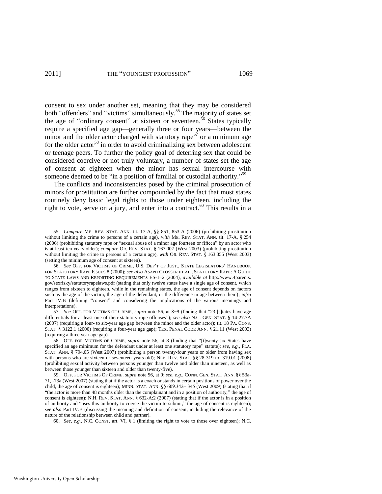<span id="page-15-2"></span><span id="page-15-1"></span><span id="page-15-0"></span>consent to sex under another set, meaning that they may be considered both "offenders" and "victims" simultaneously.<sup>55</sup> The majority of states set the age of "ordinary consent" at sixteen or seventeen.<sup>56</sup> States typically require a specified age gap—generally three or four years—between the minor and the older actor charged with statutory rape<sup>57</sup> or a minimum age for the older actor<sup>58</sup> in order to avoid criminalizing sex between adolescent or teenage peers. To further the policy goal of deterring sex that could be considered coercive or not truly voluntary, a number of states set the age of consent at eighteen when the minor has sexual intercourse with someone deemed to be "in a position of familial or custodial authority."<sup>59</sup>

<span id="page-15-3"></span>The conflicts and inconsistencies posed by the criminal prosecution of minors for prostitution are further compounded by the fact that most states routinely deny basic legal rights to those under eighteen, including the right to vote, serve on a jury, and enter into a contract.<sup>60</sup> This results in a

57. *See* OFF. FOR VICTIMS OF CRIME, *supra* note [56,](#page-15-0) at 8−9 (finding that "23 [s]tates have age differentials for at least one of their statutory rape offenses"); *see also* N.C. GEN. STAT. § 14-27.7A (2007) (requiring a four- to six-year age gap between the minor and the older actor); tit. 18 PA. CONS. STAT. § 3122.1 (2000) (requiring a four-year age gap); TEX. PENAL CODE ANN. § 21.11 (West 2003) (requiring a three year age gap).

<sup>55.</sup> *Compare* ME. REV. STAT. ANN. tit. 17-A, §§ 851, 853-A (2006) (prohibiting prostitution without limiting the crime to persons of a certain age), *with* ME. REV. STAT. ANN. tit. 17-A, § 254 (2006) (prohibiting statutory rape or "sexual abuse of a minor age fourteen or fifteen" by an actor who is at least ten years older); *compare* OR. REV. STAT. § 167.007 (West 2003) (prohibiting prostitution without limiting the crime to persons of a certain age), *with* OR. REV. STAT. § 163.355 (West 2003) (setting the minimum age of consent at sixteen).

<sup>56.</sup> *See* OFF. FOR VICTIMS OF CRIME, U.S. DEP'T OF JUST., STATE LEGISLATORS' HANDBOOK FOR STATUTORY RAPE ISSUES 8 (2000); *see also* ASAPH GLOSSER ET AL., STATUTORY RAPE: A GUIDE TO STATE LAWS AND REPORTING REQUIREMENTS ES-1–2 (2004), *available at* http://www.4parents. gov/sexrisky/statutoryrapelaws.pdf (stating that only twelve states have a single age of consent, which ranges from sixteen to eighteen, while in the remaining states, the age of consent depends on factors such as the age of the victim, the age of the defendant, or the difference in age between them); *infra* Part IV.B (defining "consent" and considering the implications of the various meanings and interpretations).

<sup>58.</sup> OFF. FOR VICTIMS OF CRIME, *supra* note [56,](#page-15-0) at 8 (finding that "[t]wenty-six States have specified an age minimum for the defendant under at least one statutory rape" statute); see, e.g., FLA. STAT. ANN. § 794.05 (West 2007) (prohibiting a person twenty-four years or older from having sex with persons who are sixteen or seventeen years old); NEB. REV. STAT. §§ 28-319 to -319.01 (2008) (prohibiting sexual activity between persons younger than twelve and older than nineteen, as well as between those younger than sixteen and older than twenty-five).

<sup>59.</sup> OFF. FOR VICTIMS OF CRIME, *supra* note [56,](#page-15-0) at 9; *see, e.g.*, CONN. GEN. STAT. ANN. §§ 53a-71, -73a (West 2007) (stating that if the actor is a coach or stands in certain positions of power over the child, the age of consent is eighteen); MINN. STAT. ANN. §§ 609.342−.345 (West 2009) (stating that if "the actor is more than 48 months older than the complainant and in a position of authority," the age of consent is eighteen); N.H. REV. STAT. ANN. § 632-A:2 (2007) (stating that if the actor is in a position of authority and "uses this authority to coerce the victim to submit," the age of consent is eighteen); *see also* Part IV.B (discussing the meaning and definition of consent, including the relevance of the nature of the relationship between child and partner).

<sup>60.</sup> *See, e.g.*, N.C. CONST. art. VI, § 1 (limiting the right to vote to those over eighteen); N.C.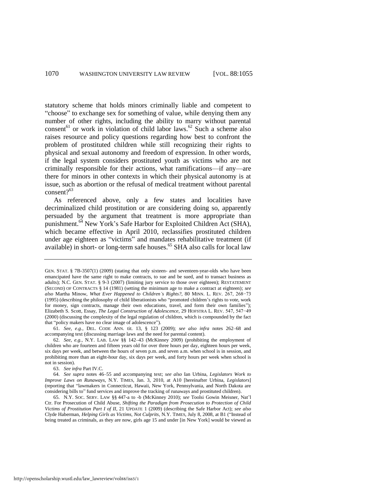statutory scheme that holds minors criminally liable and competent to "choose" to exchange sex for something of value, while denying them any number of other rights, including the ability to marry without parental consent<sup>61</sup> or work in violation of child labor laws.<sup>62</sup> Such a scheme also raises resource and policy questions regarding how best to confront the problem of prostituted children while still recognizing their rights to physical and sexual autonomy and freedom of expression. In other words, if the legal system considers prostituted youth as victims who are not criminally responsible for their actions, what ramifications—if any—are there for minors in other contexts in which their physical autonomy is at issue, such as abortion or the refusal of medical treatment without parental consent?<sup>63</sup>

<span id="page-16-1"></span>As referenced above, only a few states and localities have decriminalized child prostitution or are considering doing so, apparently persuaded by the argument that treatment is more appropriate than punishment.<sup>64</sup> New York's Safe Harbor for Exploited Children Act (SHA), which became effective in April 2010, reclassifies prostituted children under age eighteen as "victims" and mandates rehabilitative treatment (if available) in short- or long-term safe houses.<sup>65</sup> SHA also calls for local law

<span id="page-16-0"></span>GEN. STAT. § 7B-3507(1) (2009) (stating that only sixteen- and seventeen-year-olds who have been emancipated have the same right to make contracts, to sue and be sued, and to transact business as adults); N.C. GEN. STAT. § 9-3 (2007) (limiting jury service to those over eighteen); RESTATEMENT (SECOND) OF CONTRACTS § 14 (1981) (setting the minimum age to make a contract at eighteen); *see also* Martha Minow, *What Ever Happened to Children's Rights?*, 80 MINN. L. REV. 267, 268−73 (1995) (describing the philosophy of child liberationists who "promoted children's rights to vote, work for money, sign contracts, manage their own educations, travel, and form their own families"); Elizabeth S. Scott, Essay, *The Legal Construction of Adolescence*, 29 HOFSTRA L. REV. 547, 547−49 (2000) (discussing the complexity of the legal regulation of children, which is compounded by the fact that "policy makers have no clear image of adolescence").

<sup>61.</sup> *See, e.g.*, DEL. CODE ANN. tit. 13, § 123 (2009); *see also infra* notes [262–](#page-50-0)68 and accompanying text (discussing marriage laws and the need for parental content).

<sup>62.</sup> *See, e.g.*, N.Y. LAB. LAW §§ 142–43 (McKinney 2009) (prohibiting the employment of children who are fourteen and fifteen years old for over three hours per day, eighteen hours per week, six days per week, and between the hours of seven p.m. and seven a.m. when school is in session, and prohibiting more than an eight-hour day, six days per week, and forty hours per week when school is not in session).

<sup>63.</sup> *See infra* Part IV.C.

<sup>64.</sup> *See supra* notes [46](#page-13-0)[–55](#page-15-1) and accompanying text; *see also* Ian Urbina, *Legislators Work to Improve Laws on Runaways*, N.Y. TIMES, Jan. 3, 2010, at A10 [hereinafter Urbina, *Legislators*] (reporting that "lawmakers in Connecticut, Hawaii, New York, Pennsylvania, and North Dakota are considering bills to" fund services and improve the tracking of runaways and prostituted children).

<sup>65.</sup> N.Y. SOC. SERV. LAW §§ 447-a to -b (McKinney 2010); *see* Toolsi Gowin Meisner, Nat'l Ctr. For Prosecution of Child Abuse, *Shifting the Paradigm from Prosecution to Protection of Child Victims of Prostitution Part I of II*, 21 UPDATE 1 (2009) (describing the Safe Harbor Act); *see also* Clyde Haberman, *Helping Girls as Victims, Not Culprits*, N.Y. TIMES, July 8, 2008, at B1 ("Instead of being treated as criminals, as they are now, girls age 15 and under [in New York] would be viewed as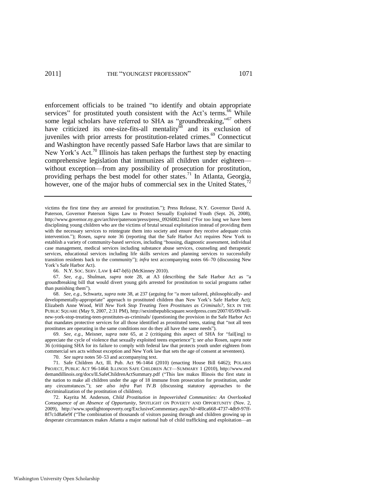<span id="page-17-2"></span><span id="page-17-1"></span><span id="page-17-0"></span>enforcement officials to be trained "to identify and obtain appropriate services" for prostituted youth consistent with the Act's terms.<sup>66</sup> While some legal scholars have referred to SHA as "groundbreaking,"<sup>67</sup> others have criticized its one-size-fits-all mentality and its exclusion of juveniles with prior arrests for prostitution-related crimes.<sup>69</sup> Connecticut and Washington have recently passed Safe Harbor laws that are similar to New York's Act.<sup>70</sup> Illinois has taken perhaps the furthest step by enacting comprehensive legislation that immunizes all children under eighteen without exception—from any possibility of prosecution for prostitution, providing perhaps the best model for other states.<sup>71</sup> In Atlanta, Georgia, however, one of the major hubs of commercial sex in the United States,<sup>7</sup>

67. *See, e.g.*, Shulman, *supra* note [28,](#page-8-1) at A3 (describing the Safe Harbor Act as "a groundbreaking bill that would divert young girls arrested for prostitution to social programs rather than punishing them<sup>"</sup>).

68. See, e.g., Schwartz, *supra* note [38,](#page-10-0) at 237 (arguing for "a more tailored, philosophically- and developmentally-appropriate" approach to prostituted children than New York's Safe Harbor Act); Elizabeth Anne Wood, *Will New York Stop Treating Teen Prostitutes as Criminals?*, SEX IN THE PUBLIC SQUARE (May 9, 2007, 2:31 PM), http://sexinthepublicsquare.wordpress.com/2007/05/09/willnew-york-stop-treating-teen-prostitutes-as-criminals/ (questioning the provision in the Safe Harbor Act that mandates protective services for all those identified as prostituted teens, stating that "not all teen prostitutes are operating in the same conditions nor do they all have the same needs").

69. *See, e.g.*, Meisner, *supra* note [65,](#page-16-0) at 2 (critiquing this aspect of SHA for "fail[ing] to appreciate the cycle of violence that sexually exploited teens experience‖); *see also* Rosen, *supra* note [36](#page-10-1) (critiquing SHA for its failure to comply with federal law that protects youth under eighteen from commercial sex acts without exception and New York law that sets the age of consent at seventeen).

70. *See supra* note[s 50](#page-14-0)[–53 a](#page-14-1)nd accompanying text.

<span id="page-17-3"></span>victims the first time they are arrested for prostitution.‖); Press Release, N.Y. Governor David A. Paterson, Governor Paterson Signs Law to Protect Sexually Exploited Youth (Sept. 26, 2008), http://www.governor.ny.gov/archive/paterson/press/press\_0926082.html ("For too long we have been disciplining young children who are the victims of brutal sexual exploitation instead of providing them with the necessary services to reintegrate them into society and ensure they receive adequate crisis intervention."); Rosen, *supra* note [36](#page-10-1) (reporting that the Safe Harbor Act requires New York to establish a variety of community-based services, including "housing, diagnostic assessment, individual case management, medical services including substance abuse services, counseling and therapeutic services, educational services including life skills services and planning services to successfully transition residents back to the community"); *infra* text accompanying notes [66](#page-17-1)[–70](#page-17-0) (discussing New York's Safe Harbor Act).

<sup>66.</sup> N.Y. SOC. SERV. LAW § 447-b(6) (McKinney 2010).

<sup>71.</sup> Safe Children Act, Ill. Pub. Act 96-1464 (2010) (enacting House Bill 6462); POLARIS PROJECT, PUBLIC ACT 96-1464: ILLINOIS SAFE CHILDREN ACT—SUMMARY 1 (2010), http://www.end demandillinois.org/docs/ILSafeChildrenActSummary.pdf ("This law makes Illinois the first state in the nation to make all children under the age of 18 immune from prosecution for prostitution, under any circumstances.‖); *see also infra* Part IV.B (discussing statutory approaches to the decriminalization of the prostitution of children).

<sup>72.</sup> Kayrita M. Anderson, *Child Prostitution in Impoverished Communities: An Overlooked Consequence of an Absence of Opportunity*, SPOTLIGHT ON POVERTY AND OPPORTUNITY (Nov. 2, 2009), http://www.spotlightonpoverty.org/ExclusiveCommentary.aspx?id=4f0ca668-4737-4db9-97ff-8f7c1d8a6e9f ("The combination of thousands of visitors passing through and children growing up in desperate circumstances makes Atlanta a major national hub of child trafficking and exploitation—an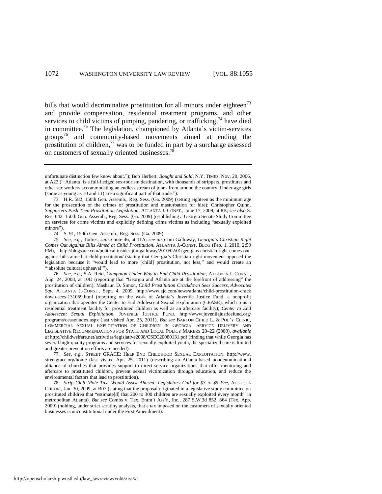<span id="page-18-1"></span><span id="page-18-0"></span>bills that would decriminalize prostitution for all minors under eighteen<sup>73</sup> and provide compensation, residential treatment programs, and other services to child victims of pimping, pandering, or trafficking, $74$  have died in committee.<sup>75</sup> The legislation, championed by Atlanta's victim-services groups<sup>76</sup> and community-based movements aimed at ending the prostitution of children,  $\frac{77}{10}$  was to be funded in part by a surcharge assessed on customers of sexually oriented businesses.<sup>78</sup>

74. S. 91, 150th Gen. Assemb., Reg. Sess. (Ga. 2009).

75. *See, e.g.*, Todres, *supra* note [46,](#page-13-0) at 11A; *see also* Jim Galloway, *Georgia's Christian Right Comes Out Against Bills Aimed at Child Prostitution*, ATLANTA J.-CONST. BLOG (Feb. 1, 2010, 2:59 PM), http://blogs.ajc.com/political-insider-jim-galloway/2010/02/01/georgias-christian-right-comes-outagainst-bills-aimed-at-child-prostitution/ (stating that Georgia's Christian right movement opposed the legislation because it "would lead to more [child] prostitution, not less," and would create an ―‗absolute cultural upheaval'‖).

77. *See, e.g.*, STREET GRACE: HELP END CHILDHOOD SEXUAL EXPLOITATION, http://www. streetgrace.org/home (last visited Apr. 25, 2011) (describing an Atlanta-based nondenominational alliance of churches that provides support to direct-service organizations that offer mentoring and aftercare to prostituted children, prevent sexual victimization through education, and reduce the environmental factors that lead to prostitution).

78. *Strip Club ‗Pole Tax' Would Assist Abused: Legislators Call for \$3 to \$5 Fee*, AUGUSTA CHRON., Jan. 30, 2009, at B07 (stating that the proposal originated in a legislative study committee on prostituted children that "estimate[d] that 200 to 300 children are sexually exploited every month" in metropolitan Atlanta). *But see* Combs v. Tex. Entm't Ass'n, Inc., 287 S.W.3d 852, 864 (Tex. App. 2009) (holding, under strict scrutiny analysis, that a tax imposed on the customers of sexually oriented businesses is unconstitutional under the First Amendment).

unfortunate distinction few know about."); Bob Herbert, *Bought and Sold*, N.Y. TIMES, Nov. 20, 2006, at A23 ("[Atlanta] is a full-fledged sex-tourism destination, with thousands of strippers, prostitutes and other sex workers accommodating an endless stream of johns from around the country. Under-age girls (some as young as 10 and 11) are a significant part of that trade.").

<sup>73.</sup> H.R. 582, 150th Gen. Assemb., Reg. Sess. (Ga. 2009) (setting eighteen as the minimum age for the prosecution of the crimes of prostitution and masturbation for hire); Christopher Quinn, *Supporters Push Teen Prostitution Legislation*, ATLANTA J.-CONST., June 17, 2009, at 8B; *see also* S. Res. 642, 150th Gen. Assemb., Reg. Sess. (Ga. 2009) (establishing a Georgia Senate Study Committee on services for crime victims and explicitly defining crime victims as including "sexually exploited minors").

<sup>76.</sup> *See, e.g.*, S.A. Reid, *Campaign Under Way to End Child Prostitution*, ATLANTA J.-CONST., Aug. 24, 2008, at 10D (reporting that "Georgia and Atlanta are at the forefront of addressing" the prostitution of children); Mashaun D. Simon, *Child Prostitution Crackdown Sees Success, Advocates Say*, ATLANTA J.-CONST., Sept. 4, 2009, http://www.ajc.com/news/atlanta/child-prostitution-crack down-sees-131059.html (reporting on the work of Atlanta's Juvenile Justice Fund, a nonprofit organization that operates the Center to End Adolescent Sexual Exploitation (CEASE), which runs a residential treatment facility for prostituted children as well as an aftercare facility); *Center to End Adolescent Sexual Exploitation*, JUVENILE JUSTICE FUND, http://www.juvenilejusticefund.org/ programs/cease/index.aspx (last visited Apr. 25, 2011). *But see* BARTON CHILD L. & POL'Y CLINIC, COMMERCIAL SEXUAL EXPLOITATION OF CHILDREN IN GEORGIA: SERVICE DELIVERY AND LEGISLATIVE RECOMMENDATIONS FOR STATE AND LOCAL POLICY MAKERS 20–22 (2008), *available at* http://childwelfare.net/activities/legislative2008/CSEC20080131.pdf (finding that while Georgia has several high-quality programs and services for sexually exploited youth, the specialized care is limited and greater prevention efforts are needed).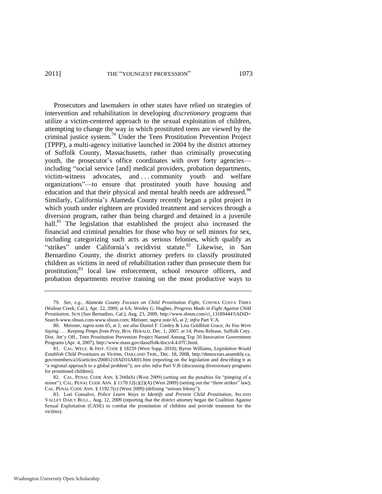#### 2011] THE "YOUNGEST PROFESSION" 1073

<span id="page-19-0"></span>Prosecutors and lawmakers in other states have relied on strategies of intervention and rehabilitation in developing *discretionary* programs that utilize a victim-centered approach to the sexual exploitation of children, attempting to change the way in which prostituted teens are viewed by the criminal justice system.<sup>79</sup> Under the Teen Prostitution Prevention Project (TPPP), a multi-agency initiative launched in 2004 by the district attorney of Suffolk County, Massachusetts, rather than criminally prosecuting youth, the prosecutor's office coordinates with over forty agencies including "social service [and] medical providers, probation departments, victim-witness advocates, and . . . community youth and welfare organizations‖—to ensure that prostituted youth have housing and education and that their physical and mental health needs are addressed.<sup>80</sup> Similarly, California's Alameda County recently began a pilot project in which youth under eighteen are provided treatment and services through a diversion program, rather than being charged and detained in a juvenile hall.<sup>81</sup> The legislation that established the project also increased the financial and criminal penalties for those who buy or sell minors for sex, including categorizing such acts as serious felonies, which qualify as "strikes" under California's recidivist statute.<sup>82</sup> Likewise, in San Bernardino County, the district attorney prefers to classify prostituted children as victims in need of rehabilitation rather than prosecute them for prostitution;<sup>83</sup> local law enforcement, school resource officers, and probation departments receive training on the most productive ways to

<span id="page-19-2"></span><span id="page-19-1"></span><sup>79.</sup> *See, e.g.*, *Alameda County Focuses on Child Prostitution Fight*, CONTRA COSTA TIMES (Walnut Creek, Cal.), Apr. 22, 2009, at 6A; Wesley G. Hughes, *Progress Made in Fight Against Child Prostitution*, SUN (San Bernadino, Cal.), Aug. 23, 2009, http://www.sbsun.com/ci\_13189444?iADiD= Search-www.sbsun.com-www.sbsun.com; Meisner, *supra* not[e 65,](#page-16-0) at 2; *infra* Part V.A.

<sup>80.</sup> Meisner, *supra* not[e 65,](#page-16-0) at 2; *see also* Daniel F. Conley & Lisa Goldblatt Grace, *As You Were Saying . . . Keeping Pimps from Prey*, BOS. HERALD, Dec. 1, 2007, at 14; Press Release, Suffolk Cnty. Dist. Att'y Off., Teen Prostitution Prevention Project Named Among Top 50 Innovative Government Programs (Apr. 4, 2007), http://www.mass.gov/dasuffolk/docs/4.4.07C.html.

<sup>81.</sup> CAL. WELF. & INST. CODE § 18259 (West Supp. 2010); Byron Williams, *Legislation Would Establish Child Prostitutes as Victims*, OAKLAND TRIB., Dec. 18, 2008, http://democrats.assembly.ca. gov/members/a16/articles/20081218AD16AR01.htm (reporting on the legislation and describing it as ―a regional approach to a global problem‖); *see also infra* Part V.B (discussing diversionary programs for prostituted children).

<sup>82.</sup> CAL. PENAL CODE ANN.  $\S$  266h(b) (West 2009) (setting out the penalties for "pimping of a minor"); CAL. PENAL CODE ANN.  $\S 1170.12(c)(2)(A)$  (West 2009) (setting out the "three strikes" law); CAL. PENAL CODE ANN. § 1192.7(c) (West 2009) (defining "serious felony").

<sup>83.</sup> Lori Consalvo, *Police Learn Ways to Identify and Prevent Child Prostitution*, INLAND VALLEY DAILY BULL., Aug. 12, 2009 (reporting that the district attorney began the Coalition Against Sexual Exploitation (CASE) to combat the prostitution of children and provide treatment for the victims).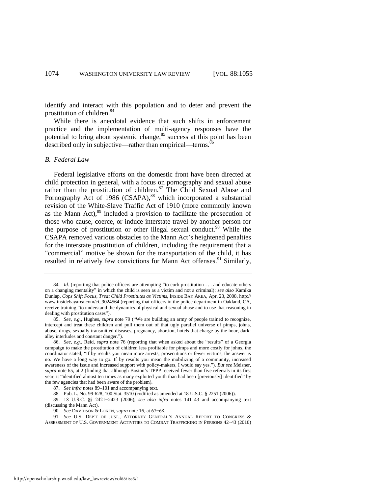identify and interact with this population and to deter and prevent the prostitution of children.<sup>84</sup>

While there is anecdotal evidence that such shifts in enforcement practice and the implementation of multi-agency responses have the potential to bring about systemic change, $85$  success at this point has been described only in subjective—rather than empirical—terms. $86$ 

#### *B. Federal Law*

<span id="page-20-0"></span>Federal legislative efforts on the domestic front have been directed at child protection in general, with a focus on pornography and sexual abuse rather than the prostitution of children.<sup>87</sup> The Child Sexual Abuse and Pornography Act of 1986 (CSAPA),<sup>88</sup> which incorporated a substantial revision of the White-Slave Traffic Act of 1910 (more commonly known as the Mann Act), $89$  included a provision to facilitate the prosecution of those who cause, coerce, or induce interstate travel by another person for the purpose of prostitution or other illegal sexual conduct.<sup>90</sup> While the CSAPA removed various obstacles to the Mann Act's heightened penalties for the interstate prostitution of children, including the requirement that a ―commercial‖ motive be shown for the transportation of the child, it has resulted in relatively few convictions for Mann Act offenses.<sup>91</sup> Similarly,

87. *See infra* notes [89–](#page-20-0)[101 a](#page-22-0)nd accompanying text.

<span id="page-20-1"></span><sup>84.</sup> *Id.* (reporting that police officers are attempting "to curb prostitution . . . and educate others on a changing mentality‖ in which the child is seen as a victim and not a criminal); *see also* Kamika Dunlap, *Cops Shift Focus, Treat Child Prostitutes as Victims*, INSIDE BAY AREA, Apr. 23, 2008, http:// www.insidebayarea.com/ci\_9024564 (reporting that officers in the police department in Oakland, CA, receive training "to understand the dynamics of physical and sexual abuse and to use that reasoning in dealing with prostitution cases").

<sup>85.</sup> *See, e.g.*, Hughes, *supra* not[e 79](#page-19-0) ("We are building an army of people trained to recognize, intercept and treat these children and pull them out of that ugly parallel universe of pimps, johns, abuse, drugs, sexually transmitted diseases, pregnancy, abortion, hotels that charge by the hour, darkalley interludes and constant danger.").

<sup>86.</sup> *See, e.g.*, Reid, *supra* note [76](#page-18-0) (reporting that when asked about the "results" of a Georgia campaign to make the prostitution of children less profitable for pimps and more costly for johns, the coordinator stated, "If by results you mean more arrests, prosecutions or fewer victims, the answer is no. We have a long way to go. If by results you mean the mobilizing of a community, increased awareness of the issue and increased support with policy-makers, I would say yes."). But see Meisner, *supra* note [65,](#page-16-0) at 2 (finding that although Boston's TPPP received fewer than five referrals in its first year, it "identified almost ten times as many exploited youth than had been [previously] identified" by the few agencies that had been aware of the problem).

<sup>88.</sup> Pub. L. No. 99-628, 100 Stat. 3510 (codified as amended at 18 U.S.C. § 2251 (2006)).

<sup>89. 18</sup> U.S.C. §§ 2421−2423 (2006); *see also infra* notes [141–](#page-28-0)43 and accompanying text (discussing the Mann Act).

<sup>90.</sup> *See* DAVIDSON & LOKEN, *supra* note [16,](#page-6-1) at 67−68.

<sup>91.</sup> *See* U.S. DEP'T OF JUST., ATTORNEY GENERAL'S ANNUAL REPORT TO CONGRESS & ASSESSMENT OF U.S. GOVERNMENT ACTIVITIES TO COMBAT TRAFFICKING IN PERSONS 42–43 (2010)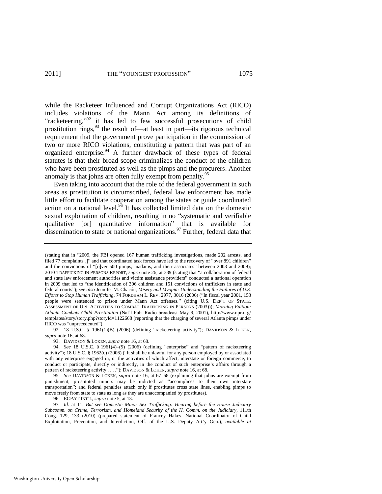<span id="page-21-0"></span>while the Racketeer Influenced and Corrupt Organizations Act (RICO) includes violations of the Mann Act among its definitions of "racketeering,"<sup>92</sup> it has led to few successful prosecutions of child prostitution rings,  $93$  the result of—at least in part—its rigorous technical requirement that the government prove participation in the commission of two or more RICO violations, constituting a pattern that was part of an organized enterprise. $94$  A further drawback of these types of federal statutes is that their broad scope criminalizes the conduct of the children who have been prostituted as well as the pimps and the procurers. Another anomaly is that johns are often fully exempt from penalty.<sup>95</sup>

<span id="page-21-1"></span>Even taking into account that the role of the federal government in such areas as prostitution is circumscribed, federal law enforcement has made little effort to facilitate cooperation among the states or guide coordinated action on a national level.<sup>96</sup> It has collected limited data on the domestic sexual exploitation of children, resulting in no "systematic and verifiable qualitative [or] quantitative information" that is available for dissemination to state or national organizations.<sup>97</sup> Further, federal data that

92. 18 U.S.C. § 1961(1)(B) (2006) (defining "racketeering activity"); DAVIDSON & LOKEN, *supra* not[e 16,](#page-6-1) at 68.

93. DAVIDSON & LOKEN, *supra* not[e 16,](#page-6-1) at 68.

95*. See* DAVIDSON & LOKEN, *supra* note [16,](#page-6-1) at 67–68 (explaining that johns are exempt from punishment; prostituted minors may be indicted as "accomplices to their own interstate transportation‖; and federal penalties attach only if prostitutes cross state lines, enabling pimps to move freely from state to state as long as they are unaccompanied by prostitutes).

96. ECPAT INT'L, *supra* not[e 5,](#page-4-0) at 13.

97. *Id.* at 11. *But see Domestic Minor Sex Trafficking: Hearing before the House Judiciary Subcomm. on Crime, Terrorism, and Homeland Security of the H. Comm. on the Judiciary*, 111th Cong. 129, 133 (2010) (prepared statement of Francey Hakes, National Coordinator of Child Exploitation, Prevention, and Interdiction, Off. of the U.S. Deputy Att'y Gen.), *available at* 

<sup>(</sup>stating that in "2009, the FBI opened 167 human trafficking investigations, made 202 arrests, and filed 77 complaints[,]" and that coordinated task forces have led to the recovery of "over 891 children" and the convictions of "[o]ver 500 pimps, madams, and their associates" between 2003 and 2009); 2010 TRAFFICKING IN PERSONS REPORT, *supra* not[e 26,](#page-8-0) at 339 (stating that "a collaboration of federal and state law enforcement authorities and victim assistance providers<sup>3</sup> conducted a national operation in 2009 that led to "the identification of 306 children and 151 convictions of traffickers in state and federal courts‖); *see also* Jennifer M. Chacón, *Misery and Myopia: Understanding the Failures of U.S. Efforts to Stop Human Trafficking*, 74 FORDHAM L. REV. 2977, 3016 (2006) ("In fiscal year 2001, 153 people were sentenced to prison under Mann Act offenses." (citing U.S. DEP'T OF STATE, ASSESSMENT OF U.S. ACTIVITIES TO COMBAT TRAFFICKING IN PERSONS (2003))); *Morning Edition: Atlanta Combats Child Prostitution* (Nat'l Pub. Radio broadcast May 9, 2001), http://www.npr.org/ templates/story/story.php?storyId=1122668 (reporting that the charging of several Atlanta pimps under RICO was "unprecedented").

<sup>94.</sup> *See* 18 U.S.C. § 1961(4)–(5) (2006) (defining "enterprise" and "pattern of racketeering activity"); 18 U.S.C. § 1962(c) (2006) ("It shall be unlawful for any person employed by or associated with any enterprise engaged in, or the activities of which affect, interstate or foreign commerce, to conduct or participate, directly or indirectly, in the conduct of such enterprise's affairs through a pattern of racketeering activity . . . ."); DAVIDSON & LOKEN, *supra* not[e 16,](#page-6-1) at 68.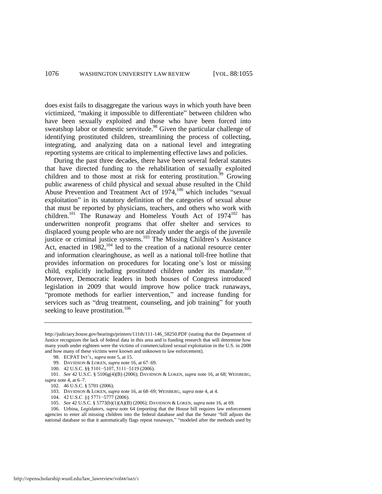<span id="page-22-1"></span>does exist fails to disaggregate the various ways in which youth have been victimized, "making it impossible to differentiate" between children who have been sexually exploited and those who have been forced into sweatshop labor or domestic servitude.<sup>98</sup> Given the particular challenge of identifying prostituted children, streamlining the process of collecting, integrating, and analyzing data on a national level and integrating reporting systems are critical to implementing effective laws and policies.

<span id="page-22-0"></span>During the past three decades, there have been several federal statutes that have directed funding to the rehabilitation of sexually exploited children and to those most at risk for entering prostitution.<sup>99</sup> Growing public awareness of child physical and sexual abuse resulted in the Child Abuse Prevention and Treatment Act of  $1974$ ,<sup>100</sup> which includes "sexual exploitation" in its statutory definition of the categories of sexual abuse that must be reported by physicians, teachers, and others who work with children.<sup>101</sup> The Runaway and Homeless Youth Act of 1974<sup>102</sup> has underwritten nonprofit programs that offer shelter and services to displaced young people who are not already under the aegis of the juvenile justice or criminal justice systems.<sup>103</sup> The Missing Children's Assistance Act, enacted in  $1982$ ,<sup>104</sup> led to the creation of a national resource center and information clearinghouse, as well as a national toll-free hotline that provides information on procedures for locating one's lost or missing child, explicitly including prostituted children under its mandate.<sup>105</sup> Moreover, Democratic leaders in both houses of Congress introduced legislation in 2009 that would improve how police track runaways, "promote methods for earlier intervention," and increase funding for services such as "drug treatment, counseling, and job training" for youth seeking to leave prostitution.<sup>106</sup>

104. 42 U.S.C. §§ 5771−5777 (2006).

http://judiciary.house.gov/hearings/printers/111th/111-146\_58250.PDF (stating that the Department of Justice recognizes the lack of federal data in this area and is funding research that will determine how many youth under eighteen were the victims of commercialized sexual exploitation in the U.S. in 2008 and how many of these victims were known and unknown to law enforcement).

<sup>98.</sup> ECPAT INT'L, *supra* not[e 5,](#page-4-0) at 15.

<sup>99.</sup> DAVIDSON & LOKEN, *supra* not[e 16,](#page-6-1) at 67–69.

<sup>100. 42</sup> U.S.C. §§ 5101−5107, 5111−5119 (2006).

<sup>101.</sup> *See* 42 U.S.C. § 5106g(4)(B) (2006); DAVIDSON & LOKEN, *supra* note [16,](#page-6-1) at 68; WEISBERG, *supra* not[e 4,](#page-4-1) at 6–7.

<sup>102. 46</sup> U.S.C. § 5701 (2006).

<sup>103.</sup> DAVIDSON & LOKEN, *supra* not[e 16,](#page-6-1) at 68–69; WEISBERG, *supra* not[e 4,](#page-4-1) at 4.

<sup>105.</sup> *See* 42 U.S.C. § 5773(b)(1)(A)(B) (2006); DAVIDSON & LOKEN, *supra* not[e 16,](#page-6-1) at 69.

<sup>106.</sup> Urbina, *Legislators*, *supra* note [64](#page-16-1) (reporting that the House bill requires law enforcement agencies to enter all missing children into the federal database and that the Senate "bill adjusts the national database so that it automatically flags repeat runaways," "modeled after the methods used by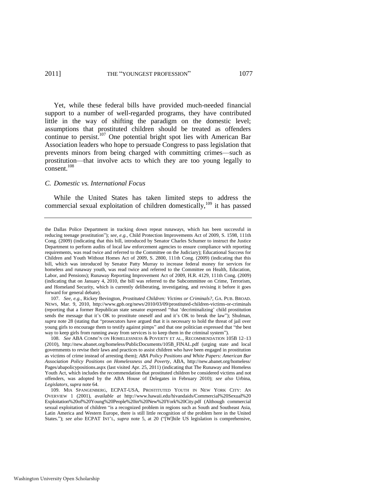#### 2011] THE "YOUNGEST PROFESSION" 1077

Yet, while these federal bills have provided much-needed financial support to a number of well-regarded programs, they have contributed little in the way of shifting the paradigm on the domestic level; assumptions that prostituted children should be treated as offenders continue to persist.<sup>107</sup> One potential bright spot lies with American Bar Association leaders who hope to persuade Congress to pass legislation that prevents minors from being charged with committing crimes—such as prostitution—that involve acts to which they are too young legally to consent.<sup>108</sup>

#### *C. Domestic vs. International Focus*

<span id="page-23-0"></span>While the United States has taken limited steps to address the commercial sexual exploitation of children domestically,<sup>109</sup> it has passed

the Dallas Police Department in tracking down repeat runaways, which has been successful in reducing teenage prostitution"); *see, e.g.*, Child Protection Improvements Act of 2009, S. 1598, 111th Cong. (2009) (indicating that this bill, introduced by Senator Charles Schumer to instruct the Justice Department to perform audits of local law enforcement agencies to ensure compliance with reporting requirements, was read twice and referred to the Committee on the Judiciary); Educational Success for Children and Youth Without Homes Act of 2009, S. 2800, 111th Cong. (2009) (indicating that this bill, which was introduced by Senator Patty Murray to increase federal money for services for homeless and runaway youth, was read twice and referred to the Committee on Health, Education, Labor, and Pensions); Runaway Reporting Improvement Act of 2009, H.R. 4129, 111th Cong. (2009) (indicating that on January 4, 2010, the bill was referred to the Subcommittee on Crime, Terrorism, and Homeland Security, which is currently deliberating, investigating, and revising it before it goes forward for general debate).

<sup>107.</sup> *See, e.g.*, Rickey Bevington, *Prostituted Children: Victims or Criminals?*, GA. PUB. BROAD. NEWS, Mar. 9, 2010, http://www.gpb.org/news/2010/03/09/prostituted-children-victims-or-criminals (reporting that a former Republican state senator expressed "that 'decriminalizing' child prostitution sends the message that it's OK to prostitute oneself and and it's OK to break the law"); Shulman, *supra* note [28](#page-8-1) (stating that "prosecutors have argued that it is necessary to hold the threat of jail over young girls to encourage them to testify against pimps" and that one politician expressed that "the best way to keep girls from running away from services is to keep them in the criminal system").

<sup>108.</sup> *See* ABA COMM'N ON HOMELESSNESS & POVERTY ET AL., RECOMMENDATION 105B 12–13 (2010), http://new.abanet.org/homeless/PublicDocuments/105B\_FINAL.pdf (urging state and local governments to revise their laws and practices to assist children who have been engaged in prostitution as victims of crime instead of arresting them); *ABA Policy Positions and White Papers: American Bar Association Policy Positions on Homelessness and Poverty*, ABA, http://new.abanet.org/homeless/ Pages/abapolicypositions.aspx (last visited Apr. 25, 2011) (indicating that The Runaway and Homeless Youth Act, which includes the recommendation that prostituted children be considered victims and not offenders, was adopted by the ABA House of Delegates in February 2010); *see also* Urbina, *Legislators*, *supra* not[e 64.](#page-16-1)

<sup>109.</sup> MIA SPANGENBERG, ECPAT-USA, PROSTITUTED YOUTH IN NEW YORK CITY: AN OVERVIEW 1 (2001), *available at* http://www.hawaii.edu/hivandaids/Commercial%20Sexual%20 Exploitation%20of%20Young%20People%20in%20New%20York%20City.pdf (Although commercial sexual exploitation of children "is a recognized problem in regions such as South and Southeast Asia, Latin America and Western Europe, there is still little recognition of the problem here in the United States."); see also ECPAT INT'L, supra note [5,](#page-4-0) at 20 ("[W]hile US legislation is comprehensive,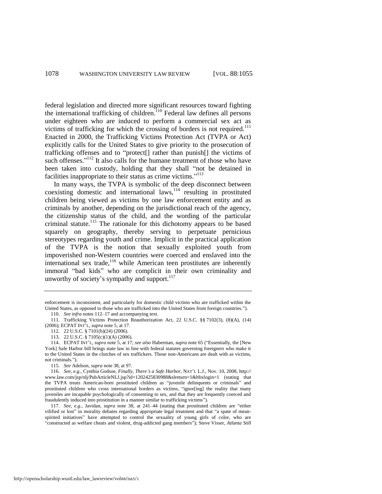federal legislation and directed more significant resources toward fighting the international trafficking of children.<sup>110</sup> Federal law defines all persons under eighteen who are induced to perform a commercial sex act as victims of trafficking for which the crossing of borders is not required.<sup>111</sup> Enacted in 2000, the Trafficking Victims Protection Act (TVPA or Act) explicitly calls for the United States to give priority to the prosecution of trafficking offenses and to "protect<sup>[]</sup> rather than punish<sup>[]</sup> the victims of such offenses."<sup>112</sup> It also calls for the humane treatment of those who have been taken into custody, holding that they shall "not be detained in facilities inappropriate to their status as crime victims."<sup>113</sup>

<span id="page-24-0"></span>In many ways, the TVPA is symbolic of the deep disconnect between coexisting domestic and international laws, $114$  resulting in prostituted children being viewed as victims by one law enforcement entity and as criminals by another, depending on the jurisdictional reach of the agency, the citizenship status of the child, and the wording of the particular criminal statute.<sup>115</sup> The rationale for this dichotomy appears to be based squarely on geography, thereby serving to perpetuate pernicious stereotypes regarding youth and crime. Implicit in the practical application of the TVPA is the notion that sexually exploited youth from impoverished non-Western countries were coerced and enslaved into the international sex trade, $116$  while American teen prostitutes are inherently immoral "bad kids" who are complicit in their own criminality and unworthy of society's sympathy and support.<sup>117</sup>

enforcement is inconsistent, and particularly for domestic child victims who are trafficked within the United States, as opposed to those who are trafficked into the United States from foreign countries.").

<sup>110.</sup> *See infra* notes [112–](#page-24-0)17 and accompanying text.

<sup>111.</sup> Trafficking Victims Protection Reauthorization Act, 22 U.S.C. §§ 7102(3), (8)(A), (14) (2006); ECPAT INT'L, *supra* not[e 5,](#page-4-0) at 17.

<sup>112. 22</sup> U.S.C. § 7101(b)(24) (2006).

<sup>113. 22</sup> U.S.C. § 7105(c)(1)(A) (2006).

<sup>114.</sup> ECPAT INT'L, *supra* note [5,](#page-4-0) at 17; *see also* Haberman, *supra* not[e 65 \(](#page-16-0)"Essentially, the [New York] Safe Harbor bill brings state law in line with federal statutes governing foreigners who make it to the United States in the clutches of sex traffickers. Those non-Americans are dealt with as victims, not criminals.").

<sup>115.</sup> *See* Adelson, *supra* not[e 38,](#page-10-0) at 97.

<sup>116.</sup> *See, e.g.*, Cynthia Godsoe, *Finally, There's a Safe Harbor*, NAT'L L.J., Nov. 10, 2008, http:// www.law.com/jsp/nlj/PubArticleNLJ.jsp?id=1202425830988&slreturn=1&hbxlogin=1 (stating that the TVPA treats American-born prostituted children as "juvenile delinquents or criminals" and prostituted children who cross international borders as victims, "ignor[ing] the reality that many juveniles are incapable psychologically of consenting to sex, and that they are frequently coerced and fraudulently induced into prostitution in a manner similar to trafficking victims").

<sup>117.</sup> See, e.g., Javidan, *supra* note [38,](#page-10-0) at 241-44 (stating that prostituted children are "either vilified or lost" in morality debates regarding appropriate legal treatment and that "a spate of meanspirited initiatives" have attempted to control the sexuality of young girls of color, who are ―constructed as welfare cheats and violent, drug-addicted gang members‖); Steve Visser, *Atlanta Still*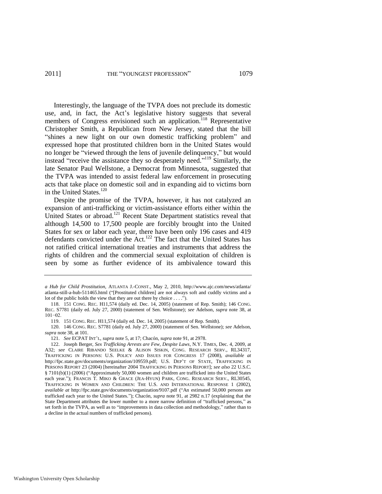Interestingly, the language of the TVPA does not preclude its domestic use, and, in fact, the Act's legislative history suggests that several members of Congress envisioned such an application.<sup>118</sup> Representative Christopher Smith, a Republican from New Jersey, stated that the bill "shines a new light on our own domestic trafficking problem" and expressed hope that prostituted children born in the United States would no longer be "viewed through the lens of juvenile delinquency," but would instead "receive the assistance they so desperately need."<sup>119</sup> Similarly, the late Senator Paul Wellstone, a Democrat from Minnesota, suggested that the TVPA was intended to assist federal law enforcement in prosecuting acts that take place on domestic soil and in expanding aid to victims born in the United States.<sup>120</sup>

<span id="page-25-0"></span>Despite the promise of the TVPA, however, it has not catalyzed an expansion of anti-trafficking or victim-assistance efforts either within the United States or abroad.<sup>121</sup> Recent State Department statistics reveal that although 14,500 to 17,500 people are forcibly brought into the United States for sex or labor each year, there have been only 196 cases and 419 defendants convicted under the Act.<sup>122</sup> The fact that the United States has not ratified critical international treaties and instruments that address the rights of children and the commercial sexual exploitation of children is seen by some as further evidence of its ambivalence toward this

*a Hub for Child Prostitution*, ATLANTA J.-CONST., May 2, 2010, http://www.ajc.com/news/atlanta/ atlanta-still-a-hub-511465.html ("[Prostituted children] are not always soft and cuddly victims and a lot of the public holds the view that they are out there by choice  $\dots$ .").

<sup>118. 151</sup> CONG. REC. H11,574 (daily ed. Dec. 14, 2005) (statement of Rep. Smith); 146 CONG. REC. S7781 (daily ed. July 27, 2000) (statement of Sen. Wellstone); *see* Adelson, *supra* note [38,](#page-10-0) at 101−02.

<sup>119. 151</sup> CONG. REC. H11,574 (daily ed. Dec. 14, 2005) (statement of Rep. Smith).

<sup>120. 146</sup> CONG. REC. S7781 (daily ed. July 27, 2000) (statement of Sen. Wellstone); *see* Adelson, *supra* not[e 38,](#page-10-0) at 101.

<sup>121.</sup> *See* ECPAT INT'L, *supra* not[e 5,](#page-4-0) at 17; Chacón, *supra* not[e 91,](#page-20-1) at 2978.

<sup>122.</sup> Joseph Berger, *Sex Trafficking Arrests are Few, Despite Laws*, N.Y. TIMES, Dec. 4, 2009, at A32; *see* CLAIRE RIBANDO SEELKE & ALISON SISKIN, CONG. RESEARCH SERV., RL34317, TRAFFICKING IN PERSONS: U.S. POLICY AND ISSUES FOR CONGRESS 17 (2008), *available at*  http://fpc.state.gov/documents/organization/109559.pdf; U.S. DEP'T OF STATE, TRAFFICKING IN PERSONS REPORT 23 (2004) [hereinafter 2004 TRAFFICKING IN PERSONS REPORT]; *see also* 22 U.S.C. § 7101(b)(1) (2006) ("Approximately 50,000 women and children are trafficked into the United States each year."); FRANCIS T. MIKO & GRACE (JEA-HYUN) PARK, CONG. RESEARCH SERV., RL30545, TRAFFICKING IN WOMEN AND CHILDREN: THE U.S. AND INTERNATIONAL RESPONSE 1 (2002), *available at* http://fpc.state.gov/documents/organization/9107.pdf ("An estimated 50,000 persons are trafficked each year to the United States."); Chacón, *supra* note [91,](#page-20-1) at 2982 n.17 (explaining that the State Department attributes the lower number to a more narrow definition of "trafficked persons," as set forth in the TVPA, as well as to "improvements in data collection and methodology," rather than to a decline in the actual numbers of trafficked persons).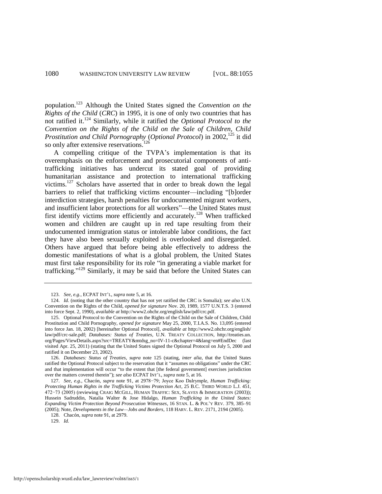population.<sup>123</sup> Although the United States signed the *Convention on the Rights of the Child* (*CRC*) in 1995, it is one of only two countries that has not ratified it.<sup>124</sup> Similarly, while it ratified the *Optional Protocol to the Convention on the Rights of the Child on the Sale of Children, Child Prostitution and Child Pornography* (*Optional Protocol*) in 2002,<sup>125</sup> it did so only after extensive reservations.<sup>126</sup>

<span id="page-26-0"></span>A compelling critique of the TVPA's implementation is that its overemphasis on the enforcement and prosecutorial components of antitrafficking initiatives has undercut its stated goal of providing humanitarian assistance and protection to international trafficking victims.<sup>127</sup> Scholars have asserted that in order to break down the legal barriers to relief that trafficking victims encounter—including "[b]order interdiction strategies, harsh penalties for undocumented migrant workers, and insufficient labor protections for all workers"—the United States must first identify victims more efficiently and accurately.<sup>128</sup> When trafficked women and children are caught up in red tape resulting from their undocumented immigration status or intolerable labor conditions, the fact they have also been sexually exploited is overlooked and disregarded. Others have argued that before being able effectively to address the domestic manifestations of what is a global problem, the United States must first take responsibility for its role "in generating a viable market for trafficking."<sup>129</sup> Similarly, it may be said that before the United States can

<sup>123.</sup> *See, e.g.*, ECPAT INT'L, *supra* not[e 5,](#page-4-0) at 16.

<sup>124.</sup> *Id.* (noting that the other country that has not yet ratified the CRC is Somalia); *see also* U.N. Convention on the Rights of the Child, *opened for signature* Nov. 20, 1989, 1577 U.N.T.S. 3 (entered into force Sept. 2, 1990), *available at* http://www2.ohchr.org/english/law/pdf/crc.pdf.

<sup>125.</sup> Optional Protocol to the Convention on the Rights of the Child on the Sale of Children, Child Prostitution and Child Pornography, *opened for signature* May 25, 2000, T.I.A.S. No. 13,095 (entered into force Jan. 18, 2002) [hereinafter Optional Protocol], *available at* http://www2.ohchr.org/english/ law/pdf/crc-sale.pdf; *Databases: Status of Treaties*, U.N. TREATY COLLECTION, http://treaties.un. org/Pages/ViewDetails.aspx?src=TREATY&mtdsg\_no=IV-11-c&chapter=4&lang=en#EndDec (last visited Apr. 25, 2011) (stating that the United States signed the Optional Protocol on July 5, 2000 and ratified it on December 23, 2002).

<sup>126.</sup> *Databases: Status of Treaties*, *supra* note [125](#page-26-0) (stating, *inter alia*, that the United States ratified the Optional Protocol subject to the reservation that it "assumes no obligations" under the CRC and that implementation will occur "to the extent that [the federal government] exercises jurisdiction over the matters covered therein‖); *see also* ECPAT INT'L, *supra* not[e 5,](#page-4-0) at 16.

<sup>127.</sup> *See, e.g.*, Chacón, *supra* note [91,](#page-20-1) at 2978−79; Joyce Koo Dalrymple, *Human Trafficking: Protecting Human Rights in the Trafficking Victims Protection Act*, 25 B.C. THIRD WORLD L.J. 451, 472−73 (2005) (reviewing CRAIG MCGILL, HUMAN TRAFFIC: SEX, SLAVES & IMMIGRATION (2003)); Hussein Sadruddin, Natalia Walter & Jose Hidalgo, *Human Trafficking in the United States: Expanding Victim Protection Beyond Prosecution Witnesses*, 16 STAN. L. & POL'Y REV. 379, 385–91 (2005); Note, *Developments in the Law—Jobs and Borders*, 118 HARV. L. REV. 2171, 2194 (2005).

<sup>128.</sup> Chacón, *supra* not[e 91,](#page-20-1) at 2979.

<sup>129.</sup> *Id.*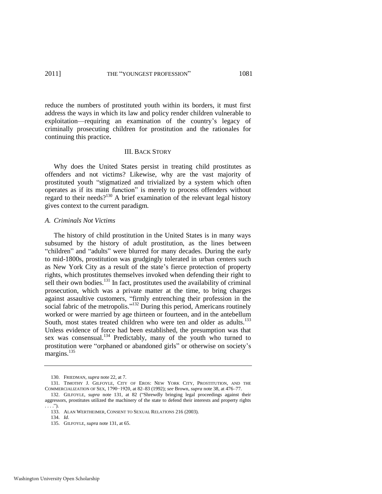reduce the numbers of prostituted youth within its borders, it must first address the ways in which its law and policy render children vulnerable to exploitation—requiring an examination of the country's legacy of criminally prosecuting children for prostitution and the rationales for continuing this practice**.** 

#### III. BACK STORY

Why does the United States persist in treating child prostitutes as offenders and not victims? Likewise, why are the vast majority of prostituted youth "stigmatized and trivialized by a system which often operates as if its main function" is merely to process offenders without regard to their needs?<sup>130</sup> A brief examination of the relevant legal history gives context to the current paradigm.

#### *A. Criminals Not Victims*

<span id="page-27-0"></span>The history of child prostitution in the United States is in many ways subsumed by the history of adult prostitution, as the lines between "children" and "adults" were blurred for many decades. During the early to mid-1800s, prostitution was grudgingly tolerated in urban centers such as New York City as a result of the state's fierce protection of property rights, which prostitutes themselves invoked when defending their right to sell their own bodies.<sup>131</sup> In fact, prostitutes used the availability of criminal prosecution, which was a private matter at the time, to bring charges against assaultive customers, "firmly entrenching their profession in the social fabric of the metropolis."<sup>132</sup> During this period, Americans routinely worked or were married by age thirteen or fourteen, and in the antebellum South, most states treated children who were ten and older as adults.<sup>133</sup> Unless evidence of force had been established, the presumption was that sex was consensual.<sup>134</sup> Predictably, many of the youth who turned to prostitution were "orphaned or abandoned girls" or otherwise on society's margins. $^{135}$ 

<span id="page-27-1"></span><sup>130.</sup> FRIEDMAN, *supra* not[e 22,](#page-7-1) at 7.

<sup>131.</sup> TIMOTHY J. GILFOYLE, CITY OF EROS: NEW YORK CITY, PROSTITUTION, AND THE COMMERCIALIZATION OF SEX, 1790−1920, at 82–83 (1992); *see* Brown, *supra* not[e 38,](#page-10-0) at 476–77. 132. GILFOYLE, *supra* note [131,](#page-27-0) at 82 ("Shrewdly bringing legal proceedings against their

aggressors, prostitutes utilized the machinery of the state to defend their interests and property rights  $\ldots$ ...

<sup>133.</sup> ALAN WERTHEIMER, CONSENT TO SEXUAL RELATIONS 216 (2003).

<sup>134.</sup> *Id*.

<sup>135.</sup> GILFOYLE, *supra* not[e 131,](#page-27-0) at 65.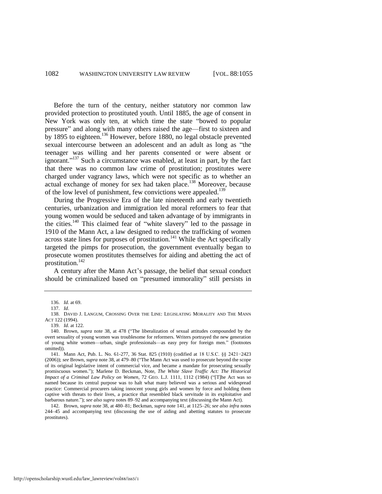Before the turn of the century, neither statutory nor common law provided protection to prostituted youth. Until 1885, the age of consent in New York was only ten, at which time the state "bowed to popular pressure" and along with many others raised the age—first to sixteen and by 1895 to eighteen.<sup>136</sup> However, before 1880, no legal obstacle prevented sexual intercourse between an adolescent and an adult as long as "the teenager was willing and her parents consented or were absent or ignorant."<sup>137</sup> Such a circumstance was enabled, at least in part, by the fact that there was no common law crime of prostitution; prostitutes were charged under vagrancy laws, which were not specific as to whether an actual exchange of money for sex had taken place.<sup>138</sup> Moreover, because of the low level of punishment, few convictions were appealed.<sup>139</sup>

During the Progressive Era of the late nineteenth and early twentieth centuries, urbanization and immigration led moral reformers to fear that young women would be seduced and taken advantage of by immigrants in the cities.<sup>140</sup> This claimed fear of "white slavery" led to the passage in 1910 of the Mann Act, a law designed to reduce the trafficking of women across state lines for purposes of prostitution.<sup>141</sup> While the Act specifically targeted the pimps for prosecution, the government eventually began to prosecute women prostitutes themselves for aiding and abetting the act of prostitution.<sup>142</sup>

<span id="page-28-0"></span>A century after the Mann Act's passage, the belief that sexual conduct should be criminalized based on "presumed immorality" still persists in

<sup>136.</sup> *Id.* at 69.

<sup>137.</sup> *Id*.

<sup>138.</sup> DAVID J. LANGUM, CROSSING OVER THE LINE: LEGISLATING MORALITY AND THE MANN ACT 122 (1994).

<sup>139.</sup> *Id.* at 122.

<sup>140.</sup> Brown, *supra* note [38,](#page-10-0) at 478 ("The liberalization of sexual attitudes compounded by the overt sexuality of young women was troublesome for reformers. Writers portrayed the new generation of young white women—urban, single professionals—as easy prey for foreign men.‖ (footnotes omitted)).

<sup>141.</sup> Mann Act, Pub. L. No. 61-277, 36 Stat. 825 (1910) (codified at 18 U.S.C. §§ 2421−2423 (2006)); see Brown, supra not[e 38,](#page-10-0) at 479–80 ("The Mann Act was used to prosecute beyond the scope of its original legislative intent of commercial vice, and became a mandate for prosecuting sexually promiscuous women."); Marlene D. Beckman, Note, *The White Slave Traffic Act: The Historical Impact of a Criminal Law Policy on Women*, 72 GEO. L.J. 1111, 1112 (1984) ("[T]he Act was so named because its central purpose was to halt what many believed was a serious and widespread practice: Commercial procurers taking innocent young girls and women by force and holding them captive with threats to their lives, a practice that resembled black servitude in its exploitative and barbarous nature.‖); *see also supra* note[s 89](#page-20-0)[–92 a](#page-21-0)nd accompanying text (discussing the Mann Act).

<sup>142.</sup> Brown, *supra* not[e 38,](#page-10-0) at 480–81; Beckman, *supra* not[e 141,](#page-28-0) at 1125–26; *see also infra* notes [244–](#page-46-0)45 and accompanying text (discussing the use of aiding and abetting statutes to prosecute prostitutes).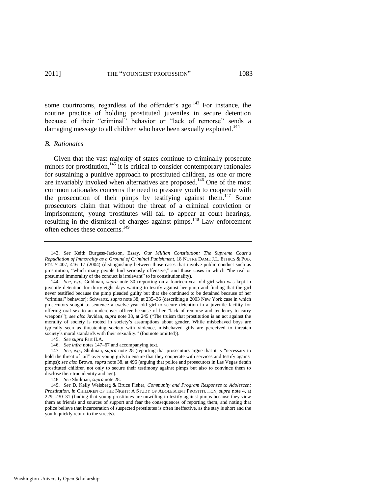<span id="page-29-0"></span>

some courtrooms, regardless of the offender's age.<sup>143</sup> For instance, the routine practice of holding prostituted juveniles in secure detention because of their "criminal" behavior or "lack of remorse" sends a damaging message to all children who have been sexually exploited.<sup>144</sup>

#### *B. Rationales*

Given that the vast majority of states continue to criminally prosecute minors for prostitution, $145$  it is critical to consider contemporary rationales for sustaining a punitive approach to prostituted children, as one or more are invariably invoked when alternatives are proposed.<sup>146</sup> One of the most common rationales concerns the need to pressure youth to cooperate with the prosecution of their pimps by testifying against them.<sup>147</sup> Some prosecutors claim that without the threat of a criminal conviction or imprisonment, young prostitutes will fail to appear at court hearings, resulting in the dismissal of charges against pimps.<sup>148</sup> Law enforcement often echoes these concerns.<sup>149</sup>

<sup>143.</sup> *See* Keith Burgess-Jackson, Essay, *Our Millian Constitution: The Supreme Court's Repudiation of Immorality as a Ground of Criminal Punishment*, 18 NOTRE DAME J.L. ETHICS & PUB. POL'Y 407, 416–17 (2004) (distinguishing between those cases that involve public conduct such as prostitution, "which many people find seriously offensive," and those cases in which "the real or presumed immorality of the conduct is irrelevant" to its constitutionality).

<sup>144.</sup> *See, e.g.*, Goldman, *supra* note [30](#page-9-1) (reporting on a fourteen-year-old girl who was kept in juvenile detention for thirty-eight days waiting to testify against her pimp and finding that the girl never testified because the pimp pleaded guilty but that she continued to be detained because of her ―criminal‖ behavior); Schwartz, *supra* not[e 38,](#page-10-0) at 235–36 (describing a 2003 New York case in which prosecutors sought to sentence a twelve-year-old girl to secure detention in a juvenile facility for offering oral sex to an undercover officer because of her "lack of remorse and tendency to carry weapons"); *see also* Javidan, *supra* note [38,](#page-10-0) at 245 ("The truism that prostitution is an act against the morality of society is rooted in society's assumptions about gender. While misbehaved boys are typically seen as threatening society with violence, misbehaved girls are perceived to threaten society's moral standards with their sexuality." (footnote omitted)).

<sup>145.</sup> *See supra* Part II.A.

<sup>146.</sup> *See infra* notes [147–](#page-29-0)67 and accompanying text.

<sup>147.</sup> *See, e.g.*, Shulman, *supra* note [28](#page-8-1) (reporting that prosecutors argue that it is "necessary to hold the threat of jail" over young girls to ensure that they cooperate with services and testify against pimps); *see also* Brown, *supra* not[e 38,](#page-10-0) at 496 (arguing that police and prosecutors in Las Vegas detain prostituted children not only to secure their testimony against pimps but also to convince them to disclose their true identity and age).

<sup>148.</sup> *See* Shulman, *supra* note [28.](#page-8-1) 

<sup>149.</sup> *See* D. Kelly Weisberg & Bruce Fisher, *Community and Program Responses to Adolescent Prostitution*, *in* CHILDREN OF THE NIGHT: A STUDY OF ADOLESCENT PROSTITUTION, *supra* note [4,](#page-4-1) at 229, 230–31 (finding that young prostitutes are unwilling to testify against pimps because they view them as friends and sources of support and fear the consequences of reporting them, and noting that police believe that incarceration of suspected prostitutes is often ineffective, as the stay is short and the youth quickly return to the streets).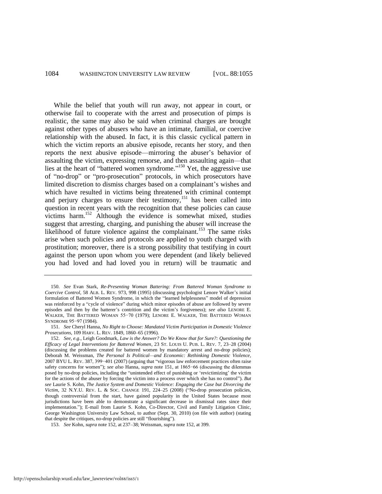While the belief that youth will run away, not appear in court, or otherwise fail to cooperate with the arrest and prosecution of pimps is realistic, the same may also be said when criminal charges are brought against other types of abusers who have an intimate, familial, or coercive relationship with the abused. In fact, it is this classic cyclical pattern in which the victim reports an abusive episode, recants her story, and then reports the next abusive episode—mirroring the abuser's behavior of assaulting the victim, expressing remorse, and then assaulting again—that lies at the heart of "battered women syndrome."<sup>150</sup> Yet, the aggressive use of "no-drop" or "pro-prosecution" protocols, in which prosecutors have limited discretion to dismiss charges based on a complainant's wishes and which have resulted in victims being threatened with criminal contempt and perjury charges to ensure their testimony,  $151$  has been called into question in recent years with the recognition that these policies can cause victims harm.<sup>152</sup> Although the evidence is somewhat mixed, studies suggest that arresting, charging, and punishing the abuser will increase the likelihood of future violence against the complainant.<sup>153</sup> The same risks arise when such policies and protocols are applied to youth charged with prostitution; moreover, there is a strong possibility that testifying in court against the person upon whom you were dependent (and likely believed you had loved and had loved you in return) will be traumatic and

<span id="page-30-1"></span><span id="page-30-0"></span><sup>150.</sup> *See* Evan Stark, *Re-Presenting Woman Battering: From Battered Woman Syndrome to Coercive Control*, 58 ALB. L. REV. 973, 998 (1995) (discussing psychologist Lenore Walker's initial formulation of Battered Women Syndrome, in which the "learned helplessness" model of depression was reinforced by a "cycle of violence" during which minor episodes of abuse are followed by severe episodes and then by the batterer's contrition and the victim's forgiveness); *see also* LENORE E. WALKER, THE BATTERED WOMAN 55−70 (1979); LENORE E. WALKER, THE BATTERED WOMAN SYNDROME 95−97 (1984).

<sup>151.</sup> *See* Cheryl Hanna, *No Right to Choose: Mandated Victim Participation in Domestic Violence Prosecutions*, 109 HARV. L. REV. 1849, 1860–65 (1996).

<sup>152.</sup> *See, e.g.*, Leigh Goodmark, *Law is the Answer? Do We Know that for Sure?: Questioning the Efficacy of Legal Interventions for Battered Women*, 23 ST. LOUIS U. PUB. L. REV. 7, 23–28 (2004) (discussing the problems created for battered women by mandatory arrest and no-drop policies); Deborah M. Weissman, *The Personal Is Political—and Economic: Rethinking Domestic Violence*, 2007 BYU L. REV. 387, 399-401 (2007) (arguing that "vigorous law enforcement practices often raise safety concerns for women"); *see also* Hanna, *supra* not[e 151,](#page-30-0) at 1865–66 (discussing the dilemmas posed by no-drop policies, including the "unintended effect of punishing or 'revictimizing' the victim for the actions of the abuser by forcing the victim into a process over which she has no control"). *But see* Laurie S. Kohn, *The Justice System and Domestic Violence: Engaging the Case but Divorcing the Victim*, 32 N.Y.U. REV. L. & Soc. CHANGE 191, 224–25 (2008) ("No-drop prosecution policies, though controversial from the start, have gained popularity in the United States because most jurisdictions have been able to demonstrate a significant decrease in dismissal rates since their implementation."); E-mail from Laurie S. Kohn, Co-Director, Civil and Family Litigation Clinic, George Washington University Law School, to author (Sept. 30, 2010) (on file with author) (stating that despite the critiques, no-drop policies are still "flourishing").

<sup>153.</sup> *See* Kohn, *supra* not[e 152,](#page-30-1) at 237–38; Weissman, *supra* not[e 152,](#page-30-1) at 399.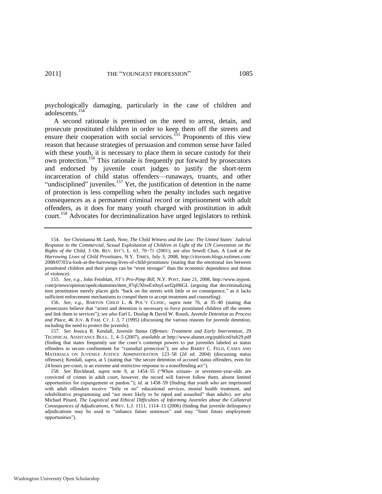psychologically damaging, particularly in the case of children and adolescents.<sup>154</sup>

<span id="page-31-0"></span>A second rationale is premised on the need to arrest, detain, and prosecute prostituted children in order to keep them off the streets and ensure their cooperation with social services.<sup>155</sup> Proponents of this view reason that because strategies of persuasion and common sense have failed with these youth, it is necessary to place them in secure custody for their own protection.<sup>156</sup> This rationale is frequently put forward by prosecutors and endorsed by juvenile court judges to justify the short-term incarceration of child status offenders—runaways, truants, and other "undisciplined" juveniles. $157$  Yet, the justification of detention in the name of protection is less compelling when the penalty includes such negative consequences as a permanent criminal record or imprisonment with adult offenders, as it does for many youth charged with prostitution in adult court.<sup>158</sup> Advocates for decriminalization have urged legislators to rethink

156. *See, e.g.*, BARTON CHILD L. & POL'Y CLINIC, *supra* note [76,](#page-18-0) at 35–40 (stating that prosecutors believe that "arrest and detention is necessary to force prostituted children off the streets and link them to services‖); *see also* Earl L. Dunlap & David W. Roush, *Juvenile Detention as Process and Place*, 46 JUV. & FAM. CT. J. 3, 7 (1995) (discussing the various reasons for juvenile detention, including the need to protect the juvenile).

<span id="page-31-1"></span><sup>154.</sup> *See* Christianna M. Lamb, Note, *The Child Witness and the Law: The United States' Judicial Response to the Commercial, Sexual Exploitation of Children in Light of the UN Convention on the Rights of the Child*, 3 OR. REV. INT'L L. 63, 70−71 (2001); *see also* Sewell Chan, A *Look at the Harrowing Lives of Child Prostitutes*, N.Y. TIMES, July 3, 2008, http://cityroom.blogs.nytimes.com/ 2008/07/03/a-look-at-the-harrowing-lives-of-child-prostitutes/ (stating that the emotional ties between prostituted children and their pimps can be "even stronger" than the economic dependence and threat of violence).

<sup>155.</sup> *See, e.g.*, John Feinblatt, *NY's Pro-Pimp Bill*, N.Y. POST, June 21, 2008, http://www.nypost. com/p/news/opinion/opedcolumnists/item\_87qUXbwEx0zyLwrf2pH6GL (arguing that decriminalizing teen prostitution merely places girls "back on the streets with little or no consequence," as it lacks sufficient enforcement mechanisms to compel them to accept treatment and counseling).

<sup>157.</sup> *See* Jessica R. Kendall, *Juvenile Status Offenses: Treatment and Early Intervention*, 29 TECHNICAL ASSISTANCE BULL. 1, 4–5 (2007), *available at* http://www.abanet.org/publiced/tab29.pdf (finding that states frequently use the court's contempt powers to put juveniles labeled as status offenders in secure confinement for "custodial protection"); see also BARRY C. FELD, CASES AND MATERIALS ON JUVENILE JUSTICE ADMINISTRATION 123–58 (2d ed. 2004) (discussing status offenses); Kendall, *supra*, at 5 (stating that "the secure detention of accused status offenders, even for 24 hours pre-court, is an extreme and restrictive response to a nonoffending act".

<sup>158.</sup> *See* Birckhead, *supra* note [9,](#page-5-1) at 1454–55 ("When sixteen- or seventeen-year-olds are convicted of crimes in adult court, however, the record will forever follow them, absent limited opportunities for expungement or pardon.‖); *id.* at 1458–59 (finding that youth who are imprisoned with adult offenders receive "little or no" educational services, mental health treatment, and rehabilitative programming and "are more likely to be raped and assaulted" than adults); see also Michael Pinard, *The Logistical and Ethical Difficulties of Informing Juveniles about the Collateral Consequences of Adjudications*, 6 NEV. L.J. 1111, 1114–15 (2006) (finding that juvenile delinquency adjudications may be used to "enhance future sentences" and may "limit future employment opportunities").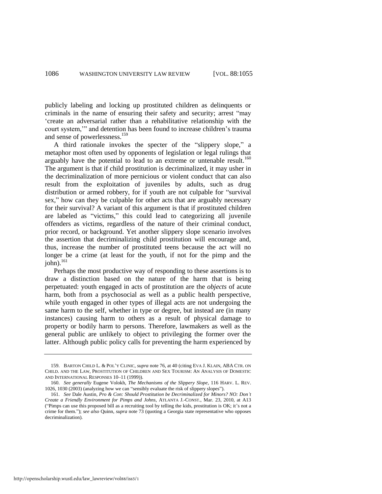publicly labeling and locking up prostituted children as delinquents or criminals in the name of ensuring their safety and security; arrest "may ‗create an adversarial rather than a rehabilitative relationship with the court system," and detention has been found to increase children's trauma and sense of powerlessness.<sup>159</sup>

<span id="page-32-0"></span>A third rationale invokes the specter of the "slippery slope," a metaphor most often used by opponents of legislation or legal rulings that arguably have the potential to lead to an extreme or untenable result.<sup>160</sup> The argument is that if child prostitution is decriminalized, it may usher in the decriminalization of more pernicious or violent conduct that can also result from the exploitation of juveniles by adults, such as drug distribution or armed robbery, for if youth are not culpable for "survival" sex," how can they be culpable for other acts that are arguably necessary for their survival? A variant of this argument is that if prostituted children are labeled as "victims," this could lead to categorizing all juvenile offenders as victims, regardless of the nature of their criminal conduct, prior record, or background. Yet another slippery slope scenario involves the assertion that decriminalizing child prostitution will encourage and, thus, increase the number of prostituted teens because the act will no longer be a crime (at least for the youth, if not for the pimp and the  $john$ <sup>161</sup>

Perhaps the most productive way of responding to these assertions is to draw a distinction based on the nature of the harm that is being perpetuated: youth engaged in acts of prostitution are the *objects* of acute harm, both from a psychosocial as well as a public health perspective, while youth engaged in other types of illegal acts are not undergoing the same harm to the self, whether in type or degree, but instead are (in many instances) causing harm to others as a result of physical damage to property or bodily harm to persons. Therefore, lawmakers as well as the general public are unlikely to object to privileging the former over the latter. Although public policy calls for preventing the harm experienced by

http://openscholarship.wustl.edu/law\_lawreview/vol88/iss5/1

<sup>159.</sup> BARTON CHILD L. & POL'Y CLINIC, *supra* not[e 76,](#page-18-0) at 40 (citing EVA J. KLAIN, ABA CTR. ON CHILD. AND THE LAW, PROSTITUTION OF CHILDREN AND SEX TOURISM: AN ANALYSIS OF DOMESTIC AND INTERNATIONAL RESPONSES 10–11 (1999)).

<sup>160.</sup> *See generally* Eugene Volokh, *The Mechanisms of the Slippery Slope*, 116 HARV. L. REV. 1026, 1030 (2003) (analyzing how we can "sensibly evaluate the risk of slippery slopes").

<sup>161.</sup> *See* Dale Austin, *Pro & Con: Should Prostitution be Decriminalized for Minors? NO: Don't Create a Friendly Environment for Pimps and Johns*, ATLANTA J.-CONST., Mar. 23, 2010, at A13 (―Pimps can use this proposed bill as a recruiting tool by telling the kids, prostitution is OK; it's not a crime for them.‖); *see also* Quinn, *supra* not[e 73 \(](#page-18-1)quoting a Georgia state representative who opposes decriminalization).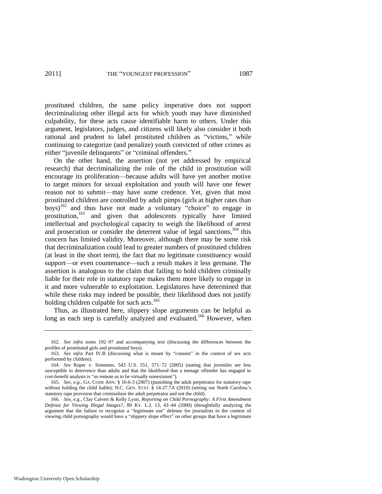prostituted children, the same policy imperative does not support decriminalizing other illegal acts for which youth may have diminished culpability, for these acts cause identifiable harm to others. Under this argument, legislators, judges, and citizens will likely also consider it both rational and prudent to label prostituted children as "victims," while continuing to categorize (and penalize) youth convicted of other crimes as either "juvenile delinquents" or "criminal offenders."

On the other hand, the assertion (not yet addressed by empirical research) that decriminalizing the role of the child in prostitution will encourage its proliferation—because adults will have yet another motive to target minors for sexual exploitation and youth will have one fewer reason *not* to submit—may have some credence. Yet, given that most prostituted children are controlled by adult pimps (girls at higher rates than boys)<sup>162</sup> and thus have not made a voluntary "choice" to engage in prostitution,<sup>163</sup> and given that adolescents typically have limited intellectual and psychological capacity to weigh the likelihood of arrest and prosecution or consider the deterrent value of legal sanctions,<sup>164</sup> this concern has limited validity. Moreover, although there may be some risk that decriminalization could lead to greater numbers of prostituted children (at least in the short term), the fact that no legitimate constituency would support—or even countenance—such a result makes it less germane. The assertion is analogous to the claim that failing to hold children criminally liable for their role in statutory rape makes them more likely to engage in it and more vulnerable to exploitation. Legislatures have determined that while these risks may indeed be possible, their likelihood does not justify holding children culpable for such acts.<sup>165</sup>

Thus, as illustrated here, slippery slope arguments can be helpful as long as each step is carefully analyzed and evaluated.<sup>166</sup> However, when

<sup>162.</sup> *See infra* notes [192–](#page-38-0)97 and accompanying text (discussing the differences between the profiles of prostituted girls and prostituted boys).

<sup>163.</sup> See infra Part IV.B (discussing what is meant by "consent" in the context of sex acts performed by children).

<sup>164.</sup> *See* Roper v. Simmons, 543 U.S. 551, 571–72 (2005) (stating that juveniles are less susceptible to deterrence than adults and that the likelihood that a teenage offender has engaged in cost-benefit analysis is "so remote as to be virtually nonexistent").

<sup>165.</sup> *See, e.g.*, GA. CODE ANN. § 16-6-3 (2007) (punishing the adult perpetrator for statutory rape without holding the child liable); N.C. GEN. STAT. § 14-27.7A (2010) (setting out North Carolina's statutory rape provision that criminalizes the adult perpetrator and not the child).

<sup>166.</sup> *See, e.g.*, Clay Calvert & Kelly Lyon, *Reporting on Child Pornography: A First Amendment Defense for Viewing Illegal Images?*, 89 KY. L.J. 13, 43–44 (2000) (thoughtfully analyzing the argument that the failure to recognize a "legitimate use" defense for journalists in the context of viewing child pornography would have a "slippery slope effect" on other groups that have a legitimate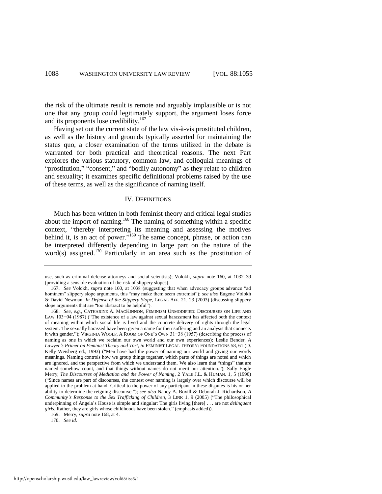the risk of the ultimate result is remote and arguably implausible or is not one that any group could legitimately support, the argument loses force and its proponents lose credibility.<sup>167</sup>

Having set out the current state of the law vis-à-vis prostituted children, as well as the history and grounds typically asserted for maintaining the status quo, a closer examination of the terms utilized in the debate is warranted for both practical and theoretical reasons. The next Part explores the various statutory, common law, and colloquial meanings of "prostitution," "consent," and "bodily autonomy" as they relate to children and sexuality; it examines specific definitional problems raised by the use of these terms, as well as the significance of naming itself.

#### <span id="page-34-0"></span>IV. DEFINITIONS

Much has been written in both feminist theory and critical legal studies about the import of naming.<sup>168</sup> The naming of something within a specific context, "thereby interpreting its meaning and assessing the motives behind it, is an act of power.<sup> $5169$ </sup> The same concept, phrase, or action can be interpreted differently depending in large part on the nature of the word(s) assigned.<sup>170</sup> Particularly in an area such as the prostitution of

170. *See id*.

use, such as criminal defense attorneys and social scientists); Volokh, *supra* note [160,](#page-32-0) at 1032–39 (providing a sensible evaluation of the risk of slippery slopes).

<sup>167.</sup> *See* Volokh, *supra* note [160,](#page-32-0) at 1038 (suggesting that when advocacy groups advance "ad hominem" slippery slope arguments, this "may make them seem extremist"); see also Eugene Volokh & David Newman, *In Defense of the Slippery Slope*, LEGAL AFF. 21, 23 (2003) (discussing slippery slope arguments that are "too abstract to be helpful").

<sup>168.</sup> *See, e.g.*, CATHARINE A. MACKINNON, FEMINISM UNMODIFIED: DISCOURSES ON LIFE AND LAW 103−04 (1987) ("The existence of a law against sexual harassment has affected both the context of meaning within which social life is lived and the concrete delivery of rights through the legal system. The sexually harassed have been given a name for their suffering and an analysis that connects it with gender.‖); VIRGINIA WOOLF, A ROOM OF ONE'S OWN 31−38 (1957) (describing the process of naming as one in which we reclaim our own world and our own experiences); Leslie Bender, *A Lawyer's Primer on Feminist Theory and Tort*, *in* FEMINIST LEGAL THEORY: FOUNDATIONS 58, 61 (D. Kelly Weisberg ed., 1993) ("Men have had the power of naming our world and giving our words meanings. Naming controls how we group things together, which parts of things are noted and which are ignored, and the perspective from which we understand them. We also learn that "things" that are named somehow count, and that things without names do not merit our attention."); Sally Engle Merry, *The Discourses of Mediation and the Power of Naming*, 2 YALE J.L. & HUMAN. 1, 5 (1990) (―Since names are part of discourses, the contest over naming is largely over which discourse will be applied to the problem at hand. Critical to the power of any participant in these disputes is his or her ability to determine the reigning discourse."); see also Nancy A. Boxill & Deborah J. Richardson, *A Community's Response to the Sex Trafficking of Children*, 3 LINK 1, 9 (2005) ("The philosophical underpinning of Angela's House is simple and singular: The girls living [there] . . . are not *delinquent*  girls. Rather, they are girls whose childhoods have been stolen." (emphasis added)).

<sup>169.</sup> Merry, *supra* not[e 168,](#page-34-0) at 4.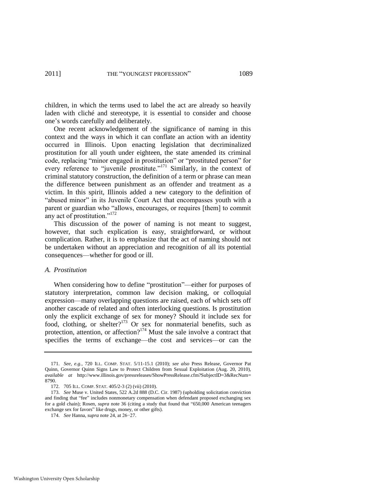children, in which the terms used to label the act are already so heavily laden with cliché and stereotype, it is essential to consider and choose one's words carefully and deliberately.

<span id="page-35-0"></span>One recent acknowledgement of the significance of naming in this context and the ways in which it can conflate an action with an identity occurred in Illinois. Upon enacting legislation that decriminalized prostitution for all youth under eighteen, the state amended its criminal code, replacing "minor engaged in prostitution" or "prostituted person" for every reference to "juvenile prostitute."<sup>171</sup> Similarly, in the context of criminal statutory construction, the definition of a term or phrase can mean the difference between punishment as an offender and treatment as a victim. In this spirit, Illinois added a new category to the definition of "abused minor" in its Juvenile Court Act that encompasses youth with a parent or guardian who "allows, encourages, or requires [them] to commit any act of prostitution."<sup>172</sup>

This discussion of the power of naming is not meant to suggest, however, that such explication is easy, straightforward, or without complication. Rather, it is to emphasize that the act of naming should not be undertaken without an appreciation and recognition of all its potential consequences—whether for good or ill.

#### *A. Prostitution*

When considering how to define "prostitution"—either for purposes of statutory interpretation, common law decision making, or colloquial expression—many overlapping questions are raised, each of which sets off another cascade of related and often interlocking questions. Is prostitution only the explicit exchange of sex for money? Should it include sex for food, clothing, or shelter? $173$  Or sex for nonmaterial benefits, such as protection, attention, or affection?<sup>174</sup> Must the sale involve a contract that specifies the terms of exchange—the cost and services—or can the

<sup>171.</sup> *See, e.g.*, 720 ILL. COMP. STAT. 5/11-15.1 (2010); *see also* Press Release, Governor Pat Quinn, Governor Quinn Signs Law to Protect Children from Sexual Exploitation (Aug. 20, 2010), *available at* [http://www.illinois.gov/pressreleases/ShowPressRelease.cfm?SubjectID=3&RecNum=](http://www.illinois.gov/pressreleases/ShowPressRelease.cfm?SubjectID=3&RecNum) 8790.

<sup>172. 705</sup> ILL. COMP. STAT. 405/2-3 (2) (vii) (2010).

<sup>173.</sup> *See* Muse v. United States, 522 A.2d 888 (D.C. Cir. 1987) (upholding solicitation conviction and finding that "fee" includes nonmonetary compensation when defendant proposed exchanging sex for a gold chain); Rosen, *supra* note [36](#page-10-1) (citing a study that found that "650,000 American teenagers" exchange sex for favors" like drugs, money, or other gifts).

<sup>174.</sup> *See* Hanna, *supra* not[e 24,](#page-7-0) at 26−27.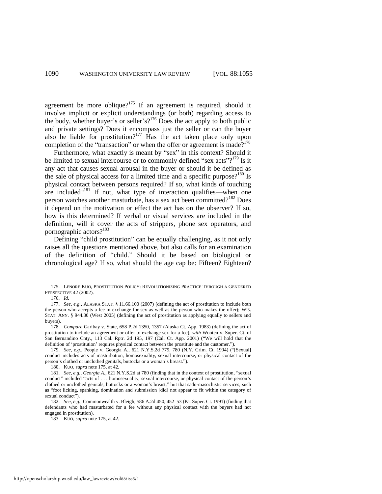<span id="page-36-0"></span>agreement be more oblique?<sup>175</sup> If an agreement is required, should it involve implicit or explicit understandings (or both) regarding access to the body, whether buyer's or seller's?<sup>176</sup> Does the act apply to both public and private settings? Does it encompass just the seller or can the buyer also be liable for prostitution?<sup>177</sup> Has the act taken place only upon completion of the "transaction" or when the offer or agreement is made?<sup>178</sup>

Furthermore, what exactly is meant by "sex" in this context? Should it be limited to sexual intercourse or to commonly defined "sex acts"?<sup>179</sup> Is it any act that causes sexual arousal in the buyer or should it be defined as the sale of physical access for a limited time and a specific purpose?<sup>180</sup> Is physical contact between persons required? If so, what kinds of touching are included?<sup>181</sup> If not, what type of interaction qualifies—when one person watches another masturbate, has a sex act been committed?<sup>182</sup> Does it depend on the motivation or effect the act has on the observer? If so, how is this determined? If verbal or visual services are included in the definition, will it cover the acts of strippers, phone sex operators, and pornographic actors?<sup>183</sup>

Defining "child prostitution" can be equally challenging, as it not only raises all the questions mentioned above, but also calls for an examination of the definition of "child." Should it be based on biological or chronological age? If so, what should the age cap be: Fifteen? Eighteen?

<sup>175.</sup> LENORE KUO, PROSTITUTION POLICY: REVOLUTIONIZING PRACTICE THROUGH A GENDERED PERSPECTIVE 42 (2002).

<sup>176.</sup> *Id*.

<sup>177.</sup> *See, e.g.*, ALASKA STAT. § 11.66.100 (2007) (defining the act of prostitution to include both the person who accepts a fee in exchange for sex as well as the person who makes the offer); WIS. STAT. ANN. § 944.30 (West 2005) (defining the act of prostitution as applying equally to sellers and buyers).

<sup>178.</sup> *Compare* Garibay v. State, 658 P.2d 1350, 1357 (Alaska Ct. App. 1983) (defining the act of prostitution to include an agreement or offer to exchange sex for a fee), *with* Wooten v. Super. Ct. of San Bernandino Cnty., 113 Cal. Rptr. 2d 195, 197 (Cal. Ct. App. 2001) ("We will hold that the definition of 'prostitution' requires physical contact between the prostitute and the customer.").

<sup>179.</sup> *See, e.g.*, People v. Georgia A., 621 N.Y.S.2d 779, 780 (N.Y. Crim. Ct. 1994) ("[Sexual] conduct includes acts of masturbation, homosexuality, sexual intercourse, or physical contact of the person's clothed or unclothed genitals, buttocks or a woman's breast.").

<sup>180.</sup> KUO, *supra* not[e 175,](#page-36-0) at 42.

<sup>181.</sup> *See, e.g., Georgia A., 621 N.Y.S.2d at 780 (finding that in the context of prostitution, "sexual* conduct" included "acts of . . . homosexuality, sexual intercourse, or physical contact of the person's clothed or unclothed genitals, buttocks or a woman's breast," but that sado-masochistic services, such as "foot licking, spanking, domination and submission [did] not appear to fit within the category of sexual conduct").

<sup>182.</sup> *See, e.g.*, Commonwealth v. Bleigh, 586 A.2d 450, 452–53 (Pa. Super. Ct. 1991) (finding that defendants who had masturbated for a fee without any physical contact with the buyers had not engaged in prostitution).

<sup>183.</sup> KUO, *supra* not[e 175,](#page-36-0) at 42.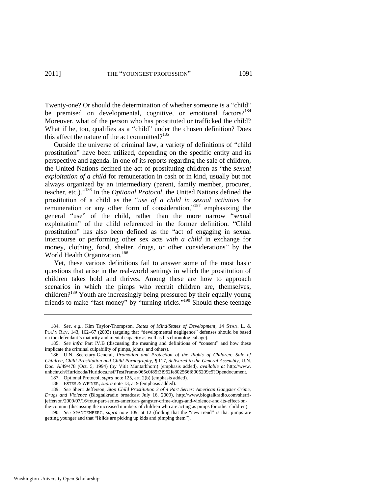Twenty-one? Or should the determination of whether someone is a "child" be premised on developmental, cognitive, or emotional factors?<sup>184</sup> Moreover, what of the person who has prostituted or trafficked the child? What if he, too, qualifies as a "child" under the chosen definition? Does this affect the nature of the act committed? $185$ 

Outside the universe of criminal law, a variety of definitions of "child" prostitution" have been utilized, depending on the specific entity and its perspective and agenda. In one of its reports regarding the sale of children, the United Nations defined the act of prostituting children as "the *sexual*" *exploitation of a child* for remuneration in cash or in kind, usually but not always organized by an intermediary (parent, family member, procurer, teacher, etc.)."<sup>186</sup> In the *Optional Protocol*, the United Nations defined the prostitution of a child as the "use of a child in sexual activities for remuneration or any other form of consideration,"<sup>187</sup> emphasizing the general "use" of the child, rather than the more narrow "sexual exploitation" of the child referenced in the former definition. "Child prostitution" has also been defined as the "act of engaging in sexual intercourse or performing other sex acts *with a child* in exchange for money, clothing, food, shelter, drugs, or other considerations" by the World Health Organization.<sup>188</sup>

<span id="page-37-0"></span>Yet, these various definitions fail to answer some of the most basic questions that arise in the real-world settings in which the prostitution of children takes hold and thrives. Among these are how to approach scenarios in which the pimps who recruit children are, themselves, children?<sup>189</sup> Youth are increasingly being pressured by their equally young friends to make "fast money" by "turning tricks."<sup>190</sup> Should these teenage

<sup>184.</sup> *See, e.g.*, Kim Taylor-Thompson, *States of Mind/States of Development*, 14 STAN. L. & POL'Y REV. 143, 162–67 (2003) (arguing that "developmental negligence" defenses should be based on the defendant's maturity and mental capacity as well as his chronological age).

<sup>185.</sup> See infra Part IV.B (discussing the meaning and definitions of "consent" and how these implicate the criminal culpability of pimps, johns, and others).

<sup>186.</sup> U.N. Secretary-General, *Promotion and Protection of the Rights of Children: Sale of Children, Child Prostitution and Child Pornography*, ¶ 117, *delivered to the General Assembly*, U.N. Doc. A/49/478 (Oct. 5, 1994) (by Vitit Muntarbhorn) (emphasis added), *available at* http://www. unhchr.ch/Huridocda/Huridoca.nsf/TestFrame/065c0f85f3f952fe802566f8005209c5?Opendocument.

<sup>187.</sup> Optional Protocol, *supra* not[e 125,](#page-26-0) art. 2(b) (emphasis added).

<sup>188.</sup> ESTES & WEINER, *supra* not[e 13,](#page-6-0) at 9 (emphasis added).

<sup>189.</sup> *See* Sherri Jefferson, *Stop Child Prostitution 3 of 4 Part Series: American Gangster Crime, Drugs and Violence* (Blogtalkradio broadcast July 16, 2009), http://www.blogtalkradio.com/sherrijefferson/2009/07/16/four-part-series-american-gangster-crime-drugs-and-violence-and-its-effect-onthe-commu (discussing the increased numbers of children who are acting as pimps for other children).

<sup>190.</sup> *See SPANGENBERG, supra* note [109,](#page-23-0) at 12 (finding that the "new trend" is that pimps are getting younger and that "[k]ids are picking up kids and pimping them").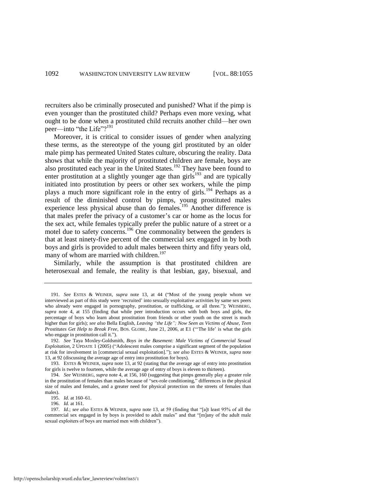recruiters also be criminally prosecuted and punished? What if the pimp is even younger than the prostituted child? Perhaps even more vexing, what ought to be done when a prostituted child recruits another child—her own peer—into "the Life"?<sup>191</sup>

<span id="page-38-0"></span>Moreover, it is critical to consider issues of gender when analyzing these terms, as the stereotype of the young girl prostituted by an older male pimp has permeated United States culture, obscuring the reality. Data shows that while the majority of prostituted children are female, boys are also prostituted each year in the United States.<sup>192</sup> They have been found to enter prostitution at a slightly younger age than girls<sup>193</sup> and are typically initiated into prostitution by peers or other sex workers, while the pimp plays a much more significant role in the entry of girls.<sup>194</sup> Perhaps as a result of the diminished control by pimps, young prostituted males experience less physical abuse than do females.<sup>195</sup> Another difference is that males prefer the privacy of a customer's car or home as the locus for the sex act, while females typically prefer the public nature of a street or a motel due to safety concerns.<sup>196</sup> One commonality between the genders is that at least ninety-five percent of the commercial sex engaged in by both boys and girls is provided to adult males between thirty and fifty years old, many of whom are married with children.<sup>197</sup>

Similarly, while the assumption is that prostituted children are heterosexual and female, the reality is that lesbian, gay, bisexual, and

<sup>191.</sup> See ESTES & WEINER, *supra* note [13,](#page-6-0) at 44 ("Most of the young people whom we interviewed as part of this study were 'recruited' into sexually exploitative activities by same sex peers who already were engaged in pornography, prostitution, or trafficking, or all three."); WEISBERG, *supra* note [4,](#page-4-1) at 155 (finding that while peer introduction occurs with both boys and girls, the percentage of boys who learn about prostitution from friends or other youth on the street is much higher than for girls); see also Bella English, *Leaving "the Life"; Now Seen as Victims of Abuse, Teen Prostitutes Get Help to Break Free*, BOS. GLOBE, June 21, 2006, at E1 ("The life' is what the girls who engage in prostitution call it.").

<sup>192.</sup> *See* Taya Moxley-Goldsmith, *Boys in the Basement: Male Victims of Commercial Sexual Exploitation*, 2 UPDATE 1 (2005) ("Adolescent males comprise a significant segment of the population at risk for involvement in [commercial sexual exploitation].‖); *see also* ESTES & WEINER, *supra* note [13,](#page-6-0) at 92 (discussing the average age of entry into prostitution for boys).

<sup>193.</sup> ESTES & WEINER, *supra* not[e 13,](#page-6-0) at 92 (stating that the average age of entry into prostitution for girls is twelve to fourteen, while the average age of entry of boys is eleven to thirteen).

<sup>194.</sup> *See* WEISBERG, *supra* not[e 4,](#page-4-1) at 156, 160 (suggesting that pimps generally play a greater role in the prostitution of females than males because of "sex-role conditioning," differences in the physical size of males and females, and a greater need for physical protection on the streets of females than males).

<sup>195.</sup> *Id*. at 160–61.

<sup>196.</sup> *Id.* at 161.

<sup>197.</sup> *Id.*; see also ESTES & WEINER, *supra* note [13,](#page-6-0) at 59 (finding that "[a]t least 95% of all the commercial sex engaged in by boys is provided to adult males" and that "[m]any of the adult male sexual exploiters of boys are married men with children").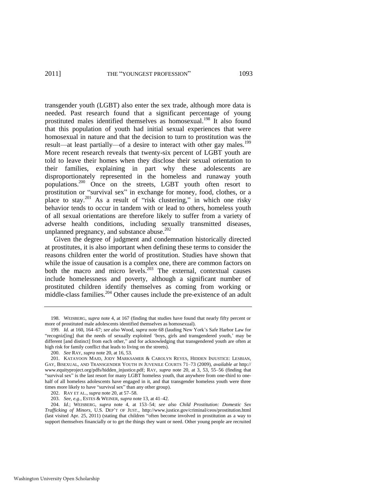<span id="page-39-0"></span>transgender youth (LGBT) also enter the sex trade, although more data is needed. Past research found that a significant percentage of young prostituted males identified themselves as homosexual.<sup>198</sup> It also found that this population of youth had initial sexual experiences that were homosexual in nature and that the decision to turn to prostitution was the result—at least partially—of a desire to interact with other gay males.<sup>199</sup> More recent research reveals that twenty-six percent of LGBT youth are told to leave their homes when they disclose their sexual orientation to their families, explaining in part why these adolescents are disproportionately represented in the homeless and runaway youth populations.<sup>200</sup> Once on the streets, LGBT youth often resort to prostitution or "survival sex" in exchange for money, food, clothes, or a place to stay.<sup>201</sup> As a result of "risk clustering," in which one risky behavior tends to occur in tandem with or lead to others, homeless youth of all sexual orientations are therefore likely to suffer from a variety of adverse health conditions, including sexually transmitted diseases, unplanned pregnancy, and substance abuse. $202$ 

<span id="page-39-1"></span>Given the degree of judgment and condemnation historically directed at prostitutes, it is also important when defining these terms to consider the reasons children enter the world of prostitution. Studies have shown that while the issue of causation is a complex one, there are common factors on both the macro and micro levels. $203$  The external, contextual causes include homelessness and poverty, although a significant number of prostituted children identify themselves as coming from working or middle-class families.<sup>204</sup> Other causes include the pre-existence of an adult

<span id="page-39-2"></span><sup>198.</sup> WEISBERG, *supra* not[e 4,](#page-4-1) at 167 (finding that studies have found that nearly fifty percent or more of prostituted male adolescents identified themselves as homosexual).

<sup>199.</sup> *Id.* at 160, 164–67; *see also* Wood, *supra* not[e 68 \(](#page-17-2)lauding New York's Safe Harbor Law for ―recogniz[ing] that the needs of sexually exploited ‗boys, girls and transgendered youth,' may be different [and distinct] from each other," and for acknowledging that transgendered youth are often at high risk for family conflict that leads to living on the streets).

<sup>200.</sup> *See* RAY, *supra* not[e 20,](#page-7-2) at 16, 53.

<sup>201.</sup> KATAYOON MAJD, JODY MARKSAMER & CAROLYN REYES, HIDDEN INJUSTICE: LESBIAN, GAY, BISEXUAL, AND TRANSGENDER YOUTH IN JUVENILE COURTS 71–73 (2009), *available at* http:// www.equityproject.org/pdfs/hidden\_injustice.pdf; RAY, *supra* note [20,](#page-7-2) at 3, 53, 55–56 (finding that "survival sex" is the last resort for many LGBT homeless youth, that anywhere from one-third to onehalf of all homeless adolescents have engaged in it, and that transgender homeless youth were three times more likely to have "survival sex" than any other group).

<sup>202.</sup> RAY ET AL., *supra* note [20,](#page-7-2) at 57–58.

<sup>203.</sup> *See, e.g.*, ESTES & WEINER, *supra* not[e 13,](#page-6-0) at 41–42.

<sup>204.</sup> *Id.*; WEISBERG, *supra* note [4,](#page-4-1) at 153–54; *see also Child Prostitution: Domestic Sex Trafficking of Minors*, U.S. DEP'T OF JUST., http://www.justice.gov/criminal/ceos/prostitution.html (last visited Apr. 25, 2011) (stating that children "often become involved in prostitution as a way to support themselves financially or to get the things they want or need. Other young people are recruited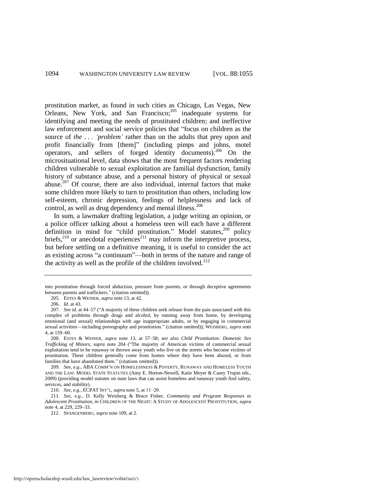prostitution market, as found in such cities as Chicago, Las Vegas, New Orleans, New York, and San Francisco; $205$  inadequate systems for identifying and meeting the needs of prostituted children; and ineffective law enforcement and social service policies that "focus on children as the source of *the . . . ‗problem'* rather than on the adults that prey upon and profit financially from [them]" (including pimps and johns, motel operators, and sellers of forged identity documents).<sup>206</sup> On the microsituational level, data shows that the most frequent factors rendering children vulnerable to sexual exploitation are familial dysfunction, family history of substance abuse, and a personal history of physical or sexual abuse.<sup>207</sup> Of course, there are also individual, internal factors that make some children more likely to turn to prostitution than others, including low self-esteem, chronic depression, feelings of helplessness and lack of control, as well as drug dependency and mental illness.<sup>208</sup>

<span id="page-40-0"></span>In sum, a lawmaker drafting legislation, a judge writing an opinion, or a police officer talking about a homeless teen will each have a different definition in mind for "child prostitution." Model statutes,<sup>209</sup> policy briefs, $^{210}$  or anecdotal experiences $^{211}$  may inform the interpretive process, but before settling on a definitive meaning, it is useful to consider the act as existing across "a continuum"—both in terms of the nature and range of the activity as well as the profile of the children involved. $^{212}$ 

into prostitution through forced abduction, pressure from parents, or through deceptive agreements between parents and traffickers." (citation omitted)).

<sup>205.</sup> ESTES & WEINER, *supra* not[e 13,](#page-6-0) at 42.

<sup>206.</sup> *Id.* at 43.

<sup>207.</sup> *See id.* at 44–57 ("A majority of these children seek release from the pain associated with this complex of problems through drugs and alcohol, by running away from home, by developing emotional (and sexual) relationships with age inappropriate adults, or by engaging in commercial sexual activities—including pornography and prostitution." (citation omitted)); WEISBERG, *supra* note [4,](#page-4-1) at 159–60.

<sup>208.</sup> ESTES & WEINER, *supra* note [13,](#page-6-0) at 57–58; *see also Child Prostitution: Domestic Sex Trafficking of Minors, supra* note [204](#page-39-2) ("The majority of American victims of commercial sexual exploitation tend to be runaway or thrown away youth who live on the streets who become victims of prostitution. These children generally come from homes where they have been abused, or from families that have abandoned them." (citations omitted)).

<sup>209.</sup> *See, e.g.*, ABA COMM'N ON HOMELESSNESS & POVERTY, RUNAWAY AND HOMELESS YOUTH AND THE LAW: MODEL STATE STATUTES (Amy E. Horton-Newell, Katie Meyer & Casey Trupin eds., 2009) (providing model statutes on state laws that can assist homeless and runaway youth find safety, services, and stability).

<sup>210.</sup> *See, e.g.*, ECPAT INT'L, *supra* not[e 5,](#page-4-0) at 11−20.

<sup>211.</sup> *See, e.g.*, D. Kelly Weisberg & Bruce Fisher, *Community and Program Responses to Adolescent Prostitution*, *in* CHILDREN OF THE NIGHT: A STUDY OF ADOLESCENT PROSTITUTION, *supra* note [4,](#page-4-1) at 229, 229–33.

<sup>212.</sup> SPANGENBERG, *supra* not[e 109,](#page-23-0) at 2.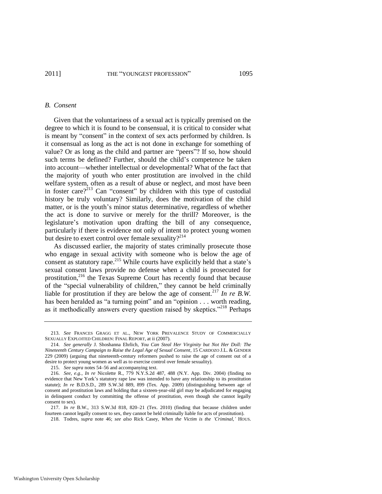#### *B. Consent*

Given that the voluntariness of a sexual act is typically premised on the degree to which it is found to be consensual, it is critical to consider what is meant by "consent" in the context of sex acts performed by children. Is it consensual as long as the act is not done in exchange for something of value? Or as long as the child and partner are "peers"? If so, how should such terms be defined? Further, should the child's competence be taken into account—whether intellectual or developmental? What of the fact that the majority of youth who enter prostitution are involved in the child welfare system, often as a result of abuse or neglect, and most have been in foster care?<sup>213</sup> Can "consent" by children with this type of custodial history be truly voluntary? Similarly, does the motivation of the child matter, or is the youth's minor status determinative, regardless of whether the act is done to survive or merely for the thrill? Moreover, is the legislature's motivation upon drafting the bill of any consequence, particularly if there is evidence not only of intent to protect young women but desire to exert control over female sexuality? $2^{14}$ 

As discussed earlier, the majority of states criminally prosecute those who engage in sexual activity with someone who is below the age of consent as statutory rape.<sup>215</sup> While courts have explicitly held that a state's sexual consent laws provide no defense when a child is prosecuted for prostitution,<sup>216</sup> the Texas Supreme Court has recently found that because of the "special vulnerability of children," they cannot be held criminally liable for prostitution if they are below the age of consent.<sup>217</sup> *In re B.W.* has been heralded as "a turning point" and an "opinion . . . worth reading, as it methodically answers every question raised by skeptics."<sup>218</sup> Perhaps

215. *See supra* note[s 54](#page-14-2)[–56 a](#page-15-0)nd accompanying text.

<sup>213.</sup> *See* FRANCES GRAGG ET AL., NEW YORK PREVALENCE STUDY OF COMMERCIALLY SEXUALLY EXPLOITED CHILDREN: FINAL REPORT, at ii (2007).

<sup>214.</sup> *See generally* J. Shoshanna Ehrlich, *You Can Steal Her Virginity but Not Her Doll: The Nineteenth Century Campaign to Raise the Legal Age of Sexual Consent*, 15 CARDOZO J.L. & GENDER 229 (2009) (arguing that nineteenth-century reformers pushed to raise the age of consent out of a desire to protect young women as well as to exercise control over female sexuality).

<sup>216.</sup> *See, e.g.*, *In re* Nicolette R., 779 N.Y.S.2d 487, 488 (N.Y. App. Div. 2004) (finding no evidence that New York's statutory rape law was intended to have any relationship to its prostitution statute); *In re* B.D.S.D., 289 S.W.3d 889, 899 (Tex. App. 2009) (distinguishing between age of consent and prostitution laws and holding that a sixteen-year-old girl may be adjudicated for engaging in delinquent conduct by committing the offense of prostitution, even though she cannot legally consent to sex).

<sup>217.</sup> *In re* B.W., 313 S.W.3d 818, 820–21 (Tex. 2010) (finding that because children under fourteen cannot legally consent to sex, they cannot be held criminally liable for acts of prostitution).

<sup>218.</sup> Todres, *supra* note [46;](#page-13-0) *see also* Rick Casey, *When the Victim is the ‗Criminal*,*'* HOUS.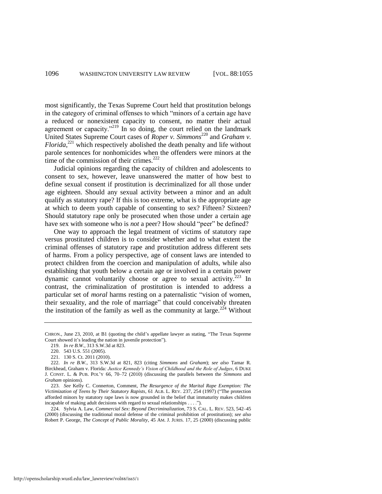most significantly, the Texas Supreme Court held that prostitution belongs in the category of criminal offenses to which "minors of a certain age have a reduced or nonexistent capacity to consent, no matter their actual agreement or capacity."<sup>219</sup> In so doing, the court relied on the landmark United States Supreme Court cases of *Roper v. Simmons*<sup>220</sup> and *Graham v. Florida*, <sup>221</sup> which respectively abolished the death penalty and life without parole sentences for nonhomicides when the offenders were minors at the time of the commission of their crimes. $222$ 

Judicial opinions regarding the capacity of children and adolescents to consent to sex, however, leave unanswered the matter of how best to define sexual consent if prostitution is decriminalized for all those under age eighteen. Should any sexual activity between a minor and an adult qualify as statutory rape? If this is too extreme, what is the appropriate age at which to deem youth capable of consenting to sex? Fifteen? Sixteen? Should statutory rape only be prosecuted when those under a certain age have sex with someone who is *not* a peer? How should "peer" be defined?

One way to approach the legal treatment of victims of statutory rape versus prostituted children is to consider whether and to what extent the criminal offenses of statutory rape and prostitution address different sets of harms. From a policy perspective, age of consent laws are intended to protect children from the coercion and manipulation of adults, while also establishing that youth below a certain age or involved in a certain power dynamic cannot voluntarily choose or agree to sexual activity.<sup>223</sup> In contrast, the criminalization of prostitution is intended to address a particular set of *moral* harms resting on a paternalistic "vision of women, their sexuality, and the role of marriage" that could conceivably threaten the institution of the family as well as the community at large.<sup>224</sup> Without

CHRON., June 23, 2010, at B1 (quoting the child's appellate lawyer as stating, "The Texas Supreme Court showed it's leading the nation in juvenile protection").

<span id="page-42-0"></span><sup>219.</sup> *In re B.W.*, 313 S.W.3d at 823.

<sup>220. 543</sup> U.S. 551 (2005).

<sup>221. 130</sup> S. Ct. 2011 (2010).

<sup>222.</sup> *In re B.W.*, 313 S.W.3d at 821, 823 (citing *Simmons* and *Graham*); *see also* Tamar R. Birckhead, Graham v. Florida*: Justice Kennedy's Vision of Childhood and the Role of Judges*, 6 DUKE J. CONST. L. & PUB. POL'Y 66, 70–72 (2010) (discussing the parallels between the *Simmons* and *Graham* opinions).

<sup>223.</sup> *See* Kelly C. Connerton, Comment, *The Resurgence of the Marital Rape Exemption: The Victimization of Teens by Their Statutory Rapists*, 61 ALB. L. REV. 237, 254 (1997) ("The protection afforded minors by statutory rape laws is now grounded in the belief that immaturity makes children incapable of making adult decisions with regard to sexual relationships  $\dots$ .

<sup>224.</sup> Sylvia A. Law, *Commercial Sex: Beyond Decriminalization*, 73 S. CAL. L. REV. 523, 542–45 (2000) (discussing the traditional moral defense of the criminal prohibition of prostitution); *see also* Robert P. George, *The Concept of Public Morality*, 45 AM. J. JURIS. 17, 25 (2000) (discussing public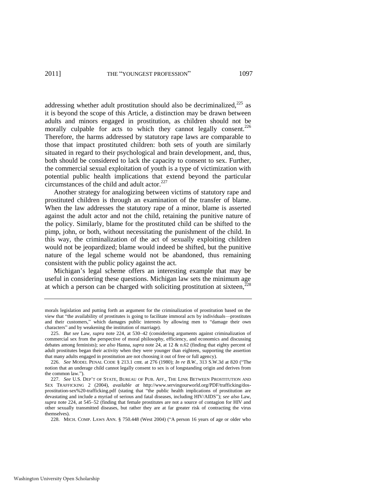addressing whether adult prostitution should also be decriminalized, $^{225}$  as it is beyond the scope of this Article, a distinction may be drawn between adults and minors engaged in prostitution, as children should not be morally culpable for acts to which they cannot legally consent.<sup>226</sup> Therefore, the harms addressed by statutory rape laws are comparable to those that impact prostituted children: both sets of youth are similarly situated in regard to their psychological and brain development, and, thus, both should be considered to lack the capacity to consent to sex. Further, the commercial sexual exploitation of youth is a type of victimization with potential public health implications that extend beyond the particular circumstances of the child and adult actor. $227$ 

Another strategy for analogizing between victims of statutory rape and prostituted children is through an examination of the transfer of blame. When the law addresses the statutory rape of a minor, blame is asserted against the adult actor and not the child, retaining the punitive nature of the policy. Similarly, blame for the prostituted child can be shifted to the pimp, john, or both, without necessitating the punishment of the child. In this way, the criminalization of the act of sexually exploiting children would not be jeopardized; blame would indeed be shifted, but the punitive nature of the legal scheme would not be abandoned, thus remaining consistent with the public policy against the act.

<span id="page-43-0"></span>Michigan's legal scheme offers an interesting example that may be useful in considering these questions. Michigan law sets the minimum age at which a person can be charged with soliciting prostitution at sixteen, $<sup>2</sup>$ </sup>

228. MICH. COMP. LAWS ANN. § 750.448 (West 2004) ("A person 16 years of age or older who

morals legislation and putting forth an argument for the criminalization of prostitution based on the view that "the availability of prostitutes is going to facilitate immoral acts by individuals—prostitutes and their customers," which damages public interests by allowing men to "damage their own characters" and by weakening the institution of marriage).

<sup>225.</sup> *But see* Law, *supra* note [224,](#page-42-0) at 530–42 (considering arguments against criminalization of commercial sex from the perspective of moral philosophy, efficiency, and economics and discussing debates among feminists); *see also* Hanna, *supra* not[e 24,](#page-7-0) at 12 & n.62 (finding that eighty percent of adult prostitutes began their activity when they were younger than eighteen, supporting the assertion that many adults engaged in prostitution are not choosing it out of free or full agency).

<sup>226.</sup> *See* MODEL PENAL CODE § 213.1 cmt. at 276 (1980); *In re B.W.*, 313 S.W.3d at 820 ("The notion that an underage child cannot legally consent to sex is of longstanding origin and derives from the common law.").

<sup>227.</sup> *See* U.S. DEP'T OF STATE, BUREAU OF PUB. AFF., THE LINK BETWEEN PROSTITUTION AND SEX TRAFFICKING 2 (2004), *available at* http://www.servingourworld.org/PDF/trafficking/dosprostitution-sex%20-trafficking.pdf (stating that "the public health implications of prostitution are devastating and include a myriad of serious and fatal diseases, including HIV/AIDS"); see also Law, *supra* note [224,](#page-42-0) at 545–52 (finding that female prostitutes are not a source of contagion for HIV and other sexually transmitted diseases, but rather they are at far greater risk of contracting the virus themselves).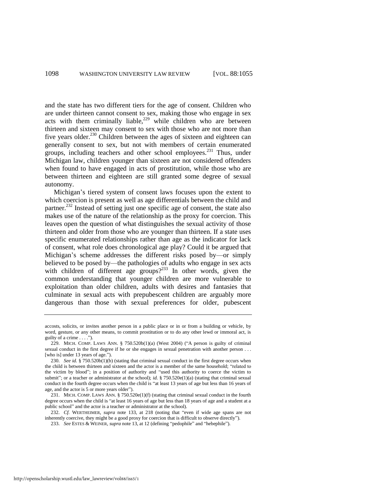and the state has two different tiers for the age of consent. Children who are under thirteen cannot consent to sex, making those who engage in sex acts with them criminally liable,<sup>229</sup> while children who are between thirteen and sixteen may consent to sex with those who are not more than five years older.<sup>230</sup> Children between the ages of sixteen and eighteen can generally consent to sex, but not with members of certain enumerated groups, including teachers and other school employees. $^{231}$  Thus, under Michigan law, children younger than sixteen are not considered offenders when found to have engaged in acts of prostitution, while those who are between thirteen and eighteen are still granted some degree of sexual autonomy.

Michigan's tiered system of consent laws focuses upon the extent to which coercion is present as well as age differentials between the child and partner.<sup>232</sup> Instead of setting just one specific age of consent, the state also makes use of the nature of the relationship as the proxy for coercion. This leaves open the question of what distinguishes the sexual activity of those thirteen and older from those who are younger than thirteen. If a state uses specific enumerated relationships rather than age as the indicator for lack of consent, what role does chronological age play? Could it be argued that Michigan's scheme addresses the different risks posed by—or simply believed to be posed by—the pathologies of adults who engage in sex acts with children of different age groups?<sup>233</sup> In other words, given the common understanding that younger children are more vulnerable to exploitation than older children, adults with desires and fantasies that culminate in sexual acts with prepubescent children are arguably more dangerous than those with sexual preferences for older, pubescent

accosts, solicits, or invites another person in a public place or in or from a building or vehicle, by word, gesture, or any other means, to commit prostitution or to do any other lewd or immoral act, is guilty of a crime  $\dots$ .").

<sup>229.</sup> MICH. COMP. LAWS ANN. §  $750.520b(1)(a)$  (West 2004) ("A person is guilty of criminal sexual conduct in the first degree if he or she engages in sexual penetration with another person . . . [who is] under 13 years of age.").

<sup>230.</sup> *See id.* § 750.520b(1)(b) (stating that criminal sexual conduct in the first degree occurs when the child is between thirteen and sixteen and the actor is a member of the same household; "related to the victim by blood"; in a position of authority and "used this authority to coerce the victim to submit"; or a teacher or administrator at the school); *id.* § 750.520e(1)(a) (stating that criminal sexual conduct in the fourth degree occurs when the child is "at least 13 years of age but less than 16 years of age, and the actor is 5 or more years older").

<sup>231.</sup> MICH. COMP. LAWS ANN. § 750.520e(1)(f) (stating that criminal sexual conduct in the fourth degree occurs when the child is "at least 16 years of age but less than 18 years of age and a student at a public school" and the actor is a teacher or administrator at the school).

<sup>232.</sup> *Cf.* WERTHEIMER, *supra* note [133,](#page-27-1) at 218 (noting that "even if wide age spans are not inherently coercive, they might be a good proxy for coercion that is difficult to observe directly").

<sup>233.</sup> *See ESTES & WEINER, <i>supra* not[e 13,](#page-6-0) at 12 (defining "pedophile" and "hebephile").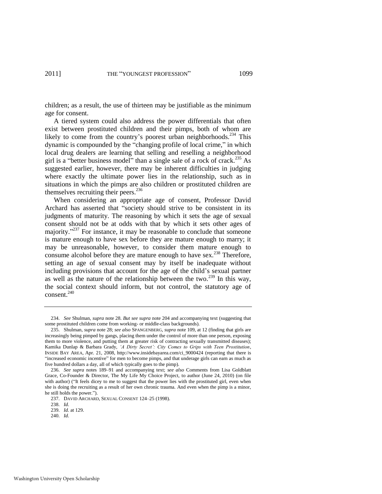children; as a result, the use of thirteen may be justifiable as the minimum age for consent.

A tiered system could also address the power differentials that often exist between prostituted children and their pimps, both of whom are likely to come from the country's poorest urban neighborhoods.<sup>234</sup> This dynamic is compounded by the "changing profile of local crime," in which local drug dealers are learning that selling and reselling a neighborhood girl is a "better business model" than a single sale of a rock of crack.<sup>235</sup> As suggested earlier, however, there may be inherent difficulties in judging where exactly the ultimate power lies in the relationship, such as in situations in which the pimps are also children or prostituted children are themselves recruiting their peers. $236$ 

<span id="page-45-0"></span>When considering an appropriate age of consent, Professor David Archard has asserted that "society should strive to be consistent in its judgments of maturity. The reasoning by which it sets the age of sexual consent should not be at odds with that by which it sets other ages of majority."<sup>237</sup> For instance, it may be reasonable to conclude that someone is mature enough to have sex before they are mature enough to marry; it may be unreasonable, however, to consider them mature enough to consume alcohol before they are mature enough to have sex.<sup>238</sup> Therefore, setting an age of sexual consent may by itself be inadequate without including provisions that account for the age of the child's sexual partner as well as the nature of the relationship between the two.<sup>239</sup> In this way, the social context should inform, but not control, the statutory age of consent. $240$ 

<sup>234.</sup> *See* Shulman, *supra* note [28.](#page-8-1) *But see supra* note [204](#page-39-2) and accompanying text (suggesting that some prostituted children come from working- or middle-class backgrounds).

<sup>235.</sup> Shulman, *supra* not[e 28;](#page-8-1) *see also* SPANGENBERG, *supra* not[e 109,](#page-23-0) at 12 (finding that girls are increasingly being pimped by gangs, placing them under the control of more than one person, exposing them to more violence, and putting them at greater risk of contracting sexually transmitted diseases); Kamika Dunlap & Barbara Grady, 'A Dirty Secret': City Comes to Grips with Teen Prostitution, INSIDE BAY AREA, Apr. 21, 2008, http://www.insidebayarea.com/ci\_9000424 (reporting that there is ―increased economic incentive‖ for men to become pimps, and that underage girls can earn as much as five hundred dollars a day, all of which typically goes to the pimp).

<sup>236.</sup> *See supra* notes [189–](#page-37-0)91 and accompanying text; *see also* Comments from Lisa Goldblatt Grace, Co-Founder & Director, The My Life My Choice Project, to author (June 24, 2010) (on file with author) ("It feels dicey to me to suggest that the power lies with the prostituted girl, even when she is doing the recruiting as a result of her own chronic trauma. And even when the pimp is a minor, he still holds the power.").

<sup>237.</sup> DAVID ARCHARD, SEXUAL CONSENT 124–25 (1998).

<sup>238.</sup> *Id*.

<sup>239.</sup> *Id.* at 129.

<sup>240.</sup> *Id*.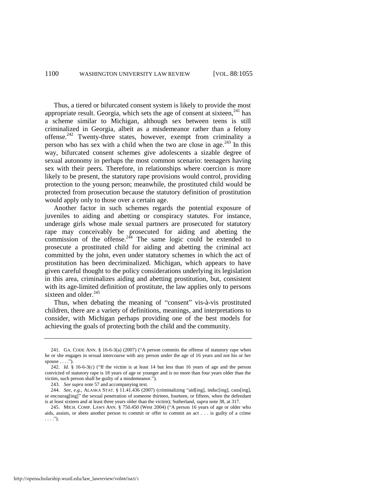Thus, a tiered or bifurcated consent system is likely to provide the most appropriate result. Georgia, which sets the age of consent at sixteen,  $241$  has a scheme similar to Michigan, although sex between teens is still criminalized in Georgia, albeit as a misdemeanor rather than a felony offense.<sup>242</sup> Twenty-three states, however, exempt from criminality a person who has sex with a child when the two are close in age.<sup>243</sup> In this way, bifurcated consent schemes give adolescents a sizable degree of sexual autonomy in perhaps the most common scenario: teenagers having sex with their peers. Therefore, in relationships where coercion is more likely to be present, the statutory rape provisions would control, providing protection to the young person; meanwhile, the prostituted child would be protected from prosecution because the statutory definition of prostitution would apply only to those over a certain age.

<span id="page-46-0"></span>Another factor in such schemes regards the potential exposure of juveniles to aiding and abetting or conspiracy statutes. For instance, underage girls whose male sexual partners are prosecuted for statutory rape may conceivably be prosecuted for aiding and abetting the commission of the offense. $2^{44}$  The same logic could be extended to prosecute a prostituted child for aiding and abetting the criminal act committed by the john, even under statutory schemes in which the act of prostitution has been decriminalized. Michigan, which appears to have given careful thought to the policy considerations underlying its legislation in this area, criminalizes aiding and abetting prostitution, but, consistent with its age-limited definition of prostitute, the law applies only to persons sixteen and older.<sup>245</sup>

Thus, when debating the meaning of "consent" vis-à-vis prostituted children, there are a variety of definitions, meanings, and interpretations to consider, with Michigan perhaps providing one of the best models for achieving the goals of protecting both the child and the community.

<sup>241.</sup> GA. CODE ANN.  $\S$  16-6-3(a) (2007) ("A person commits the offense of statutory rape when he or she engages in sexual intercourse with any person under the age of 16 years and not his or her spouse  $\dots$ .").

<sup>242.</sup> *Id.* § 16-6-3(c) ("If the victim is at least 14 but less than 16 years of age and the person convicted of statutory rape is 18 years of age or younger and is no more than four years older than the victim, such person shall be guilty of a misdemeanor.").

<sup>243.</sup> *See supra* not[e 57 a](#page-15-2)nd accompanying text.

<sup>244.</sup> *See, e.g.*, ALASKA STAT. § 11.41.436 (2007) (criminalizing "aid[ing], induc[ing], caus[ing], or encourag[ing]" the sexual penetration of someone thirteen, fourteen, or fifteen, when the defendant is at least sixteen and at least three years older than the victim); Sutherland, *supra* not[e 38,](#page-10-0) at 317.

<sup>245.</sup> MICH. COMP. LAWS ANN. § 750.450 (West 2004) ("A person 16 years of age or older who aids, assists, or abets another person to commit or offer to commit an act . . . is guilty of a crime  $\ldots$ .").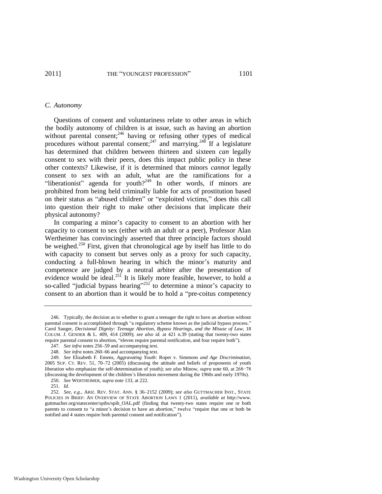#### *C. Autonomy*

<span id="page-47-0"></span>Questions of consent and voluntariness relate to other areas in which the bodily autonomy of children is at issue, such as having an abortion without parental consent; $^{246}$  having or refusing other types of medical procedures without parental consent;<sup>247</sup> and marrying.<sup>248</sup> If a legislature has determined that children between thirteen and sixteen *can* legally consent to sex with their peers, does this impact public policy in these other contexts? Likewise, if it is determined that minors *cannot* legally consent to sex with an adult, what are the ramifications for a "liberationist" agenda for youth?<sup>249</sup> In other words, if minors are prohibited from being held criminally liable for acts of prostitution based on their status as "abused children" or "exploited victims," does this call into question their right to make other decisions that implicate their physical autonomy?

In comparing a minor's capacity to consent to an abortion with her capacity to consent to sex (either with an adult or a peer), Professor Alan Wertheimer has convincingly asserted that three principle factors should be weighed.<sup>250</sup> First, given that chronological age by itself has little to do with capacity to consent but serves only as a proxy for such capacity, conducting a full-blown hearing in which the minor's maturity and competence are judged by a neutral arbiter after the presentation of evidence would be ideal. $^{251}$  It is likely more feasible, however, to hold a so-called "judicial bypass hearing"<sup>252</sup> to determine a minor's capacity to consent to an abortion than it would be to hold a "pre-coitus competency

<sup>246.</sup> Typically, the decision as to whether to grant a teenager the right to have an abortion without parental consent is accomplished through "a regulatory scheme known as the judicial bypass process.' Carol Sanger, *Decisional Dignity: Teenage Abortion, Bypass Hearings, and the Misuse of Law*, 18 COLUM. J. GENDER & L. 409, 414 (2009); *see also id.* at 421 n.39 (stating that twenty-two states require parental consent to abortion, "eleven require parental notification, and four require both").

<sup>247.</sup> *See infra* notes [256–](#page-48-0)59 and accompanying text.

<sup>248.</sup> *See infra* notes [260–](#page-49-0)66 and accompanying text.

<sup>249.</sup> *See* Elizabeth F. Emens, *Aggravating Youth*: Roper v. Simmons *and Age Discrimination*, 2005 SUP. CT. REV. 51, 70–72 (2005) (discussing the attitude and beliefs of proponents of youth liberation who emphasize the self-determination of youth); *see also* Minow, *supra* not[e 60,](#page-15-3) at 268−78 (discussing the development of the children's liberation movement during the 1960s and early 1970s).

<sup>250.</sup> *See* WERTHEIMER, *supra* not[e 133,](#page-27-1) at 222.

<sup>251.</sup> *Id.* 

<sup>252.</sup> *See, e.g.*, ARIZ. REV. STAT. ANN. § 36–2152 (2009); *see also* GUTTMACHER INST., STATE POLICIES IN BRIEF: AN OVERVIEW OF STATE ABORTION LAWS 1 (2011), *available at* http://www. guttmacher.org/statecenter/spibs/spib\_OAL.pdf (finding that twenty-two states require one or both parents to consent to "a minor's decision to have an abortion," twelve "require that one or both be notified and 4 states require both parental consent and notification").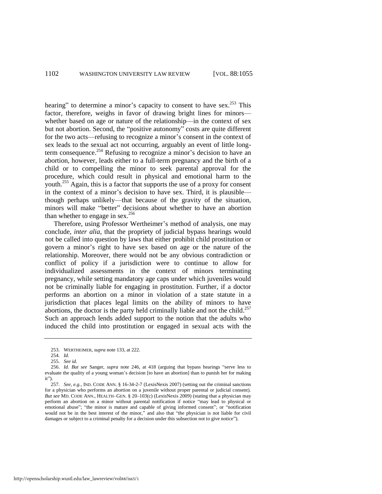hearing" to determine a minor's capacity to consent to have sex.<sup>253</sup> This factor, therefore, weighs in favor of drawing bright lines for minors whether based on age or nature of the relationship—in the context of sex but not abortion. Second, the "positive autonomy" costs are quite different for the two acts—refusing to recognize a minor's consent in the context of sex leads to the sexual act not occurring, arguably an event of little longterm consequence.<sup>254</sup> Refusing to recognize a minor's decision to have an abortion, however, leads either to a full-term pregnancy and the birth of a child or to compelling the minor to seek parental approval for the procedure, which could result in physical and emotional harm to the youth.<sup>255</sup> Again, this is a factor that supports the use of a proxy for consent in the context of a minor's decision to have sex. Third, it is plausible though perhaps unlikely—that because of the gravity of the situation, minors will make "better" decisions about whether to have an abortion than whether to engage in sex.<sup>256</sup>

<span id="page-48-0"></span>Therefore, using Professor Wertheimer's method of analysis, one may conclude, *inter alia*, that the propriety of judicial bypass hearings would not be called into question by laws that either prohibit child prostitution or govern a minor's right to have sex based on age or the nature of the relationship. Moreover, there would not be any obvious contradiction or conflict of policy if a jurisdiction were to continue to allow for individualized assessments in the context of minors terminating pregnancy, while setting mandatory age caps under which juveniles would not be criminally liable for engaging in prostitution. Further, if a doctor performs an abortion on a minor in violation of a state statute in a jurisdiction that places legal limits on the ability of minors to have abortions, the doctor is the party held criminally liable and not the child.<sup>257</sup> Such an approach lends added support to the notion that the adults who induced the child into prostitution or engaged in sexual acts with the

<sup>253.</sup> WERTHEIMER, *supra* not[e 133,](#page-27-1) at 222.

<sup>254.</sup> *Id.* 

<sup>255.</sup> *See id*.

<sup>256.</sup> *Id. But see* Sanger, *supra* note [246,](#page-47-0) at 418 (arguing that bypass hearings "serve less to evaluate the quality of a young woman's decision [to have an abortion] than to punish her for making it").

<sup>257.</sup> *See, e.g.*, IND. CODE ANN. § 16-34-2-7 (LexisNexis 2007) (setting out the criminal sanctions for a physician who performs an abortion on a juvenile without proper parental or judicial consent). *But see* MD. CODE ANN., HEALTH–GEN. § 20–103(c) (LexisNexis 2009) (stating that a physician may perform an abortion on a minor without parental notification if notice "may lead to physical or emotional abuse"; "the minor is mature and capable of giving informed consent"; or "notification would not be in the best interest of the minor," and also that "the physician is not liable for civil damages or subject to a criminal penalty for a decision under this subsection not to give notice").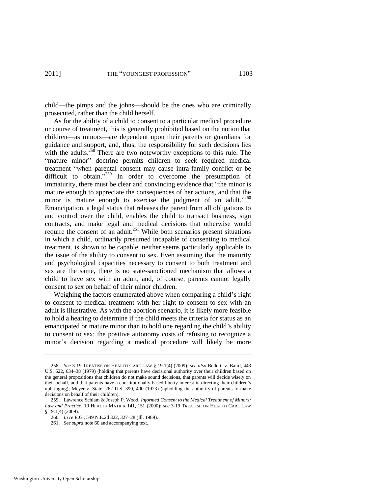child—the pimps and the johns—should be the ones who are criminally prosecuted, rather than the child herself.

<span id="page-49-0"></span>As for the ability of a child to consent to a particular medical procedure or course of treatment, this is generally prohibited based on the notion that children—as minors—are dependent upon their parents or guardians for guidance and support, and, thus, the responsibility for such decisions lies with the adults.<sup>258</sup> There are two noteworthy exceptions to this rule. The "mature minor" doctrine permits children to seek required medical treatment "when parental consent may cause intra-family conflict or be difficult to obtain."<sup>259</sup> In order to overcome the presumption of immaturity, there must be clear and convincing evidence that "the minor is mature enough to appreciate the consequences of her actions, and that the minor is mature enough to exercise the judgment of an adult."260 Emancipation, a legal status that releases the parent from all obligations to and control over the child, enables the child to transact business, sign contracts, and make legal and medical decisions that otherwise would require the consent of an adult.<sup>261</sup> While both scenarios present situations in which a child, ordinarily presumed incapable of consenting to medical treatment, is shown to be capable, neither seems particularly applicable to the issue of the ability to consent to sex. Even assuming that the maturity and psychological capacities necessary to consent to both treatment and sex are the same, there is no state-sanctioned mechanism that allows a child to have sex with an adult, and, of course, parents cannot legally consent to sex on behalf of their minor children.

Weighing the factors enumerated above when comparing a child's right to consent to medical treatment with her right to consent to sex with an adult is illustrative. As with the abortion scenario, it is likely more feasible to hold a hearing to determine if the child meets the criteria for status as an emancipated or mature minor than to hold one regarding the child's ability to consent to sex; the positive autonomy costs of refusing to recognize a minor's decision regarding a medical procedure will likely be more

<sup>258.</sup> *See* 3-19 TREATISE ON HEALTH CARE LAW § 19.1(4) (2009); *see also* Bellotti v. Baird, 443 U.S. 622, 634–38 (1979) (holding that parents have decisional authority over their children based on the general propositions that children do not make sound decisions, that parents will decide wisely on their behalf, and that parents have a constitutionally based liberty interest in directing their children's upbringing); Meyer v. State, 262 U.S. 390, 400 (1923) (upholding the authority of parents to make decisions on behalf of their children).

<sup>259.</sup> Lawrence Schlam & Joseph P. Wood, *Informed Consent to the Medical Treatment of Minors: Law and Practice*, 10 HEALTH MATRIX 141, 151 (2000); *see* 3-19 TREATISE ON HEALTH CARE LAW § 19.1(4) (2009).

<sup>260.</sup> *In re* E.G., 549 N.E.2d 322, 327–28 (Ill. 1989).

<sup>261.</sup> *See supra* not[e 60 a](#page-15-3)nd accompanying text.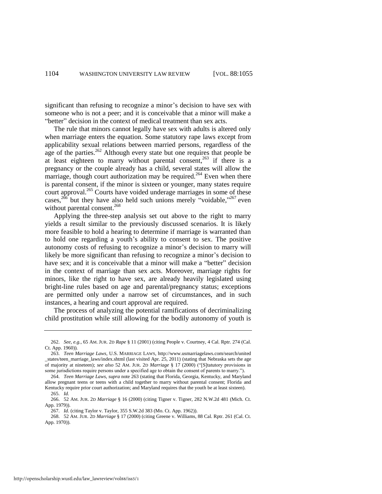significant than refusing to recognize a minor's decision to have sex with someone who is not a peer; and it is conceivable that a minor will make a "better" decision in the context of medical treatment than sex acts.

<span id="page-50-1"></span><span id="page-50-0"></span>The rule that minors cannot legally have sex with adults is altered only when marriage enters the equation. Some statutory rape laws except from applicability sexual relations between married persons, regardless of the age of the parties.<sup>262</sup> Although every state but one requires that people be at least eighteen to marry without parental consent,<sup>263</sup> if there is a pregnancy or the couple already has a child, several states will allow the marriage, though court authorization may be required.<sup>264</sup> Even when there is parental consent, if the minor is sixteen or younger, many states require court approval.<sup>265</sup> Courts have voided underage marriages in some of these cases,  $2^{66}$  but they have also held such unions merely "voidable,"  $2^{67}$  even without parental consent.<sup>268</sup>

Applying the three-step analysis set out above to the right to marry yields a result similar to the previously discussed scenarios. It is likely more feasible to hold a hearing to determine if marriage is warranted than to hold one regarding a youth's ability to consent to sex. The positive autonomy costs of refusing to recognize a minor's decision to marry will likely be more significant than refusing to recognize a minor's decision to have sex; and it is conceivable that a minor will make a "better" decision in the context of marriage than sex acts. Moreover, marriage rights for minors, like the right to have sex, are already heavily legislated using bright-line rules based on age and parental/pregnancy status; exceptions are permitted only under a narrow set of circumstances, and in such instances, a hearing and court approval are required.

The process of analyzing the potential ramifications of decriminalizing child prostitution while still allowing for the bodily autonomy of youth is

268. 52 AM. JUR. 2D *Marriage* § 17 (2000) (citing Greene v. Williams, 88 Cal. Rptr. 261 (Cal. Ct. App. 1970)).

<sup>262.</sup> *See, e.g.*, 65 AM. JUR. 2D *Rape* § 11 (2001) (citing People v. Courtney, 4 Cal. Rptr. 274 (Cal. Ct. App. 1960)).

<sup>263.</sup> *Teen Marriage Laws*, U.S. MARRIAGE LAWS, http://www.usmarriagelaws.com/search/united \_states/teen\_marriage\_laws/index.shtml (last visited Apr. 25, 2011) (stating that Nebraska sets the age of majority at nineteen); *see also* 52 AM. JUR. 2D *Marriage* § 17 (2000) ("S attutory provisions in some jurisdictions require persons under a specified age to obtain the consent of parents to marry.").

<sup>264.</sup> *Teen Marriage Laws*, *supra* not[e 263 \(](#page-50-1)stating that Florida, Georgia, Kentucky, and Maryland allow pregnant teens or teens with a child together to marry without parental consent; Florida and Kentucky require prior court authorization; and Maryland requires that the youth be at least sixteen). 265. *Id.*

<sup>266. 52</sup> AM. JUR. 2D *Marriage* § 16 (2000) (citing Tigner v. Tigner, 282 N.W.2d 481 (Mich. Ct. App. 1979)).

<sup>267.</sup> *Id.* (citing Taylor v. Taylor, 355 S.W.2d 383 (Mo. Ct. App. 1962)).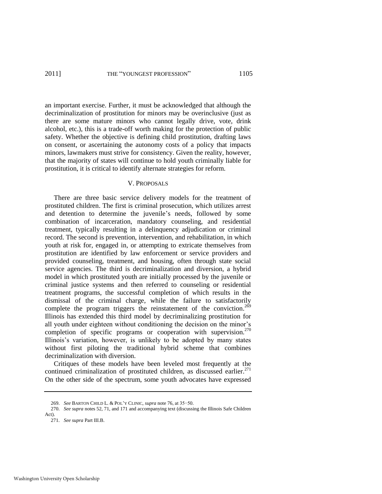an important exercise. Further, it must be acknowledged that although the decriminalization of prostitution for minors may be overinclusive (just as there are some mature minors who cannot legally drive, vote, drink alcohol, etc.), this is a trade-off worth making for the protection of public safety. Whether the objective is defining child prostitution, drafting laws on consent, or ascertaining the autonomy costs of a policy that impacts minors, lawmakers must strive for consistency. Given the reality, however, that the majority of states will continue to hold youth criminally liable for prostitution, it is critical to identify alternate strategies for reform.

#### <span id="page-51-0"></span>V. PROPOSALS

There are three basic service delivery models for the treatment of prostituted children. The first is criminal prosecution, which utilizes arrest and detention to determine the juvenile's needs, followed by some combination of incarceration, mandatory counseling, and residential treatment, typically resulting in a delinquency adjudication or criminal record. The second is prevention, intervention, and rehabilitation, in which youth at risk for, engaged in, or attempting to extricate themselves from prostitution are identified by law enforcement or service providers and provided counseling, treatment, and housing, often through state social service agencies. The third is decriminalization and diversion, a hybrid model in which prostituted youth are initially processed by the juvenile or criminal justice systems and then referred to counseling or residential treatment programs, the successful completion of which results in the dismissal of the criminal charge, while the failure to satisfactorily complete the program triggers the reinstatement of the conviction.<sup>269</sup> Illinois has extended this third model by decriminalizing prostitution for all youth under eighteen without conditioning the decision on the minor's completion of specific programs or cooperation with supervision. $270$ Illinois's variation, however, is unlikely to be adopted by many states without first piloting the traditional hybrid scheme that combines decriminalization with diversion.

Critiques of these models have been leveled most frequently at the continued criminalization of prostituted children, as discussed earlier. $271$ On the other side of the spectrum, some youth advocates have expressed

<sup>269.</sup> *See* BARTON CHILD L. & POL'Y CLINIC, *supra* not[e 76,](#page-18-0) at 35−50.

<sup>270.</sup> *See supra* notes [52,](#page-14-3) [71,](#page-17-3) an[d 171 a](#page-35-0)nd accompanying text (discussing the Illinois Safe Children Act).

<sup>271.</sup> *See supra* Part III.B.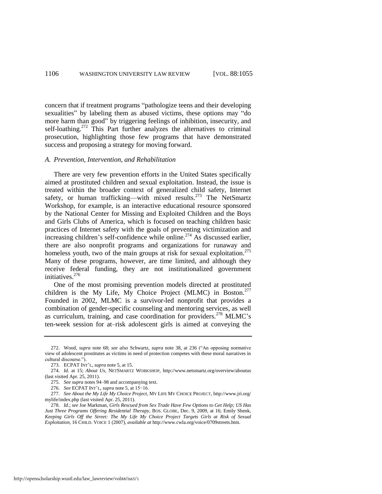concern that if treatment programs "pathologize teens and their developing sexualities" by labeling them as abused victims, these options may "do more harm than good" by triggering feelings of inhibition, insecurity, and self-loathing.<sup>272</sup> This Part further analyzes the alternatives to criminal prosecution, highlighting those few programs that have demonstrated success and proposing a strategy for moving forward.

#### *A. Prevention, Intervention, and Rehabilitation*

There are very few prevention efforts in the United States specifically aimed at prostituted children and sexual exploitation. Instead, the issue is treated within the broader context of generalized child safety, Internet safety, or human trafficking—with mixed results.<sup>273</sup> The NetSmartz Workshop, for example, is an interactive educational resource sponsored by the National Center for Missing and Exploited Children and the Boys and Girls Clubs of America, which is focused on teaching children basic practices of Internet safety with the goals of preventing victimization and increasing children's self-confidence while online.<sup>274</sup> As discussed earlier, there are also nonprofit programs and organizations for runaway and homeless youth, two of the main groups at risk for sexual exploitation.<sup>275</sup> Many of these programs, however, are time limited, and although they receive federal funding, they are not institutionalized government initiatives.<sup>276</sup>

One of the most promising prevention models directed at prostituted children is the My Life, My Choice Project (MLMC) in Boston.<sup>277</sup> Founded in 2002, MLMC is a survivor-led nonprofit that provides a combination of gender-specific counseling and mentoring services, as well as curriculum, training, and case coordination for providers.<sup>278</sup> MLMC's ten-week session for at–risk adolescent girls is aimed at conveying the

<sup>272.</sup> Wood, *supra* note [68;](#page-17-2) *see also* Schwartz, *supra* note [38,](#page-10-0) at 236 ("An opposing normative view of adolescent prostitutes as victims in need of protection competes with these moral narratives in cultural discourse.").

<span id="page-52-0"></span><sup>273.</sup> ECPAT INT'L, *supra* not[e 5,](#page-4-0) at 15.

<sup>274.</sup> *Id.* at 15; *About Us*, NETSMARTZ WORKSHOP, http://www.netsmartz.org/overview/aboutus (last visited Apr. 25, 2011).

<sup>275.</sup> *See supra* note[s 94](#page-21-1)[–98 a](#page-22-1)nd accompanying text.

<sup>276.</sup> *See* ECPAT INT'L, *supra* not[e 5,](#page-4-0) at 15−16.

<sup>277.</sup> *See About the My Life My Choice Project*, MY LIFE MY CHOICE PROJECT, http://www.jri.org/ mylife/index.php (last visited Apr. 25, 2011).

<sup>278.</sup> *Id*.; *see* Joe Markman, *Girls Rescued from Sex Trade Have Few Options to Get Help; US Has Just Three Programs Offering Residential Therapy*, BOS. GLOBE, Dec. 9, 2009, at 16; Emily Shenk, *Keeping Girls Off the Street: The My Life My Choice Project Targets Girls at Risk of Sexual Exploitation*, 16 CHILD. VOICE 1 (2007), *available at* http://www.cwla.org/voice/0709streets.htm.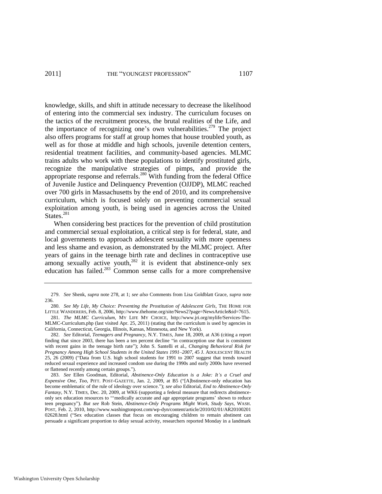#### 2011] THE "YOUNGEST PROFESSION" 1107

knowledge, skills, and shift in attitude necessary to decrease the likelihood of entering into the commercial sex industry. The curriculum focuses on the tactics of the recruitment process, the brutal realities of the Life, and the importance of recognizing one's own vulnerabilities.<sup>279</sup> The project also offers programs for staff at group homes that house troubled youth, as well as for those at middle and high schools, juvenile detention centers, residential treatment facilities, and community-based agencies. MLMC trains adults who work with these populations to identify prostituted girls, recognize the manipulative strategies of pimps, and provide the appropriate response and referrals.<sup>280</sup> With funding from the federal Office of Juvenile Justice and Delinquency Prevention (OJJDP), MLMC reached over 700 girls in Massachusetts by the end of 2010, and its comprehensive curriculum, which is focused solely on preventing commercial sexual exploitation among youth, is being used in agencies across the United States.<sup>281</sup>

When considering best practices for the prevention of child prostitution and commercial sexual exploitation, a critical step is for federal, state, and local governments to approach adolescent sexuality with more openness and less shame and evasion, as demonstrated by the MLMC project. After years of gains in the teenage birth rate and declines in contraceptive use among sexually active youth, $282$  it is evident that abstinence-only sex education has failed.<sup>283</sup> Common sense calls for a more comprehensive

<span id="page-53-0"></span><sup>279.</sup> *See* Shenk, *supra* not[e 278,](#page-52-0) at 1; *see also* Comments from Lisa Goldblatt Grace, *supra* note [236.](#page-45-0)

<sup>280.</sup> *See My Life, My Choice: Preventing the Prostitution of Adolescent Girls*, THE HOME FOR LITTLE WANDERERS, Feb. 8, 2006, http://www.thehome.org/site/News2?page=NewsArticle&id=7615.

<sup>281.</sup> *The MLMC Curriculum*, MY LIFE MY CHOICE, http://www.jri.org/mylife/Services-The-MLMC-Curriculum.php (last visited Apr. 25, 2011) (stating that the curriculum is used by agencies in California, Connecticut, Georgia, Illinois, Kansas, Minnesota, and New York).

<sup>282.</sup> *See* Editorial, *Teenagers and Pregnancy*, N.Y. TIMES, June 18, 2009, at A36 (citing a report finding that since 2003, there has been a ten percent decline "in contraception use that is consistent with recent gains in the teenage birth rate"); John S. Santelli et al., *Changing Behavioral Risk for Pregnancy Among High School Students in the United States 1991–2007*, 45 J. ADOLESCENT HEALTH 25, 26 (2009) ("Data from U.S. high school students for 1991 to 2007 suggest that trends toward reduced sexual experience and increased condom use during the 1990s and early 2000s have reversed or flattened recently among certain groups.").

<sup>283.</sup> *See* Ellen Goodman, Editorial, *Abstinence-Only Education is a Joke: It's a Cruel and Expensive One, Too, PITT. POST-GAZETTE, Jan. 2, 2009, at B5 ("[A]bstinence-only education has* become emblematic of the rule of ideology over science.‖); *see also* Editorial, *End to Abstinence-Only Fantasy*, N.Y. TIMES, Dec. 20, 2009, at WK6 (supporting a federal measure that redirects abstinenceonly sex education resources to "medically accurate and age appropriate programs' shown to reduce teen pregnancy‖). *But see* Rob Stein, *Abstinence-Only Programs Might Work, Study Says*, WASH. POST, Feb. 2, 2010, http://www.washingtonpost.com/wp-dyn/content/article/2010/02/01/AR20100201 02628.html ("Sex education classes that focus on encouraging children to remain abstinent can persuade a significant proportion to delay sexual activity, researchers reported Monday in a landmark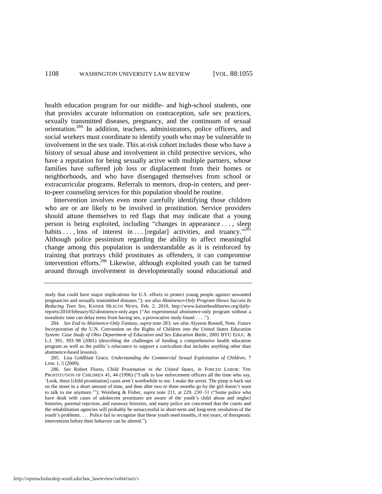health education program for our middle- and high-school students, one that provides accurate information on contraception, safe sex practices, sexually transmitted diseases, pregnancy, and the continuum of sexual orientation.<sup>284</sup> In addition, teachers, administrators, police officers, and social workers must coordinate to identify youth who may be vulnerable to involvement in the sex trade. This at-risk cohort includes those who have a history of sexual abuse and involvement in child protective services, who have a reputation for being sexually active with multiple partners, whose families have suffered job loss or displacement from their homes or neighborhoods, and who have disengaged themselves from school or extracurricular programs. Referrals to mentors, drop-in centers, and peerto-peer counseling services for this population should be routine.

<span id="page-54-0"></span>Intervention involves even more carefully identifying those children who are or are likely to be involved in prostitution. Service providers should attune themselves to red flags that may indicate that a young person is being exploited, including "changes in appearance . . . , sleep habits ..., loss of interest in ... [regular] activities, and truancy.<sup>285</sup> Although police pessimism regarding the ability to affect meaningful change among this population is understandable as it is reinforced by training that portrays child prostitutes as offenders, it can compromise intervention efforts.<sup>286</sup> Likewise, although exploited youth can be turned around through involvement in developmentally sound educational and

study that could have major implications for U.S. efforts to protect young people against unwanted pregnancies and sexually transmitted diseases."); *see also Abstinence-Only Program Shows Success In Reducing Teen Sex*, KAISER HEALTH NEWS, Feb. 2, 2010, http://www.kaiserhealthnews.org/dailyreports/2010/february/02/abstinence-only.aspx ("An experimental abstinence-only program without a moralistic tone can delay teens from having sex, a provocative study found . . . .").

<sup>284.</sup> *See End to Abstinence-Only Fantasy*, *supra* not[e 283;](#page-53-0) *see also* Alysson Russell, Note, *Future Incorporation of the* U.N. Convention on the Rights of Children *into the United States Education System: Case Study of Ohio Department of Education and Sex Education Battle*, 2001 BYU EDUC. & L.J. 391, 393–98 (2001) (describing the challenges of funding a comprehensive health education program as well as the public's reluctance to support a curriculum that includes anything other than abstinence-based lessons).

<sup>285.</sup> Lisa Goldblatt Grace, *Understanding the Commercial Sexual Exploitation of Children*, 7 LINK 1, 5 (2009).

<sup>286.</sup> *See* Robert Flores, *Child Prostitution in the United States*, *in* FORCED LABOR: THE PROSTITUTION OF CHILDREN 41, 44 (1996) ("I talk to law enforcement officers all the time who say, ‗Look, these [child prostitution] cases aren't worthwhile to me. I make the arrest. The pimp is back out on the street in a short amount of time, and then after two or three months go by the girl doesn't want to talk to me anymore.'"); Weisberg & Fisher, *supra* note [211,](#page-40-0) at 229, 230–31 ("Some police who have dealt with cases of adolescent prostitutes are aware of the youth's child abuse and neglect histories, parental rejection, and runaway histories, and many police are concerned that the courts and the rehabilitation agencies will probably be unsuccessful in short-term and long-term resolution of the youth's problems. . . . Police fail to recognize that these youth need months, if not years, of therapeutic intervention before their behavior can be altered.").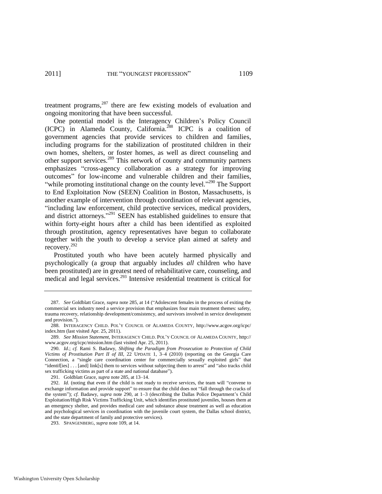treatment programs, $287$  there are few existing models of evaluation and ongoing monitoring that have been successful.

<span id="page-55-0"></span>One potential model is the Interagency Children's Policy Council (ICPC) in Alameda County, California.<sup>288</sup> ICPC is a coalition of government agencies that provide services to children and families, including programs for the stabilization of prostituted children in their own homes, shelters, or foster homes, as well as direct counseling and other support services.<sup>289</sup> This network of county and community partners emphasizes "cross-agency collaboration as a strategy for improving outcomes" for low-income and vulnerable children and their families, "while promoting institutional change on the county level."<sup>290</sup> The Support to End Exploitation Now (SEEN) Coalition in Boston, Massachusetts, is another example of intervention through coordination of relevant agencies, "including law enforcement, child protective services, medical providers, and district attorneys."<sup>291</sup> SEEN has established guidelines to ensure that within forty-eight hours after a child has been identified as exploited through prostitution, agency representatives have begun to collaborate together with the youth to develop a service plan aimed at safety and recovery.<sup>292</sup>

Prostituted youth who have been acutely harmed physically and psychologically (a group that arguably includes *all* children who have been prostituted) are in greatest need of rehabilitative care, counseling, and medical and legal services.<sup>293</sup> Intensive residential treatment is critical for

<sup>287.</sup> *See* Goldblatt Grace, *supra* not[e 285,](#page-54-0) at 14 ("Adolescent females in the process of exiting the commercial sex industry need a service provision that emphasizes four main treatment themes: safety, trauma recovery, relationship development/consistency, and survivors involved in service development and provision.").

<sup>288.</sup> INTERAGENCY CHILD. POL'Y COUNCIL OF ALAMEDA COUNTY, http://www.acgov.org/icpc/ index.htm (last visited Apr. 25, 2011).

<sup>289.</sup> *See Mission Statement*, INTERAGENCY CHILD. POL'Y COUNCIL OF ALAMEDA COUNTY, http:// www.acgov.org/icpc/mission.htm (last visited Apr. 25, 2011).

<sup>290.</sup> *Id*.; *cf.* Rami S. Badawy, *Shifting the Paradigm from Prosecution to Protection of Child Victims of Prostitution Part II of III*, 22 UPDATE 1, 3–4 (2010) (reporting on the Georgia Care Connection, a "single care coordination center for commercially sexually exploited girls" that "identiffies]  $\ldots$  [and] link[s] them to services without subjecting them to arrest" and "also tracks child sex trafficking victims as part of a state and national database").

<sup>291.</sup> Goldblatt Grace, *supra* not[e 285,](#page-54-0) at 13–14.

<sup>292.</sup> *Id.* (noting that even if the child is not ready to receive services, the team will "convene to exchange information and provide support" to ensure that the child does not "fall through the cracks of the system‖); *cf.* Badawy, *supra* note [290,](#page-55-0) at 1–3 (describing the Dallas Police Department's Child Exploitation/High Risk Victims Trafficking Unit, which identifies prostituted juveniles, houses them at an emergency shelter, and provides medical care and substance abuse treatment as well as education and psychological services in coordination with the juvenile court system, the Dallas school district, and the state department of family and protective services).

<sup>293.</sup> SPANGENBERG, *supra* not[e 109,](#page-23-0) at 14.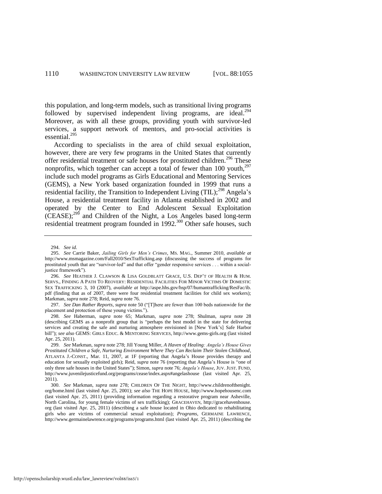this population, and long-term models, such as transitional living programs followed by supervised independent living programs, are ideal. $^{294}$ Moreover, as with all these groups, providing youth with survivor-led services, a support network of mentors, and pro-social activities is essential.<sup>295</sup>

According to specialists in the area of child sexual exploitation, however, there are very few programs in the United States that currently offer residential treatment or safe houses for prostituted children.<sup>296</sup> These nonprofits, which together can accept a total of fewer than 100 youth.<sup>297</sup> include such model programs as Girls Educational and Mentoring Services (GEMS), a New York based organization founded in 1999 that runs a residential facility, the Transition to Independent Living  $(TL)$ ;<sup>298</sup> Angela's House, a residential treatment facility in Atlanta established in 2002 and operated by the Center to End Adolescent Sexual Exploitation (CEASE);<sup>299</sup> and Children of the Night, a Los Angeles based long-term residential treatment program founded in 1992.<sup>300</sup> Other safe houses, such

<sup>294.</sup> *See id*.

<sup>295.</sup> *See* Carrie Baker, *Jailing Girls for Men's Crimes*, MS. MAG., Summer 2010, *available at* http://www.msmagazine.com/Fall2010/SexTrafficking.asp (discussing the success of programs for prostituted youth that are "survivor-led" and that offer "gender responsive services . . . within a socialjustice framework").

<sup>296.</sup> *See* HEATHER J. CLAWSON & LISA GOLDBLATT GRACE, U.S. DEP'T OF HEALTH & HUM. SERVS., FINDING A PATH TO REOVERY: RESIDENTIAL FACILITIES FOR MINOR VICTIMS OF DOMESTIC SEX TRAFFICKING 3, 10 (2007), *available at* http://aspe.hhs.gov/hsp/07/humantrafficking/ResFac/ib. pdf (finding that as of 2007, there were four residential treatment facilities for child sex workers); Markman, *supra* not[e 278;](#page-52-0) Reid, *supra* not[e 76.](#page-18-0) 

<sup>297.</sup> *See Dan Rather Reports, supra* not[e 50](#page-14-0) ("[T]here are fewer than 100 beds nationwide for the placement and protection of these young victims.").

<sup>298.</sup> *See* Haberman, *supra* note [65;](#page-16-0) Markman, *supra* note [278;](#page-52-0) Shulman, *supra* note [28](#page-8-1) (describing GEMS as a nonprofit group that is "perhaps the best model in the state for delivering services and creating the safe and nurturing atmosphere envisioned in [New York's] Safe Harbor bill"); see also GEMS: GIRLS EDUC. & MENTORING SERVICES, http://www.gems-girls.org (last visited Apr. 25, 2011).

<sup>299.</sup> *See* Markman, *supra* not[e 278;](#page-52-0) Jill Young Miller, *A Haven of Healing: Angela's House Gives Prostituted Children a Safe, Nurturing Environment Where They Can Reclaim Their Stolen Childhood*, ATLANTA J.-CONST., Mar. 11, 2007, at 1F (reporting that Angela's House provides therapy and education for sexually exploited girls); Reid, *supra* note [76](#page-18-0) (reporting that Angela's House is "one of only three safe houses in the United States‖); Simon, *supra* not[e 76;](#page-18-0) *Angela's House*, JUV. JUST. FUND, http://www.juvenilejusticefund.org/programs/cease/index.aspx#angelashouse (last visited Apr. 25, 2011).

<sup>300.</sup> *See* Markman, *supra* note [278;](#page-52-0) CHILDREN OF THE NIGHT, http://www.childrenofthenight. org/home.html (last visited Apr. 25, 2001); *see also* THE HOPE HOUSE, http://www.hopehousenc.com (last visited Apr. 25, 2011) (providing information regarding a restorative program near Asheville, North Carolina, for young female victims of sex trafficking); GRACEHAVEN, http://gracehavenhouse. org (last visited Apr. 25, 2011) (describing a safe house located in Ohio dedicated to rehabilitating girls who are victims of commercial sexual exploitation); *Programs*, GERMAINE LAWRENCE, http://www.germainelawrence.org/programs/programs.html (last visited Apr. 25, 2011) (describing the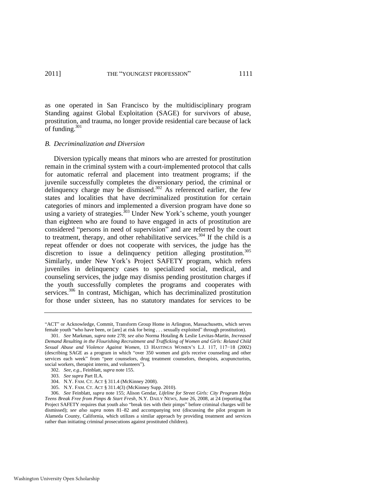as one operated in San Francisco by the multidisciplinary program Standing against Global Exploitation (SAGE) for survivors of abuse, prostitution, and trauma, no longer provide residential care because of lack of funding.<sup>301</sup>

#### <span id="page-57-0"></span>*B. Decriminalization and Diversion*

Diversion typically means that minors who are arrested for prostitution remain in the criminal system with a court-implemented protocol that calls for automatic referral and placement into treatment programs; if the juvenile successfully completes the diversionary period, the criminal or delinquency charge may be dismissed.<sup>302</sup> As referenced earlier, the few states and localities that have decriminalized prostitution for certain categories of minors and implemented a diversion program have done so using a variety of strategies.<sup>303</sup> Under New York's scheme, youth younger than eighteen who are found to have engaged in acts of prostitution are considered "persons in need of supervision" and are referred by the court to treatment, therapy, and other rehabilitative services.<sup>304</sup> If the child is a repeat offender or does not cooperate with services, the judge has the discretion to issue a delinquency petition alleging prostitution.<sup>305</sup> Similarly, under New York's Project SAFETY program, which refers juveniles in delinquency cases to specialized social, medical, and counseling services, the judge may dismiss pending prostitution charges if the youth successfully completes the programs and cooperates with services.<sup>306</sup> In contrast, Michigan, which has decriminalized prostitution for those under sixteen, has no statutory mandates for services to be

<sup>―</sup>ACT‖ or Acknowledge, Commit, Transform Group Home in Arlington, Massachusetts, which serves female youth "who have been, or [are] at risk for being . . . sexually exploited" through prostitution).

<sup>301.</sup> *See* Markman, *supra* note [278;](#page-52-0) *see also* Norma Hotaling & Leslie Levitas-Martin, *Increased Demand Resulting in the Flourishing Recruitment and Trafficking of Women and Girls: Related Child Sexual Abuse and Violence Against Women*, 13 HASTINGS WOMEN'S L.J. 117, 117−18 (2002) (describing SAGE as a program in which "over 350 women and girls receive counseling and other services each week" from "peer counselors, drug treatment counselors, therapists, acupuncturists, social workers, therapist interns, and volunteers").

<sup>302.</sup> *See, e.g.*, Feinblatt, *supra* not[e 155.](#page-31-0) 

<sup>303.</sup> *See supra* Part II.A.

<sup>304.</sup> N.Y. FAM. CT. ACT § 311.4 (McKinney 2008).

<sup>305.</sup> N.Y. FAM. CT. ACT § 311.4(3) (McKinney Supp. 2010).

<sup>306.</sup> *See* Feinblatt, *supra* note [155;](#page-31-0) Alison Gendar, *Lifeline for Street Girls: City Program Helps Teens Break Free from Pimps & Start Fresh*, N.Y. DAILY NEWS, June 26, 2008, at 24 (reporting that Project SAFETY requires that youth also "break ties with their pimps" before criminal charges will be dismissed); *see also supra* notes [81](#page-19-1)[–82](#page-19-2) and accompanying text (discussing the pilot program in Alameda County, California, which utilizes a similar approach by providing treatment and services rather than initiating criminal prosecutions against prostituted children).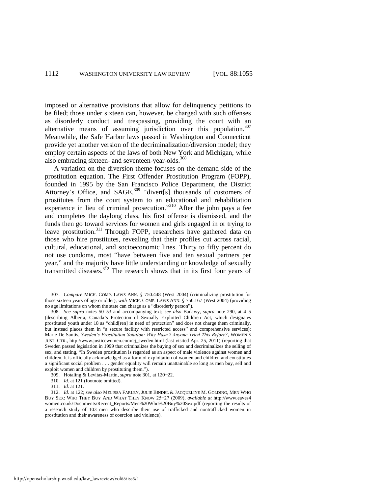imposed or alternative provisions that allow for delinquency petitions to be filed; those under sixteen can, however, be charged with such offenses as disorderly conduct and trespassing, providing the court with an alternative means of assuming jurisdiction over this population.<sup>307</sup> Meanwhile, the Safe Harbor laws passed in Washington and Connecticut provide yet another version of the decriminalization/diversion model; they employ certain aspects of the laws of both New York and Michigan, while also embracing sixteen- and seventeen-year-olds.<sup>308</sup>

A variation on the diversion theme focuses on the demand side of the prostitution equation. The First Offender Prostitution Program (FOPP), founded in 1995 by the San Francisco Police Department, the District Attorney's Office, and SAGE,<sup>309</sup> "divert[s] thousands of customers of prostitutes from the court system to an educational and rehabilitation experience in lieu of criminal prosecution."<sup>310</sup> After the john pays a fee and completes the daylong class, his first offense is dismissed, and the funds then go toward services for women and girls engaged in or trying to leave prostitution.<sup>311</sup> Through FOPP, researchers have gathered data on those who hire prostitutes, revealing that their profiles cut across racial, cultural, educational, and socioeconomic lines. Thirty to fifty percent do not use condoms, most "have between five and ten sexual partners per year," and the majority have little understanding or knowledge of sexually transmitted diseases.<sup>312</sup> The research shows that in its first four years of

<sup>307.</sup> *Compare* MICH. COMP. LAWS ANN. § 750.448 (West 2004) (criminalizing prostitution for those sixteen years of age or older), *with* MICH. COMP. LAWS ANN. § 750.167 (West 2004) (providing no age limitations on whom the state can charge as a "disorderly person").

<sup>308.</sup> *See supra* notes [50–](#page-14-0)[53](#page-14-1) and accompanying text; *see also* Badawy, *supra* note [290,](#page-55-0) at 4–5 (describing Alberta, Canada's Protection of Sexually Exploited Children Act, which designates prostituted youth under 18 as "child[ren] in need of protection" and does not charge them criminally, but instead places them in "a secure facility with restricted access" and comprehensive services); Marie De Santis, *Sweden's Prostitution Solution: Why Hasn't Anyone Tried This Before?*, WOMEN'S JUST. CTR., [http://www.justicewomen.com/cj\\_sweden.html](http://www.justicewomen.com/cj_sweden.html) (last visited Apr. 25, 2011) (reporting that Sweden passed legislation in 1999 that criminalizes the buying of sex and decriminalizes the selling of sex, and stating, "In Sweden prostitution is regarded as an aspect of male violence against women and children. It is officially acknowledged as a form of exploitation of women and children and constitutes a significant social problem . . . gender equality will remain unattainable so long as men buy, sell and exploit women and children by prostituting them.").

<sup>309.</sup> Hotaling & Levitas-Martin, *supra* not[e 301,](#page-57-0) at 120−22.

<sup>310.</sup> *Id.* at 121 (footnote omitted).

<sup>311.</sup> *Id.* at 121.

<sup>312.</sup> *Id.* at 122; *see also* MELISSA FARLEY, JULIE BINDEL & JACQUELINE M. GOLDING, MEN WHO BUY SEX: WHO THEY BUY AND WHAT THEY KNOW 25−27 (2009), *available at* http://www.eaves4 women.co.uk/Documents/Recent\_Reports/Men%20Who%20Buy%20Sex.pdf (reporting the results of a research study of 103 men who describe their use of trafficked and nontrafficked women in prostitution and their awareness of coercion and violence).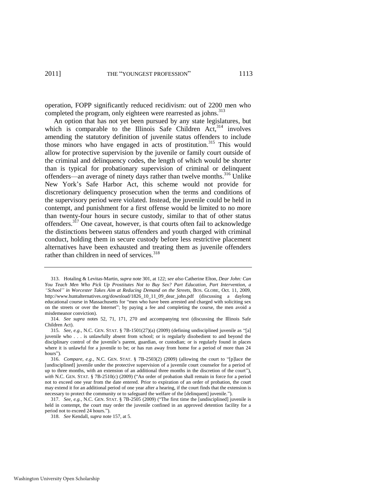operation, FOPP significantly reduced recidivism: out of 2200 men who completed the program, only eighteen were rearrested as johns.<sup>313</sup>

An option that has not yet been pursued by any state legislatures, but which is comparable to the Illinois Safe Children  $Act<sub>1</sub><sup>314</sup>$  involves amending the statutory definition of juvenile status offenders to include those minors who have engaged in acts of prostitution.<sup>315</sup> This would allow for protective supervision by the juvenile or family court outside of the criminal and delinquency codes, the length of which would be shorter than is typical for probationary supervision of criminal or delinquent offenders—an average of ninety days rather than twelve months.<sup>316</sup> Unlike New York's Safe Harbor Act, this scheme would not provide for discretionary delinquency prosecution when the terms and conditions of the supervisory period were violated. Instead, the juvenile could be held in contempt, and punishment for a first offense would be limited to no more than twenty-four hours in secure custody, similar to that of other status offenders.<sup>317</sup> One caveat, however, is that courts often fail to acknowledge the distinctions between status offenders and youth charged with criminal conduct, holding them in secure custody before less restrictive placement alternatives have been exhausted and treating them as juvenile offenders rather than children in need of services.<sup>318</sup>

<sup>313.</sup> Hotaling & Levitas-Martin, *supra* not[e 301,](#page-57-0) at 122; *see also* Catherine Elton, *Dear John: Can You Teach Men Who Pick Up Prostitutes Not to Buy Sex? Part Education, Part Intervention, a ―School‖ in Worcester Takes Aim at Reducing Demand on the Streets*, BOS. GLOBE, Oct. 11, 2009, http://www.huntalternatives.org/download/1826\_10\_11\_09\_dear\_john.pdf (discussing a daylong educational course in Massachusetts for "men who have been arrested and charged with soliciting sex on the streets or over the Internet"; by paying a fee and completing the course, the men avoid a misdemeanor conviction).

<sup>314.</sup> *See supra* notes [52,](#page-14-3) [71,](#page-17-3) [171,](#page-35-0) [270](#page-51-0) and accompanying text (discussing the Illinois Safe Children Act).

<sup>315.</sup> *See, e.g.*, N.C. GEN. STAT. § 7B-1501(27)(a) (2009) (defining undisciplined juvenile as "[a] juvenile who . . . is unlawfully absent from school; or is regularly disobedient to and beyond the disciplinary control of the juvenile's parent, guardian, or custodian; or is regularly found in places where it is unlawful for a juvenile to be; or has run away from home for a period of more than 24 hours").

<sup>316.</sup> *Compare, e.g.*, N.C. GEN. STAT.  $\S$  7B-2503(2) (2009) (allowing the court to "[p]lace the [undisciplined] juvenile under the protective supervision of a juvenile court counselor for a period of up to three months, with an extension of an additional three months in the discretion of the court"), *with* N.C. GEN. STAT. § 7B-2510(c) (2009) ("An order of probation shall remain in force for a period not to exceed one year from the date entered. Prior to expiration of an order of probation, the court may extend it for an additional period of one year after a hearing, if the court finds that the extension is necessary to protect the community or to safeguard the welfare of the [delinquent] juvenile.").

<sup>317.</sup> *See, e.g.*, N.C. GEN. STAT. § 7B-2505 (2009) ("The first time the [undisciplined] juvenile is held in contempt, the court may order the juvenile confined in an approved detention facility for a period not to exceed 24 hours.").

<sup>318.</sup> *See* Kendall, *supra* not[e 157,](#page-31-1) at 5.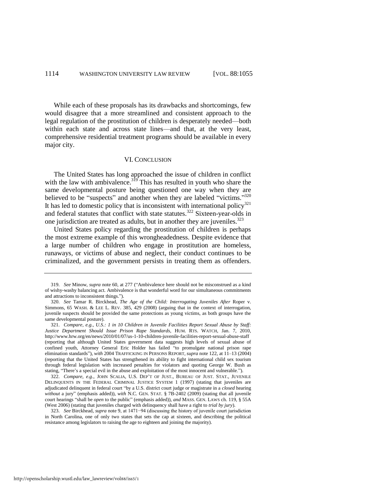While each of these proposals has its drawbacks and shortcomings, few would disagree that a more streamlined and consistent approach to the legal regulation of the prostitution of children is desperately needed—both within each state and across state lines—and that, at the very least, comprehensive residential treatment programs should be available in every major city.

#### VI. CONCLUSION

The United States has long approached the issue of children in conflict with the law with ambivalence.<sup>319</sup> This has resulted in youth who share the same developmental posture being questioned one way when they are believed to be "suspects" and another when they are labeled "victims."<sup>320</sup> It has led to domestic policy that is inconsistent with international policy $321$ and federal statutes that conflict with state statutes.<sup>322</sup> Sixteen-year-olds in one jurisdiction are treated as adults, but in another they are juveniles.<sup>323</sup>

United States policy regarding the prostitution of children is perhaps the most extreme example of this wrongheadedness. Despite evidence that a large number of children who engage in prostitution are homeless, runaways, or victims of abuse and neglect, their conduct continues to be criminalized, and the government persists in treating them as offenders.

<sup>319.</sup> *See* Minow, *supra* note [60,](#page-15-3) at 277 ("Ambivalence here should not be misconstrued as a kind of wishy-washy balancing act. Ambivalence is that wonderful word for our simultaneous commitments and attractions to inconsistent things.").

<sup>320.</sup> *See* Tamar R. Birckhead, *The Age of the Child: Interrogating Juveniles After* Roper v. Simmons, 65 WASH. & LEE L. REV. 385, 429 (2008) (arguing that in the context of interrogation, juvenile suspects should be provided the same protections as young victims, as both groups have the same developmental posture).

<sup>321.</sup> *Compare, e.g.*, *U.S.: 1 in 10 Children in Juvenile Facilities Report Sexual Abuse by Staff: Justice Department Should Issue Prison Rape Standards*, HUM. RTS. WATCH, Jan. 7, 2010, http://www.hrw.org/en/news/2010/01/07/us-1-10-children-juvenile-facilities-report-sexual-abuse-staff (reporting that although United States government data suggests high levels of sexual abuse of confined youth, Attorney General Eric Holder has failed "to promulgate national prison rape elimination standards‖), *with* 2004 TRAFFICKING IN PERSONS REPORT, *supra* not[e 122,](#page-25-0) at 11–13 (2004) (reporting that the United States has strengthened its ability to fight international child sex tourism through federal legislation with increased penalties for violators and quoting George W. Bush as stating, "There's a special evil in the abuse and exploitation of the most innocent and vulnerable.").

<sup>322.</sup> *Compare, e.g.*, JOHN SCALIA, U.S. DEP'T OF JUST., BUREAU OF JUST. STAT., JUVENILE DELINQUENTS IN THE FEDERAL CRIMINAL JUSTICE SYSTEM 1 (1997) (stating that juveniles are adjudicated delinquent in federal court "by a U.S. district court judge or magistrate in a *closed* hearing *without* a jury" (emphasis added)), *with* N.C. GEN. STAT. § 7B-2402 (2009) (stating that all juvenile court hearings "shall be *open* to the public" (emphasis added)), *and* MASS. GEN. LAWS ch. 119, § 55A (West 2006) (stating that juveniles charged with delinquency shall have a right to *trial by jury*).

<sup>323.</sup> *See* Birckhead, *supra* note [9,](#page-5-1) at 1471−94 (discussing the history of juvenile court jurisdiction in North Carolina, one of only two states that sets the cap at sixteen, and describing the political resistance among legislators to raising the age to eighteen and joining the majority).